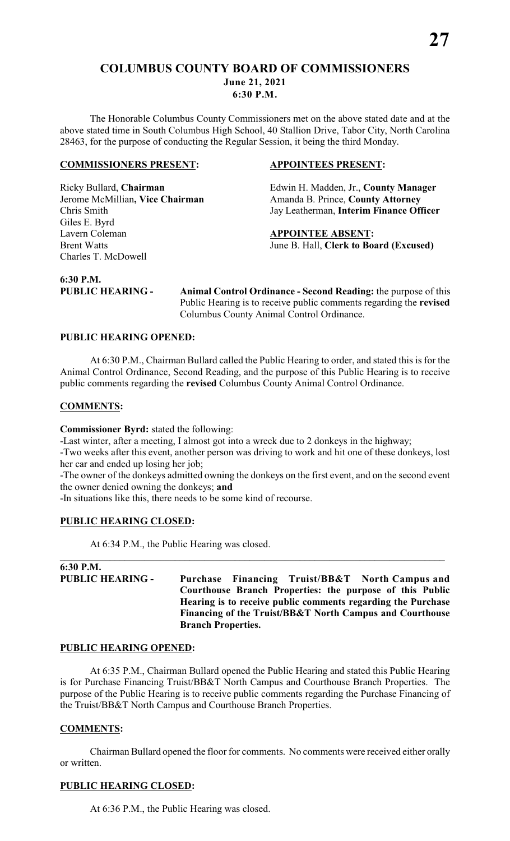# **COLUMBUS COUNTY BOARD OF COMMISSIONERS June 21, 2021 6:30 P.M.**

The Honorable Columbus County Commissioners met on the above stated date and at the above stated time in South Columbus High School, 40 Stallion Drive, Tabor City, North Carolina 28463, for the purpose of conducting the Regular Session, it being the third Monday.

# **COMMISSIONERS PRESENT: APPOINTEES PRESENT:**

Giles E. Byrd Lavern Coleman **APPOINTEE ABSENT:**<br>Brent Watts **Brent Watts APPOINTEE ABSENT:** Charles T. McDowell

Ricky Bullard, **Chairman** Edwin H. Madden, Jr., **County Manager**  Jerome McMillian, Vice Chairman Amanda B. Prince, County Attorney Chris Smith Jay Leatherman, **Interim Finance Officer**

June B. Hall, Clerk to Board (Excused)

**6:30 P.M.** 

**PUBLIC HEARING - Animal Control Ordinance - Second Reading:** the purpose of this Public Hearing is to receive public comments regarding the **revised** Columbus County Animal Control Ordinance.

# **PUBLIC HEARING OPENED:**

At 6:30 P.M., Chairman Bullard called the Public Hearing to order, and stated this is for the Animal Control Ordinance, Second Reading, and the purpose of this Public Hearing is to receive public comments regarding the **revised** Columbus County Animal Control Ordinance.

# **COMMENTS:**

**Commissioner Byrd:** stated the following:

-Last winter, after a meeting, I almost got into a wreck due to 2 donkeys in the highway;

-Two weeks after this event, another person was driving to work and hit one of these donkeys, lost her car and ended up losing her job;

-The owner of the donkeys admitted owning the donkeys on the first event, and on the second event the owner denied owning the donkeys; **and**

**\_\_\_\_\_\_\_\_\_\_\_\_\_\_\_\_\_\_\_\_\_\_\_\_\_\_\_\_\_\_\_\_\_\_\_\_\_\_\_\_\_\_\_\_\_\_\_\_\_\_\_\_\_\_\_\_\_\_\_\_\_\_\_\_\_\_\_\_\_\_\_\_\_\_\_\_\_**

-In situations like this, there needs to be some kind of recourse.

# **PUBLIC HEARING CLOSED:**

At 6:34 P.M., the Public Hearing was closed.

# **6:30 P.M.**

**PUBLIC HEARING - Purchase Financing Truist/BB&T North Campus and Courthouse Branch Properties: the purpose of this Public Hearing is to receive public comments regarding the Purchase Financing of the Truist/BB&T North Campus and Courthouse Branch Properties.**

# **PUBLIC HEARING OPENED:**

At 6:35 P.M., Chairman Bullard opened the Public Hearing and stated this Public Hearing is for Purchase Financing Truist/BB&T North Campus and Courthouse Branch Properties. The purpose of the Public Hearing is to receive public comments regarding the Purchase Financing of the Truist/BB&T North Campus and Courthouse Branch Properties.

# **COMMENTS:**

Chairman Bullard opened the floor for comments. No comments were received either orally or written.

# **PUBLIC HEARING CLOSED:**

At 6:36 P.M., the Public Hearing was closed.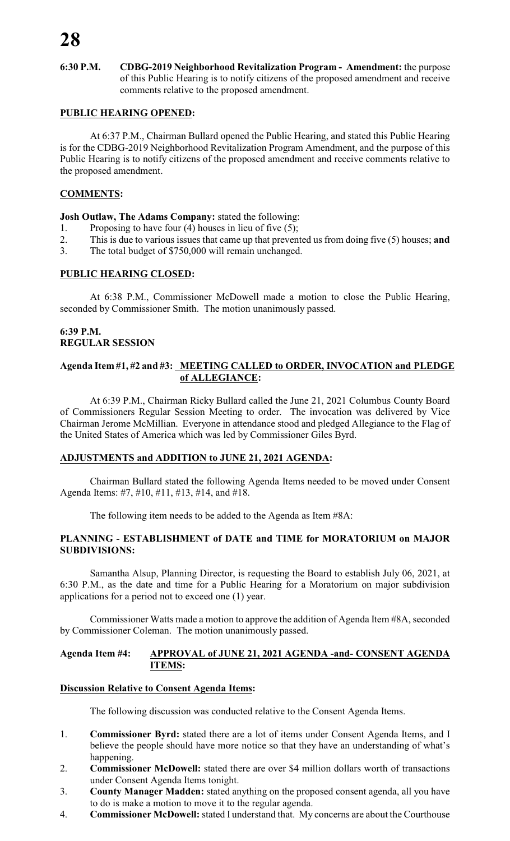**6:30 P.M. CDBG-2019 Neighborhood Revitalization Program - Amendment:** the purpose of this Public Hearing is to notify citizens of the proposed amendment and receive comments relative to the proposed amendment.

# **PUBLIC HEARING OPENED:**

At 6:37 P.M., Chairman Bullard opened the Public Hearing, and stated this Public Hearing is for the CDBG-2019 Neighborhood Revitalization Program Amendment, and the purpose of this Public Hearing is to notify citizens of the proposed amendment and receive comments relative to the proposed amendment.

# **COMMENTS:**

# **Josh Outlaw, The Adams Company:** stated the following:

- 1. Proposing to have four (4) houses in lieu of five (5);
- 2. This is due to various issues that came up that prevented us from doing five (5) houses; **and**
- 3. The total budget of \$750,000 will remain unchanged.

# **PUBLIC HEARING CLOSED:**

At 6:38 P.M., Commissioner McDowell made a motion to close the Public Hearing, seconded by Commissioner Smith. The motion unanimously passed.

# **6:39 P.M. REGULAR SESSION**

# **Agenda Item #1, #2 and #3: MEETING CALLED to ORDER, INVOCATION and PLEDGE of ALLEGIANCE:**

At 6:39 P.M., Chairman Ricky Bullard called the June 21, 2021 Columbus County Board of Commissioners Regular Session Meeting to order. The invocation was delivered by Vice Chairman Jerome McMillian. Everyone in attendance stood and pledged Allegiance to the Flag of the United States of America which was led by Commissioner Giles Byrd.

# **ADJUSTMENTS and ADDITION to JUNE 21, 2021 AGENDA:**

Chairman Bullard stated the following Agenda Items needed to be moved under Consent Agenda Items: #7, #10, #11, #13, #14, and #18.

The following item needs to be added to the Agenda as Item #8A:

# **PLANNING - ESTABLISHMENT of DATE and TIME for MORATORIUM on MAJOR SUBDIVISIONS:**

Samantha Alsup, Planning Director, is requesting the Board to establish July 06, 2021, at 6:30 P.M., as the date and time for a Public Hearing for a Moratorium on major subdivision applications for a period not to exceed one (1) year.

Commissioner Watts made a motion to approve the addition of Agenda Item #8A, seconded by Commissioner Coleman. The motion unanimously passed.

# **Agenda Item #4: APPROVAL of JUNE 21, 2021 AGENDA -and- CONSENT AGENDA ITEMS:**

# **Discussion Relative to Consent Agenda Items:**

The following discussion was conducted relative to the Consent Agenda Items.

- 1. **Commissioner Byrd:** stated there are a lot of items under Consent Agenda Items, and I believe the people should have more notice so that they have an understanding of what's happening.
- 2. **Commissioner McDowell:** stated there are over \$4 million dollars worth of transactions under Consent Agenda Items tonight.
- 3. **County Manager Madden:** stated anything on the proposed consent agenda, all you have to do is make a motion to move it to the regular agenda.
- 4. **Commissioner McDowell:** stated I understand that. My concerns are about the Courthouse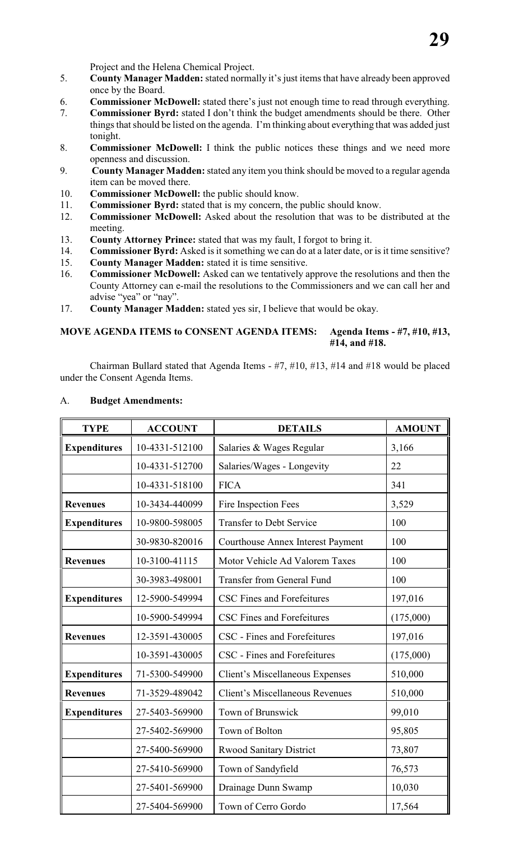Project and the Helena Chemical Project.

- 5. **County Manager Madden:** stated normally it's just items that have already been approved once by the Board.
- 6. **Commissioner McDowell:** stated there's just not enough time to read through everything.
- 7. **Commissioner Byrd:** stated I don't think the budget amendments should be there. Other things that should be listed on the agenda. I'm thinking about everything that was added just tonight.
- 8. **Commissioner McDowell:** I think the public notices these things and we need more openness and discussion.
- 9. **County Manager Madden:** stated any item you think should be moved to a regular agenda item can be moved there.
- 10. **Commissioner McDowell:** the public should know.
- 11. **Commissioner Byrd:** stated that is my concern, the public should know.
- 12. **Commissioner McDowell:** Asked about the resolution that was to be distributed at the meeting.
- 13. **County Attorney Prince:** stated that was my fault, I forgot to bring it.<br>14. **Commissioner Byrd:** Asked is it something we can do at a later date. or
- 14. **Commissioner Byrd:** Asked is it something we can do at a later date, or is it time sensitive?<br>15. **County Manager Madden:** stated it is time sensitive.
- 15. **County Manager Madden:** stated it is time sensitive.
- 16. **Commissioner McDowell:** Asked can we tentatively approve the resolutions and then the County Attorney can e-mail the resolutions to the Commissioners and we can call her and advise "yea" or "nay".
- 17. **County Manager Madden:** stated yes sir, I believe that would be okay.

# **MOVE AGENDA ITEMS to CONSENT AGENDA ITEMS: Agenda Items - #7, #10, #13, #14, and #18.**

Chairman Bullard stated that Agenda Items - #7, #10, #13, #14 and #18 would be placed under the Consent Agenda Items.

| <b>TYPE</b>         | <b>ACCOUNT</b> | <b>DETAILS</b>                                    | <b>AMOUNT</b> |
|---------------------|----------------|---------------------------------------------------|---------------|
| <b>Expenditures</b> | 10-4331-512100 | Salaries & Wages Regular                          | 3,166         |
|                     | 10-4331-512700 | Salaries/Wages - Longevity                        | 22            |
|                     | 10-4331-518100 | <b>FICA</b>                                       | 341           |
| <b>Revenues</b>     | 10-3434-440099 | Fire Inspection Fees                              | 3,529         |
| <b>Expenditures</b> | 10-9800-598005 | <b>Transfer to Debt Service</b>                   | 100           |
|                     | 30-9830-820016 | <b>Courthouse Annex Interest Payment</b>          | 100           |
| <b>Revenues</b>     | 10-3100-41115  | Motor Vehicle Ad Valorem Taxes                    | 100           |
|                     | 30-3983-498001 | <b>Transfer from General Fund</b>                 | 100           |
| <b>Expenditures</b> | 12-5900-549994 | <b>CSC Fines and Forefeitures</b>                 | 197,016       |
|                     | 10-5900-549994 | CSC Fines and Forefeitures                        | (175,000)     |
| <b>Revenues</b>     | 12-3591-430005 | CSC - Fines and Forefeitures                      | 197,016       |
|                     | 10-3591-430005 | CSC - Fines and Forefeitures                      | (175,000)     |
| <b>Expenditures</b> | 71-5300-549900 | Client's Miscellaneous Expenses                   | 510,000       |
| <b>Revenues</b>     | 71-3529-489042 | <b>Client's Miscellaneous Revenues</b><br>510,000 |               |
| <b>Expenditures</b> | 27-5403-569900 | Town of Brunswick                                 | 99,010        |
|                     | 27-5402-569900 | Town of Bolton                                    | 95,805        |
|                     | 27-5400-569900 | <b>Rwood Sanitary District</b>                    | 73,807        |
|                     | 27-5410-569900 | Town of Sandyfield                                | 76,573        |
|                     | 27-5401-569900 | Drainage Dunn Swamp                               | 10,030        |
|                     | 27-5404-569900 | Town of Cerro Gordo                               | 17,564        |

# A. **Budget Amendments:**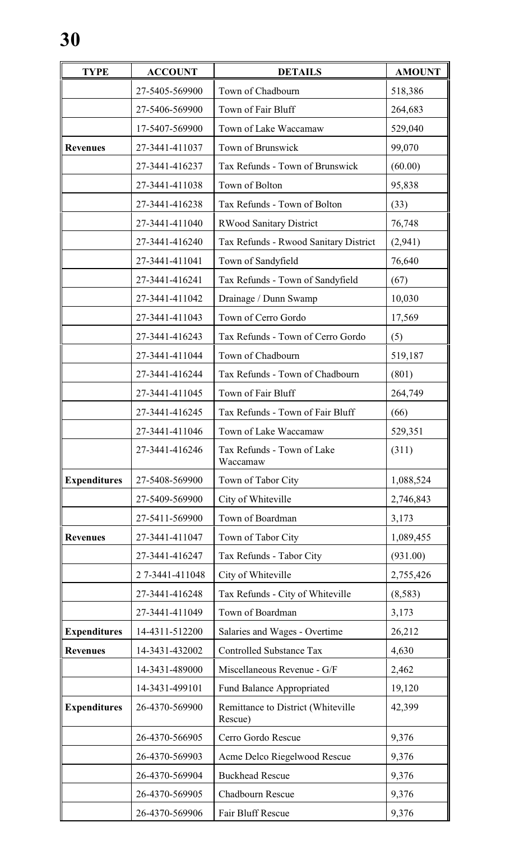| <b>TYPE</b>         | <b>ACCOUNT</b> | <b>DETAILS</b>                                | <b>AMOUNT</b> |
|---------------------|----------------|-----------------------------------------------|---------------|
|                     | 27-5405-569900 | Town of Chadbourn                             | 518,386       |
|                     | 27-5406-569900 | Town of Fair Bluff                            | 264,683       |
|                     | 17-5407-569900 | Town of Lake Waccamaw                         | 529,040       |
| <b>Revenues</b>     | 27-3441-411037 | Town of Brunswick                             | 99,070        |
|                     | 27-3441-416237 | Tax Refunds - Town of Brunswick               | (60.00)       |
|                     | 27-3441-411038 | Town of Bolton                                | 95,838        |
|                     | 27-3441-416238 | Tax Refunds - Town of Bolton                  | (33)          |
|                     | 27-3441-411040 | <b>RWood Sanitary District</b>                | 76,748        |
|                     | 27-3441-416240 | Tax Refunds - Rwood Sanitary District         | (2,941)       |
|                     | 27-3441-411041 | Town of Sandyfield                            | 76,640        |
|                     | 27-3441-416241 | Tax Refunds - Town of Sandyfield              | (67)          |
|                     | 27-3441-411042 | Drainage / Dunn Swamp                         | 10,030        |
|                     | 27-3441-411043 | Town of Cerro Gordo                           | 17,569        |
|                     | 27-3441-416243 | Tax Refunds - Town of Cerro Gordo             | (5)           |
|                     | 27-3441-411044 | Town of Chadbourn                             | 519,187       |
|                     | 27-3441-416244 | Tax Refunds - Town of Chadbourn               | (801)         |
|                     | 27-3441-411045 | Town of Fair Bluff                            | 264,749       |
|                     | 27-3441-416245 | Tax Refunds - Town of Fair Bluff              | (66)          |
|                     | 27-3441-411046 | Town of Lake Waccamaw                         | 529,351       |
|                     | 27-3441-416246 | Tax Refunds - Town of Lake<br>Waccamaw        | (311)         |
| <b>Expenditures</b> | 27-5408-569900 | Town of Tabor City                            | 1,088,524     |
|                     | 27-5409-569900 | City of Whiteville                            | 2,746,843     |
|                     | 27-5411-569900 | Town of Boardman                              | 3,173         |
| <b>Revenues</b>     | 27-3441-411047 | Town of Tabor City                            | 1,089,455     |
|                     | 27-3441-416247 | Tax Refunds - Tabor City                      | (931.00)      |
|                     | 27-3441-411048 | City of Whiteville                            | 2,755,426     |
|                     | 27-3441-416248 | Tax Refunds - City of Whiteville              | (8,583)       |
|                     | 27-3441-411049 | Town of Boardman                              | 3,173         |
| <b>Expenditures</b> | 14-4311-512200 | Salaries and Wages - Overtime                 | 26,212        |
| <b>Revenues</b>     | 14-3431-432002 | <b>Controlled Substance Tax</b>               | 4,630         |
|                     | 14-3431-489000 | Miscellaneous Revenue - G/F                   | 2,462         |
|                     | 14-3431-499101 | <b>Fund Balance Appropriated</b>              | 19,120        |
| <b>Expenditures</b> | 26-4370-569900 | Remittance to District (Whiteville<br>Rescue) | 42,399        |
|                     | 26-4370-566905 | Cerro Gordo Rescue                            | 9,376         |
|                     | 26-4370-569903 | Acme Delco Riegelwood Rescue                  | 9,376         |
|                     | 26-4370-569904 | <b>Buckhead Rescue</b>                        | 9,376         |
|                     | 26-4370-569905 | Chadbourn Rescue                              | 9,376         |
|                     | 26-4370-569906 | Fair Bluff Rescue                             | 9,376         |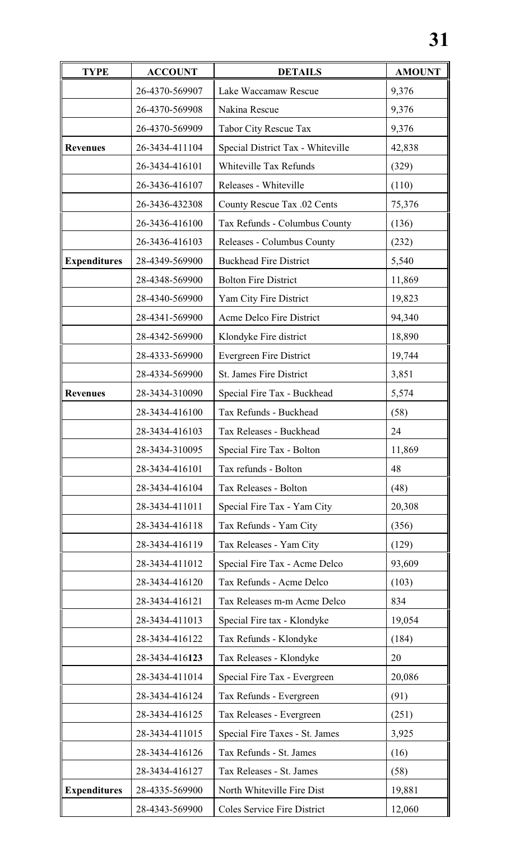| <b>TYPE</b>         | <b>ACCOUNT</b> | <b>DETAILS</b>                    | <b>AMOUNT</b> |
|---------------------|----------------|-----------------------------------|---------------|
|                     | 26-4370-569907 | Lake Waccamaw Rescue              | 9,376         |
|                     | 26-4370-569908 | Nakina Rescue                     | 9,376         |
|                     | 26-4370-569909 | Tabor City Rescue Tax             | 9,376         |
| <b>Revenues</b>     | 26-3434-411104 | Special District Tax - Whiteville | 42,838        |
|                     | 26-3434-416101 | Whiteville Tax Refunds            | (329)         |
|                     | 26-3436-416107 | Releases - Whiteville             | (110)         |
|                     | 26-3436-432308 | County Rescue Tax .02 Cents       | 75,376        |
|                     | 26-3436-416100 | Tax Refunds - Columbus County     | (136)         |
|                     | 26-3436-416103 | Releases - Columbus County        | (232)         |
| <b>Expenditures</b> | 28-4349-569900 | <b>Buckhead Fire District</b>     | 5,540         |
|                     | 28-4348-569900 | <b>Bolton Fire District</b>       | 11,869        |
|                     | 28-4340-569900 | Yam City Fire District            | 19,823        |
|                     | 28-4341-569900 | Acme Delco Fire District          | 94,340        |
|                     | 28-4342-569900 | Klondyke Fire district            | 18,890        |
|                     | 28-4333-569900 | <b>Evergreen Fire District</b>    | 19,744        |
|                     | 28-4334-569900 | <b>St. James Fire District</b>    | 3,851         |
| <b>Revenues</b>     | 28-3434-310090 | Special Fire Tax - Buckhead       | 5,574         |
|                     | 28-3434-416100 | Tax Refunds - Buckhead            | (58)          |
|                     | 28-3434-416103 | Tax Releases - Buckhead           | 24            |
|                     | 28-3434-310095 | Special Fire Tax - Bolton         | 11,869        |
|                     | 28-3434-416101 | Tax refunds - Bolton              | 48            |
|                     | 28-3434-416104 | Tax Releases - Bolton             | (48)          |
|                     | 28-3434-411011 | Special Fire Tax - Yam City       | 20,308        |
|                     | 28-3434-416118 | Tax Refunds - Yam City            | (356)         |
|                     | 28-3434-416119 | Tax Releases - Yam City           | (129)         |
|                     | 28-3434-411012 | Special Fire Tax - Acme Delco     | 93,609        |
|                     | 28-3434-416120 | Tax Refunds - Acme Delco          | (103)         |
|                     | 28-3434-416121 | Tax Releases m-m Acme Delco       | 834           |
|                     | 28-3434-411013 | Special Fire tax - Klondyke       | 19,054        |
|                     | 28-3434-416122 | Tax Refunds - Klondyke            | (184)         |
|                     | 28-3434-416123 | Tax Releases - Klondyke           | 20            |
|                     | 28-3434-411014 | Special Fire Tax - Evergreen      | 20,086        |
|                     | 28-3434-416124 | Tax Refunds - Evergreen           | (91)          |
|                     | 28-3434-416125 | Tax Releases - Evergreen          | (251)         |
|                     | 28-3434-411015 | Special Fire Taxes - St. James    | 3,925         |
|                     | 28-3434-416126 | Tax Refunds - St. James           | (16)          |
|                     | 28-3434-416127 | Tax Releases - St. James          | (58)          |
| <b>Expenditures</b> | 28-4335-569900 | North Whiteville Fire Dist        | 19,881        |
|                     | 28-4343-569900 | Coles Service Fire District       | 12,060        |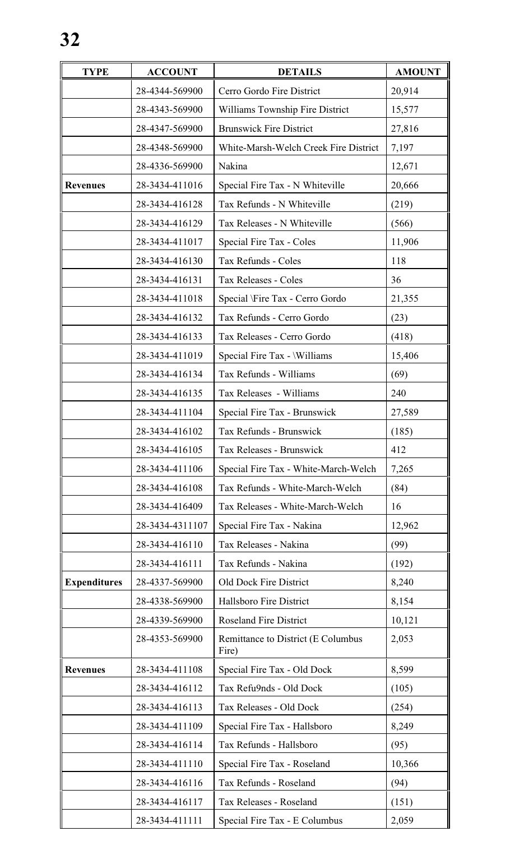| <b>TYPE</b>         | <b>ACCOUNT</b>  | <b>DETAILS</b>                              | <b>AMOUNT</b> |
|---------------------|-----------------|---------------------------------------------|---------------|
|                     | 28-4344-569900  | Cerro Gordo Fire District                   | 20,914        |
|                     | 28-4343-569900  | Williams Township Fire District             | 15,577        |
|                     | 28-4347-569900  | <b>Brunswick Fire District</b>              | 27,816        |
|                     | 28-4348-569900  | White-Marsh-Welch Creek Fire District       | 7,197         |
|                     | 28-4336-569900  | Nakina                                      | 12,671        |
| <b>Revenues</b>     | 28-3434-411016  | Special Fire Tax - N Whiteville             | 20,666        |
|                     | 28-3434-416128  | Tax Refunds - N Whiteville                  | (219)         |
|                     | 28-3434-416129  | Tax Releases - N Whiteville                 | (566)         |
|                     | 28-3434-411017  | Special Fire Tax - Coles                    | 11,906        |
|                     | 28-3434-416130  | Tax Refunds - Coles                         | 118           |
|                     | 28-3434-416131  | Tax Releases - Coles                        | 36            |
|                     | 28-3434-411018  | Special \Fire Tax - Cerro Gordo             | 21,355        |
|                     | 28-3434-416132  | Tax Refunds - Cerro Gordo                   | (23)          |
|                     | 28-3434-416133  | Tax Releases - Cerro Gordo                  | (418)         |
|                     | 28-3434-411019  | Special Fire Tax - Williams                 | 15,406        |
|                     | 28-3434-416134  | Tax Refunds - Williams                      | (69)          |
|                     | 28-3434-416135  | Tax Releases - Williams                     | 240           |
|                     | 28-3434-411104  | Special Fire Tax - Brunswick                | 27,589        |
|                     | 28-3434-416102  | Tax Refunds - Brunswick                     | (185)         |
|                     | 28-3434-416105  | Tax Releases - Brunswick                    | 412           |
|                     | 28-3434-411106  | Special Fire Tax - White-March-Welch        | 7,265         |
|                     | 28-3434-416108  | Tax Refunds - White-March-Welch             | (84)          |
|                     | 28-3434-416409  | Tax Releases - White-March-Welch            | 16            |
|                     | 28-3434-4311107 | Special Fire Tax - Nakina                   | 12,962        |
|                     | 28-3434-416110  | Tax Releases - Nakina                       | (99)          |
|                     | 28-3434-416111  | Tax Refunds - Nakina                        | (192)         |
| <b>Expenditures</b> | 28-4337-569900  | Old Dock Fire District                      | 8,240         |
|                     | 28-4338-569900  | Hallsboro Fire District                     | 8,154         |
|                     | 28-4339-569900  | <b>Roseland Fire District</b>               | 10,121        |
|                     | 28-4353-569900  | Remittance to District (E Columbus<br>Fire) | 2,053         |
| <b>Revenues</b>     | 28-3434-411108  | Special Fire Tax - Old Dock                 | 8,599         |
|                     | 28-3434-416112  | Tax Refu9nds - Old Dock                     | (105)         |
|                     | 28-3434-416113  | Tax Releases - Old Dock                     | (254)         |
|                     | 28-3434-411109  | Special Fire Tax - Hallsboro                | 8,249         |
|                     | 28-3434-416114  | Tax Refunds - Hallsboro                     | (95)          |
|                     | 28-3434-411110  | Special Fire Tax - Roseland                 | 10,366        |
|                     | 28-3434-416116  | Tax Refunds - Roseland                      | (94)          |
|                     | 28-3434-416117  | Tax Releases - Roseland                     | (151)         |
|                     | 28-3434-411111  | Special Fire Tax - E Columbus               | 2,059         |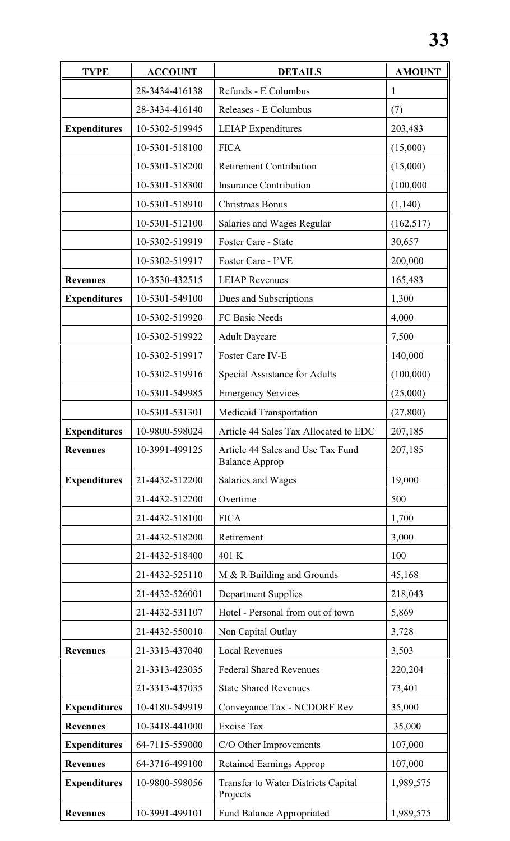| <b>TYPE</b>         | <b>ACCOUNT</b> | <b>DETAILS</b>                                             | <b>AMOUNT</b> |
|---------------------|----------------|------------------------------------------------------------|---------------|
|                     | 28-3434-416138 | Refunds - E Columbus                                       | 1             |
|                     | 28-3434-416140 | Releases - E Columbus                                      | (7)           |
| <b>Expenditures</b> | 10-5302-519945 | <b>LEIAP</b> Expenditures                                  | 203,483       |
|                     | 10-5301-518100 | <b>FICA</b>                                                | (15,000)      |
|                     | 10-5301-518200 | <b>Retirement Contribution</b>                             | (15,000)      |
|                     | 10-5301-518300 | <b>Insurance Contribution</b>                              | (100,000)     |
|                     | 10-5301-518910 | Christmas Bonus                                            | (1,140)       |
|                     | 10-5301-512100 | Salaries and Wages Regular                                 | (162, 517)    |
|                     | 10-5302-519919 | Foster Care - State                                        | 30,657        |
|                     | 10-5302-519917 | Foster Care - I'VE                                         | 200,000       |
| <b>Revenues</b>     | 10-3530-432515 | <b>LEIAP Revenues</b>                                      | 165,483       |
| <b>Expenditures</b> | 10-5301-549100 | Dues and Subscriptions                                     | 1,300         |
|                     | 10-5302-519920 | FC Basic Needs                                             | 4,000         |
|                     | 10-5302-519922 | <b>Adult Daycare</b>                                       | 7,500         |
|                     | 10-5302-519917 | Foster Care IV-E                                           | 140,000       |
|                     | 10-5302-519916 | Special Assistance for Adults                              | (100,000)     |
|                     | 10-5301-549985 | <b>Emergency Services</b>                                  | (25,000)      |
|                     | 10-5301-531301 | Medicaid Transportation                                    | (27, 800)     |
| <b>Expenditures</b> | 10-9800-598024 | Article 44 Sales Tax Allocated to EDC                      | 207,185       |
| <b>Revenues</b>     | 10-3991-499125 | Article 44 Sales and Use Tax Fund<br><b>Balance Approp</b> | 207,185       |
| <b>Expenditures</b> | 21-4432-512200 | Salaries and Wages                                         | 19,000        |
|                     | 21-4432-512200 | Overtime                                                   | 500           |
|                     | 21-4432-518100 | <b>FICA</b>                                                | 1,700         |
|                     | 21-4432-518200 | Retirement                                                 | 3,000         |
|                     | 21-4432-518400 | 401 K                                                      | 100           |
|                     | 21-4432-525110 | M & R Building and Grounds                                 | 45,168        |
|                     | 21-4432-526001 | <b>Department Supplies</b>                                 | 218,043       |
|                     | 21-4432-531107 | Hotel - Personal from out of town                          | 5,869         |
|                     | 21-4432-550010 | Non Capital Outlay                                         | 3,728         |
| <b>Revenues</b>     | 21-3313-437040 | <b>Local Revenues</b>                                      | 3,503         |
|                     | 21-3313-423035 | <b>Federal Shared Revenues</b>                             | 220,204       |
|                     | 21-3313-437035 | <b>State Shared Revenues</b>                               | 73,401        |
| <b>Expenditures</b> | 10-4180-549919 | Conveyance Tax - NCDORF Rev                                | 35,000        |
| <b>Revenues</b>     | 10-3418-441000 | <b>Excise Tax</b>                                          | 35,000        |
| <b>Expenditures</b> | 64-7115-559000 | C/O Other Improvements                                     | 107,000       |
| <b>Revenues</b>     | 64-3716-499100 | <b>Retained Earnings Approp</b>                            | 107,000       |
| <b>Expenditures</b> | 10-9800-598056 | <b>Transfer to Water Districts Capital</b><br>Projects     | 1,989,575     |
| <b>Revenues</b>     | 10-3991-499101 | <b>Fund Balance Appropriated</b>                           | 1,989,575     |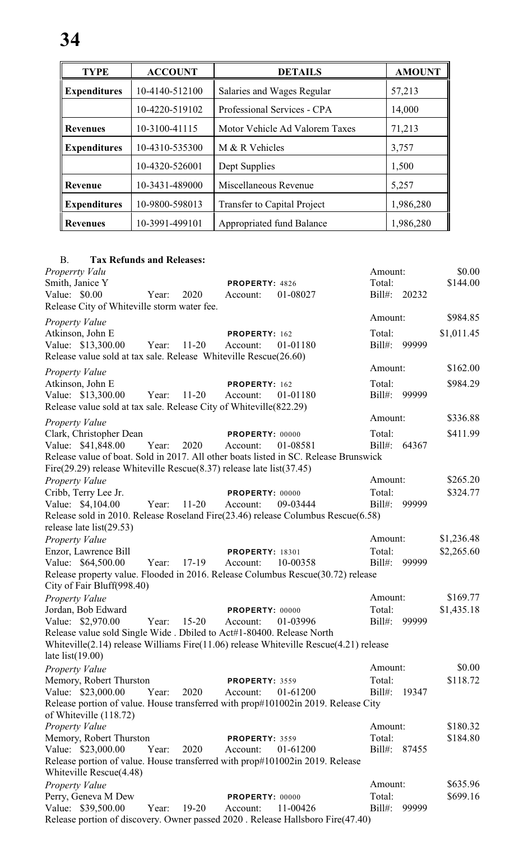| <b>TYPE</b>         | <b>ACCOUNT</b> | <b>DETAILS</b>                         | <b>AMOUNT</b> |
|---------------------|----------------|----------------------------------------|---------------|
| <b>Expenditures</b> | 10-4140-512100 | Salaries and Wages Regular             | 57,213        |
|                     | 10-4220-519102 | Professional Services - CPA            | 14,000        |
| <b>Revenues</b>     | 10-3100-41115  | Motor Vehicle Ad Valorem Taxes         | 71,213        |
| <b>Expenditures</b> | 10-4310-535300 | M & R Vehicles                         | 3,757         |
|                     | 10-4320-526001 | Dept Supplies                          | 1,500         |
| <b>Revenue</b>      | 10-3431-489000 | Miscellaneous Revenue                  | 5,257         |
| <b>Expenditures</b> | 10-9800-598013 | <b>Transfer to Capital Project</b>     | 1,986,280     |
| <b>Revenues</b>     | 10-3991-499101 | Appropriated fund Balance<br>1,986,280 |               |

# B. **Tax Refunds and Releases:**

| Properrty Valu<br>Smith, Janice Y                                                                                                     |       |           | PROPERTY: 4826              |          | Amount:<br>Total:   |       | \$0.00<br>\$144.00 |
|---------------------------------------------------------------------------------------------------------------------------------------|-------|-----------|-----------------------------|----------|---------------------|-------|--------------------|
| Value: $$0.00$<br>Release City of Whiteville storm water fee.                                                                         | Year: | 2020      | Account:                    | 01-08027 | $Bill#$ :           | 20232 |                    |
| Property Value                                                                                                                        |       |           |                             |          | Amount:             |       | \$984.85           |
| Atkinson, John E<br>Value: \$13,300.00<br>Release value sold at tax sale. Release Whiteville Rescue(26.60)                            | Year: | $11 - 20$ | PROPERTY: 162<br>Account:   | 01-01180 | Total:<br>$Bill#$ : | 99999 | \$1,011.45         |
| <b>Property Value</b>                                                                                                                 |       |           |                             |          | Amount:             |       | \$162.00           |
| Atkinson, John E<br>Value: \$13,300.00<br>Release value sold at tax sale. Release City of Whiteville (822.29)                         | Year: | $11-20$   | PROPERTY: 162<br>Account:   | 01-01180 | Total:<br>Bill#:    | 99999 | \$984.29           |
| <b>Property Value</b>                                                                                                                 |       |           |                             |          | Amount:             |       | \$336.88           |
| Clark, Christopher Dean<br>Value: \$41,848.00<br>Release value of boat. Sold in 2017. All other boats listed in SC. Release Brunswick | Year: | 2020      | PROPERTY: 00000<br>Account: | 01-08581 | Total:<br>$Bill#$ : | 64367 | \$411.99           |
| Fire $(29.29)$ release Whiteville Rescue $(8.37)$ release late list $(37.45)$                                                         |       |           |                             |          |                     |       |                    |
| <b>Property Value</b>                                                                                                                 |       |           |                             |          | Amount:             |       | \$265.20           |
| Cribb, Terry Lee Jr.                                                                                                                  |       |           | PROPERTY: 00000             |          | Total:              |       | \$324.77           |
| Value: \$4,104.00<br>Release sold in 2010. Release Roseland Fire(23.46) release Columbus Rescue(6.58)<br>release late $list(29.53)$   | Year: | $11 - 20$ | Account:                    | 09-03444 | $Bill#$ :           | 99999 |                    |
| <b>Property Value</b>                                                                                                                 |       |           |                             |          | Amount:             |       | \$1,236.48         |
| Enzor, Lawrence Bill                                                                                                                  |       |           | <b>PROPERTY: 18301</b>      |          | Total:              |       | \$2,265.60         |
| Value: \$64,500.00                                                                                                                    | Year: | 17-19     | Account:                    | 10-00358 | Bill#:              | 99999 |                    |
| Release property value. Flooded in 2016. Release Columbus Rescue(30.72) release<br>City of Fair Bluff(998.40)                         |       |           |                             |          |                     |       |                    |
| Property Value                                                                                                                        |       |           |                             |          | Amount:             |       | \$169.77           |
| Jordan, Bob Edward                                                                                                                    |       |           | PROPERTY: 00000             |          | Total:              |       | \$1,435.18         |
| Value: \$2,970.00<br>Release value sold Single Wide . Dbiled to Act#1-80400. Release North                                            | Year: | $15 - 20$ | Account:                    | 01-03996 | $Bill#$ :           | 99999 |                    |
| Whiteville(2.14) release Williams Fire(11.06) release Whiteville Rescue(4.21) release<br>late $list(19.00)$                           |       |           |                             |          |                     |       |                    |
| <b>Property Value</b>                                                                                                                 |       |           |                             |          | Amount:             |       | \$0.00             |
| Memory, Robert Thurston                                                                                                               |       |           | PROPERTY: 3559              |          | Total:              |       | \$118.72           |
| Value: \$23,000.00                                                                                                                    | Year: | 2020      | Account:                    | 01-61200 | $Bill#$ :           | 19347 |                    |
| Release portion of value. House transferred with prop#101002in 2019. Release City<br>of Whiteville (118.72)                           |       |           |                             |          |                     |       |                    |
| <b>Property Value</b>                                                                                                                 |       |           |                             |          | Amount:             |       | \$180.32           |
| Memory, Robert Thurston                                                                                                               |       |           | PROPERTY: 3559              |          | Total:              |       | \$184.80           |
| Value: \$23,000.00<br>Release portion of value. House transferred with prop#101002in 2019. Release<br>Whiteville Rescue(4.48)         | Year: | 2020      | Account:                    | 01-61200 | Bill#:              | 87455 |                    |
| <b>Property Value</b>                                                                                                                 |       |           |                             |          | Amount:             |       | \$635.96           |
| Perry, Geneva M Dew                                                                                                                   |       |           | PROPERTY: 00000             |          | Total:              |       | \$699.16           |
| Value: \$39,500.00                                                                                                                    | Year: | $19-20$   | Account:                    | 11-00426 | $Bill#$ :           | 99999 |                    |
| Release portion of discovery. Owner passed 2020. Release Hallsboro Fire(47.40)                                                        |       |           |                             |          |                     |       |                    |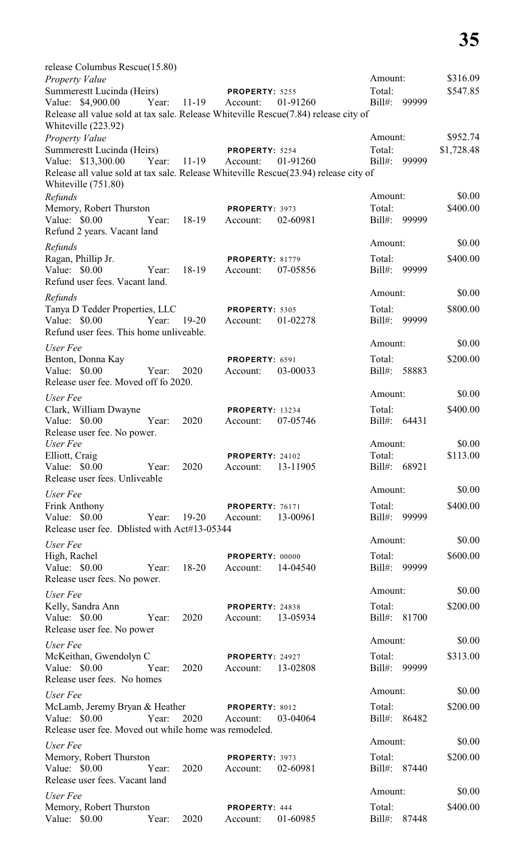| release Columbus Rescue(15.80)                                                                                                  |       |             |                                    |          |                  |       |            |
|---------------------------------------------------------------------------------------------------------------------------------|-------|-------------|------------------------------------|----------|------------------|-------|------------|
| <b>Property Value</b>                                                                                                           |       |             |                                    |          | Amount:          |       | \$316.09   |
| Summerestt Lucinda (Heirs)                                                                                                      |       |             | PROPERTY: 5255                     |          | Total:           |       | \$547.85   |
| Value: \$4,900.00<br>Release all value sold at tax sale. Release Whiteville Rescue(7.84) release city of<br>Whiteville (223.92) |       | Year: 11-19 | Account:                           | 01-91260 | Bill#:           | 99999 |            |
| Property Value                                                                                                                  |       |             |                                    |          | Amount:          |       | \$952.74   |
| Summerestt Lucinda (Heirs)                                                                                                      |       |             | PROPERTY: 5254                     |          | Total:           |       | \$1,728.48 |
| Value: \$13,300.00<br>Release all value sold at tax sale. Release Whiteville Rescue(23.94) release city of                      |       | Year: 11-19 | Account:                           | 01-91260 | Bill#:           | 99999 |            |
| Whiteville (751.80)<br>Refunds                                                                                                  |       |             |                                    |          | Amount:          |       | \$0.00     |
| Memory, Robert Thurston                                                                                                         |       |             | PROPERTY: 3973                     |          | Total:           |       | \$400.00   |
| Value: \$0.00<br>Refund 2 years. Vacant land                                                                                    | Year: | 18-19       | Account:                           | 02-60981 | Bill#:           | 99999 |            |
| Refunds                                                                                                                         |       |             |                                    |          | Amount:          |       | \$0.00     |
| Ragan, Phillip Jr.<br>Value: \$0.00<br>Refund user fees. Vacant land.                                                           | Year: | 18-19       | <b>PROPERTY: 81779</b><br>Account: | 07-05856 | Total:<br>Bill#: | 99999 | \$400.00   |
|                                                                                                                                 |       |             |                                    |          | Amount:          |       | \$0.00     |
| Refunds<br>Tanya D Tedder Properties, LLC                                                                                       |       |             | PROPERTY: 5305                     |          | Total:           |       | \$800.00   |
| Value: \$0.00<br>Refund user fees. This home unliveable.                                                                        | Year: | $19-20$     | Account:                           | 01-02278 | Bill#:           | 99999 |            |
| User Fee                                                                                                                        |       |             |                                    |          | Amount:          |       | \$0.00     |
| Benton, Donna Kay                                                                                                               |       |             | PROPERTY: 6591                     |          | Total:           |       | \$200.00   |
| Value: \$0.00<br>Release user fee. Moved off fo 2020.                                                                           | Year: | 2020        | Account:                           | 03-00033 | Bill#: 58883     |       |            |
| User Fee                                                                                                                        |       |             |                                    |          | Amount:          |       | \$0.00     |
| Clark, William Dwayne<br>Value: \$0.00                                                                                          | Year: | 2020        | <b>PROPERTY: 13234</b><br>Account: | 07-05746 | Total:<br>Bill#: | 64431 | \$400.00   |
| Release user fee. No power.<br>User Fee                                                                                         |       |             |                                    |          | Amount:          |       | \$0.00     |
| Elliott, Craig                                                                                                                  |       |             | PROPERTY: 24102                    |          | Total:           |       | \$113.00   |
| Value: \$0.00<br>Release user fees. Unliveable                                                                                  | Year: | 2020        | Account:                           | 13-11905 | Bill#: 68921     |       |            |
| User Fee                                                                                                                        |       |             |                                    |          | Amount:          |       | \$0.00     |
| <b>Frink Anthony</b>                                                                                                            |       |             | <b>PROPERTY: 76171</b>             |          | Total:           |       | \$400.00   |
| Value: \$0.00<br>Release user fee. Dblisted with Act#13-05344                                                                   | Year: | $19 - 20$   | Account:                           | 13-00961 | Bill#:           | 99999 |            |
| User Fee                                                                                                                        |       |             |                                    |          | Amount:          |       | \$0.00     |
| High, Rachel<br>Value: \$0.00<br>Release user fees. No power.                                                                   | Year: | $18 - 20$   | PROPERTY: 00000<br>Account:        | 14-04540 | Total:<br>Bill#: | 99999 | \$600.00   |
|                                                                                                                                 |       |             |                                    |          | Amount:          |       | \$0.00     |
| User Fee<br>Kelly, Sandra Ann                                                                                                   |       |             | PROPERTY: 24838                    |          | Total:           |       | \$200.00   |
| Value: \$0.00<br>Release user fee. No power                                                                                     | Year: | 2020        | Account:                           | 13-05934 | Bill#: 81700     |       |            |
| User Fee                                                                                                                        |       |             |                                    |          | Amount:          |       | \$0.00     |
| McKeithan, Gwendolyn C                                                                                                          |       |             | PROPERTY: 24927                    |          | Total:           |       | \$313.00   |
| Value: \$0.00<br>Release user fees. No homes                                                                                    | Year: | 2020        | Account:                           | 13-02808 | Bill#:           | 99999 |            |
| User Fee                                                                                                                        |       |             |                                    |          | Amount:          |       | \$0.00     |
| McLamb, Jeremy Bryan & Heather                                                                                                  |       |             | PROPERTY: 8012                     |          | Total:           |       | \$200.00   |
| Value: $$0.00$<br>Release user fee. Moved out while home was remodeled.                                                         | Year: | 2020        | Account:                           | 03-04064 | Bill#: 86482     |       |            |
| User Fee                                                                                                                        |       |             |                                    |          | Amount:          |       | \$0.00     |
| Memory, Robert Thurston                                                                                                         |       | 2020        | PROPERTY: 3973                     |          | Total:           |       | \$200.00   |
| Value: $$0.00$<br>Release user fees. Vacant land                                                                                | Year: |             | Account:                           | 02-60981 | Bill#: 87440     |       |            |
| User Fee                                                                                                                        |       |             |                                    |          | Amount:          |       | \$0.00     |
| Memory, Robert Thurston                                                                                                         |       |             | PROPERTY: 444                      |          | Total:           |       | \$400.00   |
| Value:<br>\$0.00                                                                                                                | Year: | 2020        | Account:                           | 01-60985 | Bill#:           | 87448 |            |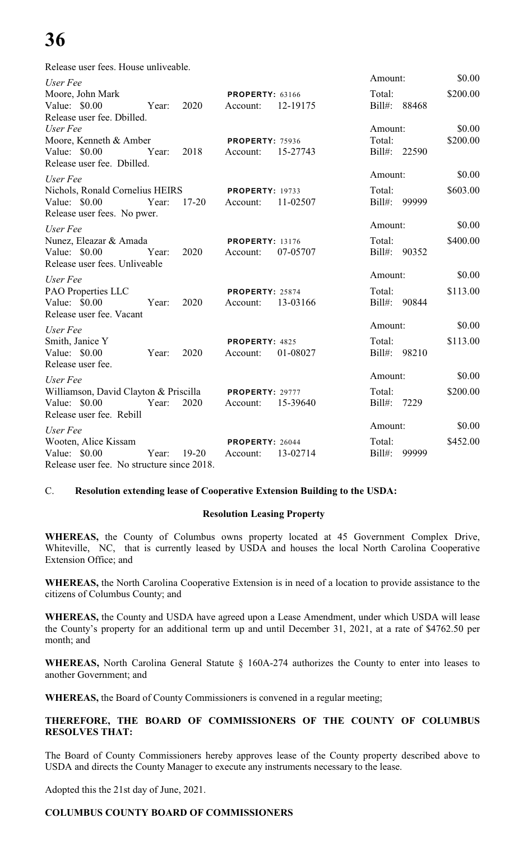# **36**

Release user fees. House unliveable.

| User Fee                                   |           |                        |          | Amount:            | \$0.00   |
|--------------------------------------------|-----------|------------------------|----------|--------------------|----------|
| Moore, John Mark                           |           | <b>PROPERTY: 63166</b> |          | Total:             | \$200.00 |
| Value: \$0.00<br>Year:                     | 2020      | Account:               | 12-19175 | Bill#: 88468       |          |
| Release user fee. Dbilled.                 |           |                        |          |                    |          |
| User Fee                                   |           |                        |          | Amount:            | \$0.00   |
| Moore, Kenneth & Amber                     |           | <b>PROPERTY: 75936</b> |          | Total:             | \$200.00 |
| Value: $$0.00$<br>Year:                    | 2018      | Account:               | 15-27743 | Bill#: 22590       |          |
| Release user fee. Dbilled.                 |           |                        |          |                    |          |
| User Fee                                   |           |                        |          | Amount:            | \$0.00   |
| Nichols, Ronald Cornelius HEIRS            |           | <b>PROPERTY: 19733</b> |          | Total:             | \$603.00 |
| Value: $$0.00$<br>Year:                    | $17 - 20$ | Account:               | 11-02507 | Bill#:<br>99999    |          |
| Release user fees. No pwer.                |           |                        |          |                    |          |
| User Fee                                   |           |                        |          | Amount:            | \$0.00   |
| Nunez, Eleazar & Amada                     |           | <b>PROPERTY: 13176</b> |          | Total:             | \$400.00 |
| Value: \$0.00<br>Year:                     | 2020      | Account:               | 07-05707 | Bill#: 90352       |          |
| Release user fees. Unliveable              |           |                        |          |                    |          |
| User Fee                                   |           |                        |          | Amount:            | \$0.00   |
| PAO Properties LLC                         |           | PROPERTY: 25874        |          | Total:             | \$113.00 |
| Value: \$0.00<br>Year:                     | 2020      | Account:               | 13-03166 | Bill#: 90844       |          |
| Release user fee. Vacant                   |           |                        |          |                    |          |
| User Fee                                   |           |                        |          | Amount:            | \$0.00   |
| Smith, Janice Y                            |           | PROPERTY: 4825         |          | Total:             | \$113.00 |
| Value: \$0.00<br>Year:                     | 2020      | Account:               | 01-08027 | Bill#: 98210       |          |
| Release user fee.                          |           |                        |          |                    |          |
| User Fee                                   |           |                        |          | Amount:            | \$0.00   |
| Williamson, David Clayton & Priscilla      |           | PROPERTY: 29777        |          | Total:             | \$200.00 |
| Value: \$0.00<br>Year:                     | 2020      | Account:               | 15-39640 | Bill#:<br>7229     |          |
| Release user fee. Rebill                   |           |                        |          |                    |          |
| User Fee                                   |           |                        |          | Amount:            | \$0.00   |
| Wooten, Alice Kissam                       |           | PROPERTY: 26044        |          | Total:             | \$452.00 |
| Year:<br>Value: \$0.00                     | $19-20$   | Account:               | 13-02714 | $Bill#$ :<br>99999 |          |
| Release user fee. No structure since 2018. |           |                        |          |                    |          |

# C. **Resolution extending lease of Cooperative Extension Building to the USDA:**

# **Resolution Leasing Property**

**WHEREAS,** the County of Columbus owns property located at 45 Government Complex Drive, Whiteville, NC, that is currently leased by USDA and houses the local North Carolina Cooperative Extension Office; and

**WHEREAS,** the North Carolina Cooperative Extension is in need of a location to provide assistance to the citizens of Columbus County; and

**WHEREAS,** the County and USDA have agreed upon a Lease Amendment, under which USDA will lease the County's property for an additional term up and until December 31, 2021, at a rate of \$4762.50 per month; and

**WHEREAS,** North Carolina General Statute § 160A-274 authorizes the County to enter into leases to another Government; and

**WHEREAS,** the Board of County Commissioners is convened in a regular meeting;

# **THEREFORE, THE BOARD OF COMMISSIONERS OF THE COUNTY OF COLUMBUS RESOLVES THAT:**

The Board of County Commissioners hereby approves lease of the County property described above to USDA and directs the County Manager to execute any instruments necessary to the lease.

Adopted this the 21st day of June, 2021.

# **COLUMBUS COUNTY BOARD OF COMMISSIONERS**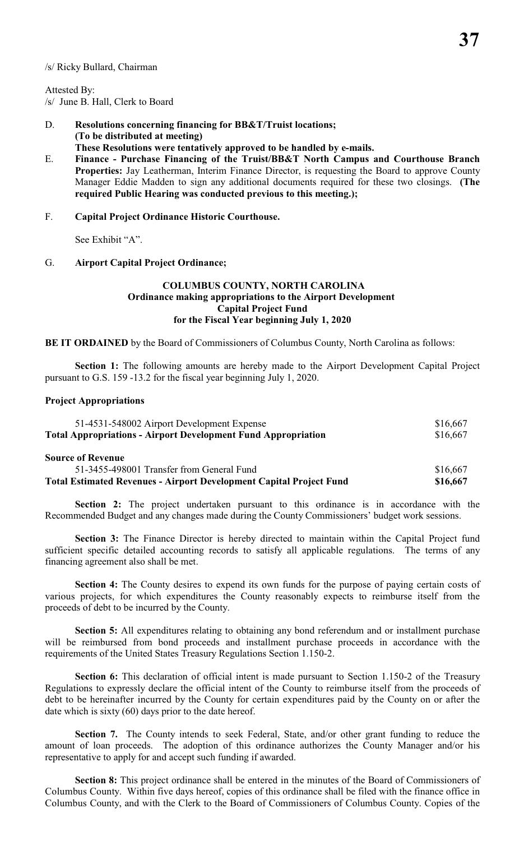#### /s/ Ricky Bullard, Chairman

Attested By: /s/ June B. Hall, Clerk to Board

- D. **Resolutions concerning financing for BB&T/Truist locations; (To be distributed at meeting) These Resolutions were tentatively approved to be handled by e-mails.**
- E. **Finance Purchase Financing of the Truist/BB&T North Campus and Courthouse Branch Properties:** Jay Leatherman, Interim Finance Director, is requesting the Board to approve County Manager Eddie Madden to sign any additional documents required for these two closings. **(The required Public Hearing was conducted previous to this meeting.);**

#### F. **Capital Project Ordinance Historic Courthouse.**

See Exhibit "A".

#### G. **Airport Capital Project Ordinance;**

### **COLUMBUS COUNTY, NORTH CAROLINA Ordinance making appropriations to the Airport Development Capital Project Fund for the Fiscal Year beginning July 1, 2020**

**BE IT ORDAINED** by the Board of Commissioners of Columbus County, North Carolina as follows:

**Section 1:** The following amounts are hereby made to the Airport Development Capital Project pursuant to G.S. 159 -13.2 for the fiscal year beginning July 1, 2020.

#### **Project Appropriations**

| 51-4531-548002 Airport Development Expense<br><b>Total Appropriations - Airport Development Fund Appropriation</b> | \$16,667<br>\$16,667 |
|--------------------------------------------------------------------------------------------------------------------|----------------------|
| <b>Source of Revenue</b>                                                                                           |                      |
| 51-3455-498001 Transfer from General Fund                                                                          | \$16,667             |
| <b>Total Estimated Revenues - Airport Development Capital Project Fund</b>                                         | \$16,667             |

Section 2: The project undertaken pursuant to this ordinance is in accordance with the Recommended Budget and any changes made during the County Commissioners' budget work sessions.

**Section 3:** The Finance Director is hereby directed to maintain within the Capital Project fund sufficient specific detailed accounting records to satisfy all applicable regulations. The terms of any financing agreement also shall be met.

**Section 4:** The County desires to expend its own funds for the purpose of paying certain costs of various projects, for which expenditures the County reasonably expects to reimburse itself from the proceeds of debt to be incurred by the County.

**Section 5:** All expenditures relating to obtaining any bond referendum and or installment purchase will be reimbursed from bond proceeds and installment purchase proceeds in accordance with the requirements of the United States Treasury Regulations Section 1.150-2.

**Section 6:** This declaration of official intent is made pursuant to Section 1.150-2 of the Treasury Regulations to expressly declare the official intent of the County to reimburse itself from the proceeds of debt to be hereinafter incurred by the County for certain expenditures paid by the County on or after the date which is sixty (60) days prior to the date hereof.

**Section 7.** The County intends to seek Federal, State, and/or other grant funding to reduce the amount of loan proceeds. The adoption of this ordinance authorizes the County Manager and/or his representative to apply for and accept such funding if awarded.

**Section 8:** This project ordinance shall be entered in the minutes of the Board of Commissioners of Columbus County. Within five days hereof, copies of this ordinance shall be filed with the finance office in Columbus County, and with the Clerk to the Board of Commissioners of Columbus County. Copies of the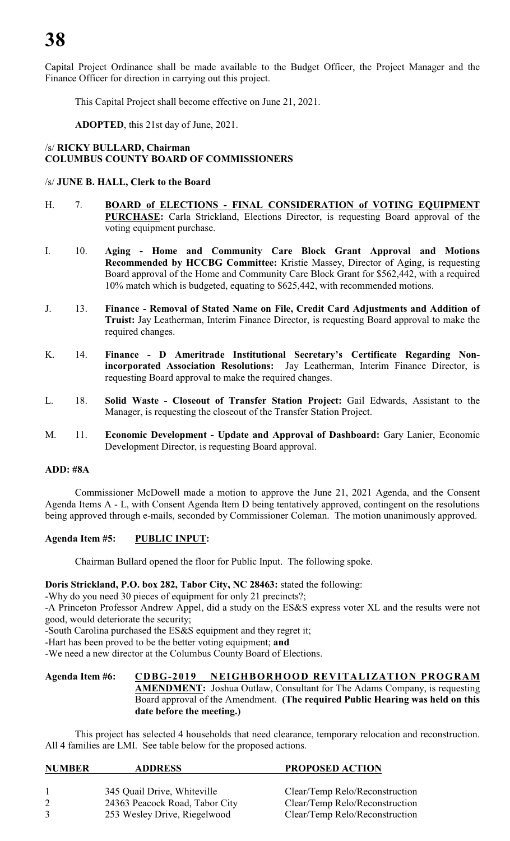Capital Project Ordinance shall be made available to the Budget Officer, the Project Manager and the Finance Officer for direction in carrying out this project.

This Capital Project shall become effective on June 21, 2021.

**ADOPTED**, this 21st day of June, 2021.

# /s/ **RICKY BULLARD, Chairman COLUMBUS COUNTY BOARD OF COMMISSIONERS**

# /s/ **JUNE B. HALL, Clerk to the Board**

- H. 7. **BOARD of ELECTIONS FINAL CONSIDERATION of VOTING EQUIPMENT PURCHASE:** Carla Strickland, Elections Director, is requesting Board approval of the voting equipment purchase.
- I. 10. **Aging Home and Community Care Block Grant Approval and Motions Recommended by HCCBG Committee:** Kristie Massey, Director of Aging, is requesting Board approval of the Home and Community Care Block Grant for \$562,442, with a required 10% match which is budgeted, equating to \$625,442, with recommended motions.
- J. 13. **Finance - Removal of Stated Name on File, Credit Card Adjustments and Addition of Truist:** Jay Leatherman, Interim Finance Director, is requesting Board approval to make the required changes.
- K. 14. **Finance D Ameritrade Institutional Secretary's Certificate Regarding Nonincorporated Association Resolutions:** Jay Leatherman, Interim Finance Director, is requesting Board approval to make the required changes.
- L. 18. **Solid Waste Closeout of Transfer Station Project:** Gail Edwards, Assistant to the Manager, is requesting the closeout of the Transfer Station Project.
- M. 11. **Economic Development Update and Approval of Dashboard:** Gary Lanier, Economic Development Director, is requesting Board approval.

# **ADD: #8A**

Commissioner McDowell made a motion to approve the June 21, 2021 Agenda, and the Consent Agenda Items A - L, with Consent Agenda Item D being tentatively approved, contingent on the resolutions being approved through e-mails, seconded by Commissioner Coleman. The motion unanimously approved.

# **Agenda Item #5: PUBLIC INPUT:**

Chairman Bullard opened the floor for Public Input. The following spoke.

**Doris Strickland, P.O. box 282, Tabor City, NC 28463:** stated the following:

-Why do you need 30 pieces of equipment for only 21 precincts?;

-A Princeton Professor Andrew Appel, did a study on the ES&S express voter XL and the results were not good, would deteriorate the security;

-South Carolina purchased the ES&S equipment and they regret it;

-Hart has been proved to be the better voting equipment; **and**

-We need a new director at the Columbus County Board of Elections.

# **Agenda Item #6: CDBG-2019 NEIGHBORHOOD REVITALIZATION PROGRAM AMENDMENT:** Joshua Outlaw, Consultant for The Adams Company, is requesting Board approval of the Amendment. **(The required Public Hearing was held on this date before the meeting.)**

This project has selected 4 households that need clearance, temporary relocation and reconstruction. All 4 families are LMI. See table below for the proposed actions.

| <b>NUMBER</b> | <b>ADDRESS</b>                 | <b>PROPOSED ACTION</b>         |
|---------------|--------------------------------|--------------------------------|
|               | 345 Quail Drive, Whiteville    | Clear/Temp Relo/Reconstruction |
|               | 24363 Peacock Road, Tabor City | Clear/Temp Relo/Reconstruction |
| 3             | 253 Wesley Drive, Riegelwood   | Clear/Temp Relo/Reconstruction |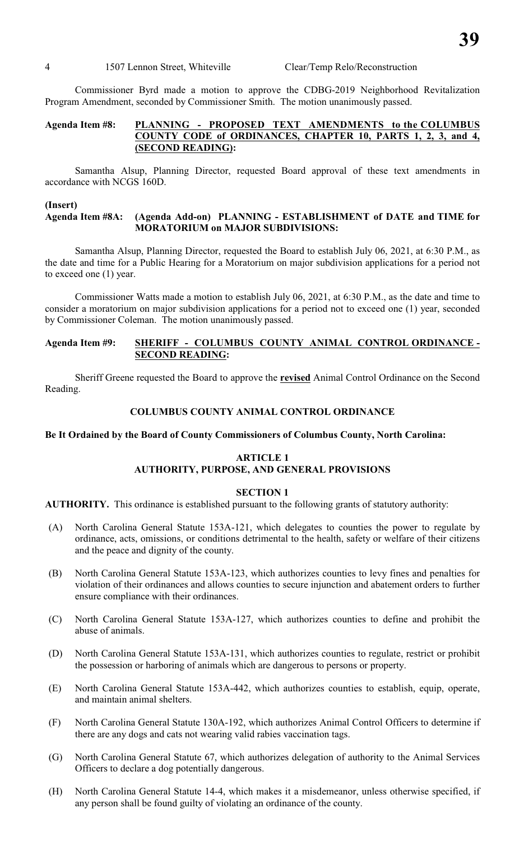4 1507 Lennon Street, Whiteville Clear/Temp Relo/Reconstruction

Commissioner Byrd made a motion to approve the CDBG-2019 Neighborhood Revitalization Program Amendment, seconded by Commissioner Smith. The motion unanimously passed.

# **Agenda Item #8: PLANNING - PROPOSED TEXT AMENDMENTS to the COLUMBUS COUNTY CODE of ORDINANCES, CHAPTER 10, PARTS 1, 2, 3, and 4, (SECOND READING):**

Samantha Alsup, Planning Director, requested Board approval of these text amendments in accordance with NCGS 160D.

#### **(Insert)**

#### **Agenda Item #8A: (Agenda Add-on) PLANNING - ESTABLISHMENT of DATE and TIME for MORATORIUM on MAJOR SUBDIVISIONS:**

Samantha Alsup, Planning Director, requested the Board to establish July 06, 2021, at 6:30 P.M., as the date and time for a Public Hearing for a Moratorium on major subdivision applications for a period not to exceed one (1) year.

Commissioner Watts made a motion to establish July 06, 2021, at 6:30 P.M., as the date and time to consider a moratorium on major subdivision applications for a period not to exceed one (1) year, seconded by Commissioner Coleman. The motion unanimously passed.

# **Agenda Item #9: SHERIFF - COLUMBUS COUNTY ANIMAL CONTROL ORDINANCE - SECOND READING:**

Sheriff Greene requested the Board to approve the **revised** Animal Control Ordinance on the Second Reading.

#### **COLUMBUS COUNTY ANIMAL CONTROL ORDINANCE**

#### **Be It Ordained by the Board of County Commissioners of Columbus County, North Carolina:**

### **ARTICLE 1 AUTHORITY, PURPOSE, AND GENERAL PROVISIONS**

#### **SECTION 1**

**AUTHORITY.** This ordinance is established pursuant to the following grants of statutory authority:

- (A) North Carolina General Statute 153A-121, which delegates to counties the power to regulate by ordinance, acts, omissions, or conditions detrimental to the health, safety or welfare of their citizens and the peace and dignity of the county.
- (B) North Carolina General Statute 153A-123, which authorizes counties to levy fines and penalties for violation of their ordinances and allows counties to secure injunction and abatement orders to further ensure compliance with their ordinances.
- (C) North Carolina General Statute 153A-127, which authorizes counties to define and prohibit the abuse of animals.
- (D) North Carolina General Statute 153A-131, which authorizes counties to regulate, restrict or prohibit the possession or harboring of animals which are dangerous to persons or property.
- (E) North Carolina General Statute 153A-442, which authorizes counties to establish, equip, operate, and maintain animal shelters.
- (F) North Carolina General Statute 130A-192, which authorizes Animal Control Officers to determine if there are any dogs and cats not wearing valid rabies vaccination tags.
- (G) North Carolina General Statute 67, which authorizes delegation of authority to the Animal Services Officers to declare a dog potentially dangerous.
- (H) North Carolina General Statute 14-4, which makes it a misdemeanor, unless otherwise specified, if any person shall be found guilty of violating an ordinance of the county.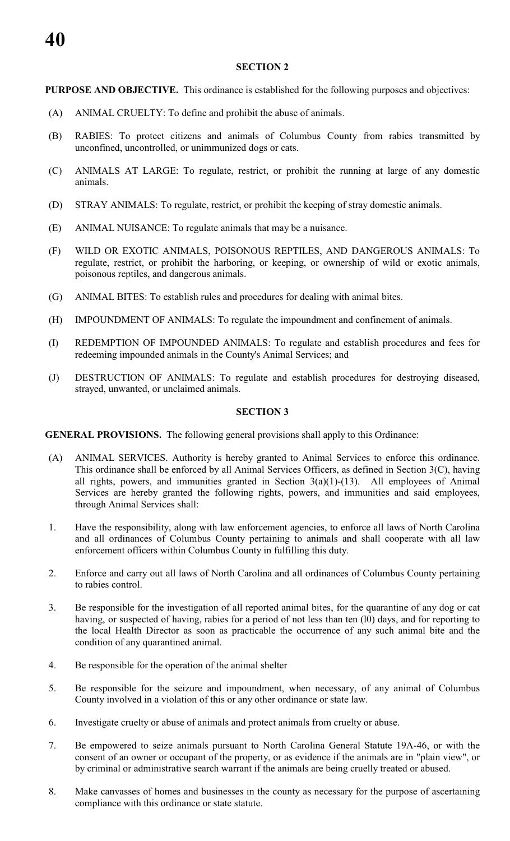# **SECTION 2**

**PURPOSE AND OBJECTIVE.** This ordinance is established for the following purposes and objectives:

- (A) ANIMAL CRUELTY: To define and prohibit the abuse of animals.
- (B) RABIES: To protect citizens and animals of Columbus County from rabies transmitted by unconfined, uncontrolled, or unimmunized dogs or cats.
- (C) ANIMALS AT LARGE: To regulate, restrict, or prohibit the running at large of any domestic animals.
- (D) STRAY ANIMALS: To regulate, restrict, or prohibit the keeping of stray domestic animals.
- (E) ANIMAL NUISANCE: To regulate animals that may be a nuisance.
- (F) WILD OR EXOTIC ANIMALS, POISONOUS REPTILES, AND DANGEROUS ANIMALS: To regulate, restrict, or prohibit the harboring, or keeping, or ownership of wild or exotic animals, poisonous reptiles, and dangerous animals.
- (G) ANIMAL BITES: To establish rules and procedures for dealing with animal bites.
- (H) IMPOUNDMENT OF ANIMALS: To regulate the impoundment and confinement of animals.
- (I) REDEMPTION OF IMPOUNDED ANIMALS: To regulate and establish procedures and fees for redeeming impounded animals in the County's Animal Services; and
- (J) DESTRUCTION OF ANIMALS: To regulate and establish procedures for destroying diseased, strayed, unwanted, or unclaimed animals.

#### **SECTION 3**

**GENERAL PROVISIONS.** The following general provisions shall apply to this Ordinance:

- (A) ANIMAL SERVICES. Authority is hereby granted to Animal Services to enforce this ordinance. This ordinance shall be enforced by all Animal Services Officers, as defined in Section 3(C), having all rights, powers, and immunities granted in Section  $3(a)(1)-(13)$ . All employees of Animal Services are hereby granted the following rights, powers, and immunities and said employees, through Animal Services shall:
- 1. Have the responsibility, along with law enforcement agencies, to enforce all laws of North Carolina and all ordinances of Columbus County pertaining to animals and shall cooperate with all law enforcement officers within Columbus County in fulfilling this duty.
- 2. Enforce and carry out all laws of North Carolina and all ordinances of Columbus County pertaining to rabies control.
- 3. Be responsible for the investigation of all reported animal bites, for the quarantine of any dog or cat having, or suspected of having, rabies for a period of not less than ten (l0) days, and for reporting to the local Health Director as soon as practicable the occurrence of any such animal bite and the condition of any quarantined animal.
- 4. Be responsible for the operation of the animal shelter
- 5. Be responsible for the seizure and impoundment, when necessary, of any animal of Columbus County involved in a violation of this or any other ordinance or state law.
- 6. Investigate cruelty or abuse of animals and protect animals from cruelty or abuse.
- 7. Be empowered to seize animals pursuant to North Carolina General Statute 19A-46, or with the consent of an owner or occupant of the property, or as evidence if the animals are in "plain view", or by criminal or administrative search warrant if the animals are being cruelly treated or abused.
- 8. Make canvasses of homes and businesses in the county as necessary for the purpose of ascertaining compliance with this ordinance or state statute.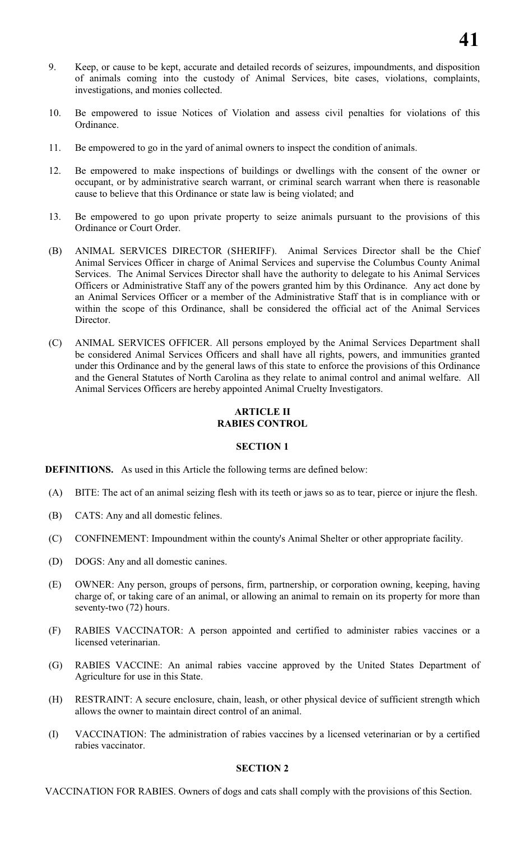- 9. Keep, or cause to be kept, accurate and detailed records of seizures, impoundments, and disposition of animals coming into the custody of Animal Services, bite cases, violations, complaints, investigations, and monies collected.
- 10. Be empowered to issue Notices of Violation and assess civil penalties for violations of this Ordinance.
- 11. Be empowered to go in the yard of animal owners to inspect the condition of animals.
- 12. Be empowered to make inspections of buildings or dwellings with the consent of the owner or occupant, or by administrative search warrant, or criminal search warrant when there is reasonable cause to believe that this Ordinance or state law is being violated; and
- 13. Be empowered to go upon private property to seize animals pursuant to the provisions of this Ordinance or Court Order.
- (B) ANIMAL SERVICES DIRECTOR (SHERIFF). Animal Services Director shall be the Chief Animal Services Officer in charge of Animal Services and supervise the Columbus County Animal Services. The Animal Services Director shall have the authority to delegate to his Animal Services Officers or Administrative Staff any of the powers granted him by this Ordinance. Any act done by an Animal Services Officer or a member of the Administrative Staff that is in compliance with or within the scope of this Ordinance, shall be considered the official act of the Animal Services Director.
- (C) ANIMAL SERVICES OFFICER. All persons employed by the Animal Services Department shall be considered Animal Services Officers and shall have all rights, powers, and immunities granted under this Ordinance and by the general laws of this state to enforce the provisions of this Ordinance and the General Statutes of North Carolina as they relate to animal control and animal welfare. All Animal Services Officers are hereby appointed Animal Cruelty Investigators.

# **ARTICLE II RABIES CONTROL**

# **SECTION 1**

**DEFINITIONS.** As used in this Article the following terms are defined below:

- (A) BITE: The act of an animal seizing flesh with its teeth or jaws so as to tear, pierce or injure the flesh.
- (B) CATS: Any and all domestic felines.
- (C) CONFINEMENT: Impoundment within the county's Animal Shelter or other appropriate facility.
- (D) DOGS: Any and all domestic canines.
- (E) OWNER: Any person, groups of persons, firm, partnership, or corporation owning, keeping, having charge of, or taking care of an animal, or allowing an animal to remain on its property for more than seventy-two (72) hours.
- (F) RABIES VACCINATOR: A person appointed and certified to administer rabies vaccines or a licensed veterinarian.
- (G) RABIES VACCINE: An animal rabies vaccine approved by the United States Department of Agriculture for use in this State.
- (H) RESTRAINT: A secure enclosure, chain, leash, or other physical device of sufficient strength which allows the owner to maintain direct control of an animal.
- (I) VACCINATION: The administration of rabies vaccines by a licensed veterinarian or by a certified rabies vaccinator.

# **SECTION 2**

VACCINATION FOR RABIES. Owners of dogs and cats shall comply with the provisions of this Section.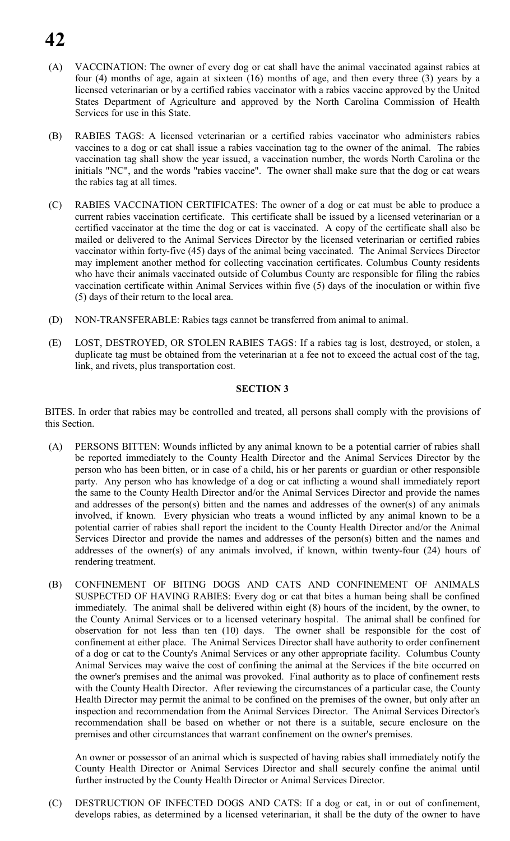# **42**

- (A) VACCINATION: The owner of every dog or cat shall have the animal vaccinated against rabies at four (4) months of age, again at sixteen (16) months of age, and then every three (3) years by a licensed veterinarian or by a certified rabies vaccinator with a rabies vaccine approved by the United States Department of Agriculture and approved by the North Carolina Commission of Health Services for use in this State.
- (B) RABIES TAGS: A licensed veterinarian or a certified rabies vaccinator who administers rabies vaccines to a dog or cat shall issue a rabies vaccination tag to the owner of the animal. The rabies vaccination tag shall show the year issued, a vaccination number, the words North Carolina or the initials "NC", and the words "rabies vaccine". The owner shall make sure that the dog or cat wears the rabies tag at all times.
- (C) RABIES VACCINATION CERTIFICATES: The owner of a dog or cat must be able to produce a current rabies vaccination certificate. This certificate shall be issued by a licensed veterinarian or a certified vaccinator at the time the dog or cat is vaccinated. A copy of the certificate shall also be mailed or delivered to the Animal Services Director by the licensed veterinarian or certified rabies vaccinator within forty-five (45) days of the animal being vaccinated. The Animal Services Director may implement another method for collecting vaccination certificates. Columbus County residents who have their animals vaccinated outside of Columbus County are responsible for filing the rabies vaccination certificate within Animal Services within five (5) days of the inoculation or within five (5) days of their return to the local area.
- (D) NON-TRANSFERABLE: Rabies tags cannot be transferred from animal to animal.
- (E) LOST, DESTROYED, OR STOLEN RABIES TAGS: If a rabies tag is lost, destroyed, or stolen, a duplicate tag must be obtained from the veterinarian at a fee not to exceed the actual cost of the tag, link, and rivets, plus transportation cost.

# **SECTION 3**

BITES. In order that rabies may be controlled and treated, all persons shall comply with the provisions of this Section.

- (A) PERSONS BITTEN: Wounds inflicted by any animal known to be a potential carrier of rabies shall be reported immediately to the County Health Director and the Animal Services Director by the person who has been bitten, or in case of a child, his or her parents or guardian or other responsible party. Any person who has knowledge of a dog or cat inflicting a wound shall immediately report the same to the County Health Director and/or the Animal Services Director and provide the names and addresses of the person(s) bitten and the names and addresses of the owner(s) of any animals involved, if known. Every physician who treats a wound inflicted by any animal known to be a potential carrier of rabies shall report the incident to the County Health Director and/or the Animal Services Director and provide the names and addresses of the person(s) bitten and the names and addresses of the owner(s) of any animals involved, if known, within twenty-four (24) hours of rendering treatment.
- (B) CONFINEMENT OF BITING DOGS AND CATS AND CONFINEMENT OF ANIMALS SUSPECTED OF HAVING RABIES: Every dog or cat that bites a human being shall be confined immediately. The animal shall be delivered within eight (8) hours of the incident, by the owner, to the County Animal Services or to a licensed veterinary hospital. The animal shall be confined for observation for not less than ten (10) days. The owner shall be responsible for the cost of confinement at either place. The Animal Services Director shall have authority to order confinement of a dog or cat to the County's Animal Services or any other appropriate facility. Columbus County Animal Services may waive the cost of confining the animal at the Services if the bite occurred on the owner's premises and the animal was provoked. Final authority as to place of confinement rests with the County Health Director. After reviewing the circumstances of a particular case, the County Health Director may permit the animal to be confined on the premises of the owner, but only after an inspection and recommendation from the Animal Services Director. The Animal Services Director's recommendation shall be based on whether or not there is a suitable, secure enclosure on the premises and other circumstances that warrant confinement on the owner's premises.

An owner or possessor of an animal which is suspected of having rabies shall immediately notify the County Health Director or Animal Services Director and shall securely confine the animal until further instructed by the County Health Director or Animal Services Director.

(C) DESTRUCTION OF INFECTED DOGS AND CATS: If a dog or cat, in or out of confinement, develops rabies, as determined by a licensed veterinarian, it shall be the duty of the owner to have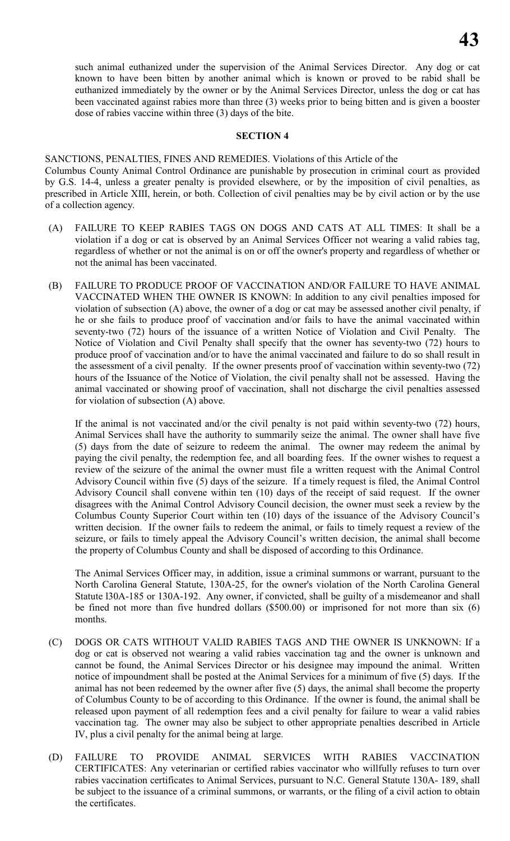such animal euthanized under the supervision of the Animal Services Director. Any dog or cat known to have been bitten by another animal which is known or proved to be rabid shall be euthanized immediately by the owner or by the Animal Services Director, unless the dog or cat has been vaccinated against rabies more than three (3) weeks prior to being bitten and is given a booster dose of rabies vaccine within three (3) days of the bite.

#### **SECTION 4**

SANCTIONS, PENALTIES, FINES AND REMEDIES. Violations of this Article of the Columbus County Animal Control Ordinance are punishable by prosecution in criminal court as provided by G.S. 14-4, unless a greater penalty is provided elsewhere, or by the imposition of civil penalties, as prescribed in Article XIII, herein, or both. Collection of civil penalties may be by civil action or by the use of a collection agency.

- (A) FAILURE TO KEEP RABIES TAGS ON DOGS AND CATS AT ALL TIMES: It shall be a violation if a dog or cat is observed by an Animal Services Officer not wearing a valid rabies tag, regardless of whether or not the animal is on or off the owner's property and regardless of whether or not the animal has been vaccinated.
- (B) FAILURE TO PRODUCE PROOF OF VACCINATION AND/OR FAILURE TO HAVE ANIMAL VACCINATED WHEN THE OWNER IS KNOWN: In addition to any civil penalties imposed for violation of subsection (A) above, the owner of a dog or cat may be assessed another civil penalty, if he or she fails to produce proof of vaccination and/or fails to have the animal vaccinated within seventy-two (72) hours of the issuance of a written Notice of Violation and Civil Penalty. The Notice of Violation and Civil Penalty shall specify that the owner has seventy-two (72) hours to produce proof of vaccination and/or to have the animal vaccinated and failure to do so shall result in the assessment of a civil penalty. If the owner presents proof of vaccination within seventy-two (72) hours of the Issuance of the Notice of Violation, the civil penalty shall not be assessed. Having the animal vaccinated or showing proof of vaccination, shall not discharge the civil penalties assessed for violation of subsection (A) above.

If the animal is not vaccinated and/or the civil penalty is not paid within seventy-two (72) hours, Animal Services shall have the authority to summarily seize the animal. The owner shall have five (5) days from the date of seizure to redeem the animal. The owner may redeem the animal by paying the civil penalty, the redemption fee, and all boarding fees. If the owner wishes to request a review of the seizure of the animal the owner must file a written request with the Animal Control Advisory Council within five (5) days of the seizure. If a timely request is filed, the Animal Control Advisory Council shall convene within ten (10) days of the receipt of said request. If the owner disagrees with the Animal Control Advisory Council decision, the owner must seek a review by the Columbus County Superior Court within ten (10) days of the issuance of the Advisory Council's written decision. If the owner fails to redeem the animal, or fails to timely request a review of the seizure, or fails to timely appeal the Advisory Council's written decision, the animal shall become the property of Columbus County and shall be disposed of according to this Ordinance.

The Animal Services Officer may, in addition, issue a criminal summons or warrant, pursuant to the North Carolina General Statute, 130A-25, for the owner's violation of the North Carolina General Statute l30A-185 or 130A-192. Any owner, if convicted, shall be guilty of a misdemeanor and shall be fined not more than five hundred dollars (\$500.00) or imprisoned for not more than six (6) months.

- (C) DOGS OR CATS WITHOUT VALID RABIES TAGS AND THE OWNER IS UNKNOWN: If a dog or cat is observed not wearing a valid rabies vaccination tag and the owner is unknown and cannot be found, the Animal Services Director or his designee may impound the animal. Written notice of impoundment shall be posted at the Animal Services for a minimum of five (5) days. If the animal has not been redeemed by the owner after five (5) days, the animal shall become the property of Columbus County to be of according to this Ordinance. If the owner is found, the animal shall be released upon payment of all redemption fees and a civil penalty for failure to wear a valid rabies vaccination tag. The owner may also be subject to other appropriate penalties described in Article IV, plus a civil penalty for the animal being at large.
- (D) FAILURE TO PROVIDE ANIMAL SERVICES WITH RABIES VACCINATION CERTIFICATES: Any veterinarian or certified rabies vaccinator who willfully refuses to turn over rabies vaccination certificates to Animal Services, pursuant to N.C. General Statute 130A- 189, shall be subject to the issuance of a criminal summons, or warrants, or the filing of a civil action to obtain the certificates.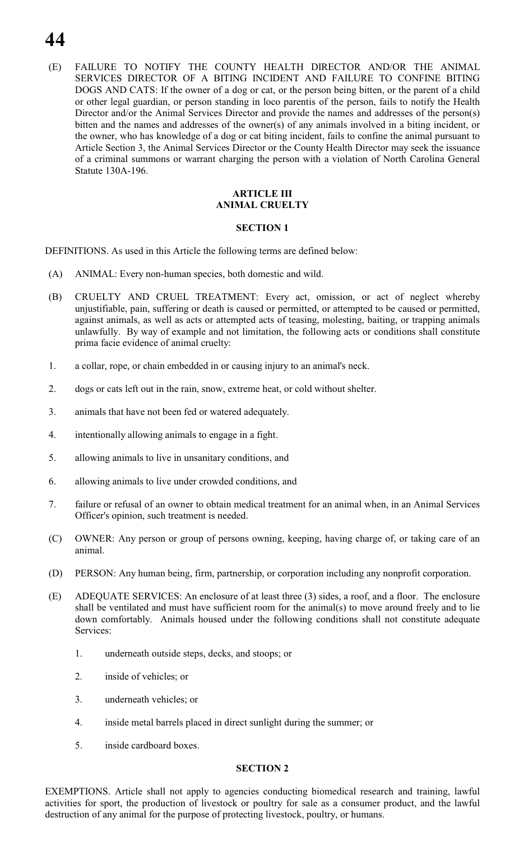# **44**

(E) FAILURE TO NOTIFY THE COUNTY HEALTH DIRECTOR AND/OR THE ANIMAL SERVICES DIRECTOR OF A BITING INCIDENT AND FAILURE TO CONFINE BITING DOGS AND CATS: If the owner of a dog or cat, or the person being bitten, or the parent of a child or other legal guardian, or person standing in loco parentis of the person, fails to notify the Health Director and/or the Animal Services Director and provide the names and addresses of the person(s) bitten and the names and addresses of the owner(s) of any animals involved in a biting incident, or the owner, who has knowledge of a dog or cat biting incident, fails to confine the animal pursuant to Article Section 3, the Animal Services Director or the County Health Director may seek the issuance of a criminal summons or warrant charging the person with a violation of North Carolina General Statute 130A-196.

# **ARTICLE III ANIMAL CRUELTY**

#### **SECTION 1**

DEFINITIONS. As used in this Article the following terms are defined below:

- (A) ANIMAL: Every non-human species, both domestic and wild.
- (B) CRUELTY AND CRUEL TREATMENT: Every act, omission, or act of neglect whereby unjustifiable, pain, suffering or death is caused or permitted, or attempted to be caused or permitted, against animals, as well as acts or attempted acts of teasing, molesting, baiting, or trapping animals unlawfully. By way of example and not limitation, the following acts or conditions shall constitute prima facie evidence of animal cruelty:
- 1. a collar, rope, or chain embedded in or causing injury to an animal's neck.
- 2. dogs or cats left out in the rain, snow, extreme heat, or cold without shelter.
- 3. animals that have not been fed or watered adequately.
- 4. intentionally allowing animals to engage in a fight.
- 5. allowing animals to live in unsanitary conditions, and
- 6. allowing animals to live under crowded conditions, and
- 7. failure or refusal of an owner to obtain medical treatment for an animal when, in an Animal Services Officer's opinion, such treatment is needed.
- (C) OWNER: Any person or group of persons owning, keeping, having charge of, or taking care of an animal.
- (D) PERSON: Any human being, firm, partnership, or corporation including any nonprofit corporation.
- (E) ADEQUATE SERVICES: An enclosure of at least three (3) sides, a roof, and a floor. The enclosure shall be ventilated and must have sufficient room for the animal(s) to move around freely and to lie down comfortably. Animals housed under the following conditions shall not constitute adequate Services:
	- 1. underneath outside steps, decks, and stoops; or
	- 2. inside of vehicles; or
	- 3. underneath vehicles; or
	- 4. inside metal barrels placed in direct sunlight during the summer; or
	- 5. inside cardboard boxes.

#### **SECTION 2**

EXEMPTIONS. Article shall not apply to agencies conducting biomedical research and training, lawful activities for sport, the production of livestock or poultry for sale as a consumer product, and the lawful destruction of any animal for the purpose of protecting livestock, poultry, or humans.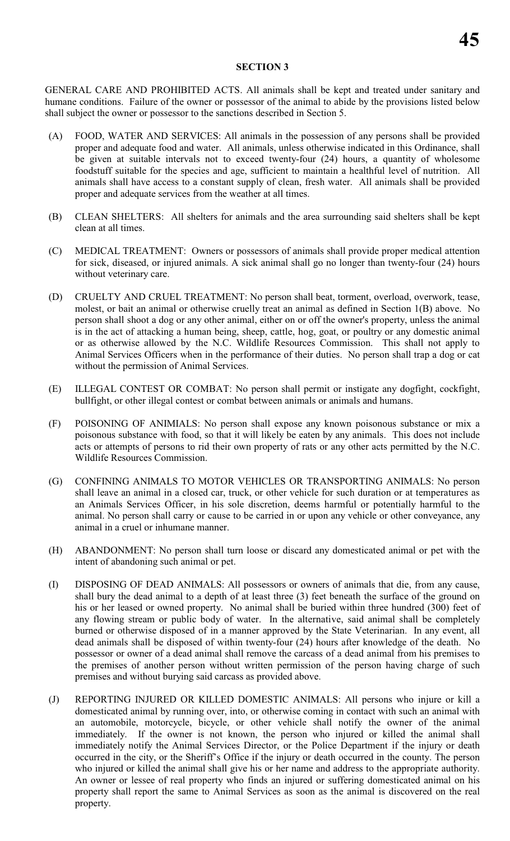# **SECTION 3**

GENERAL CARE AND PROHIBITED ACTS. All animals shall be kept and treated under sanitary and humane conditions. Failure of the owner or possessor of the animal to abide by the provisions listed below shall subject the owner or possessor to the sanctions described in Section 5.

- (A) FOOD, WATER AND SERVICES: All animals in the possession of any persons shall be provided proper and adequate food and water. All animals, unless otherwise indicated in this Ordinance, shall be given at suitable intervals not to exceed twenty-four (24) hours, a quantity of wholesome foodstuff suitable for the species and age, sufficient to maintain a healthful level of nutrition. All animals shall have access to a constant supply of clean, fresh water. All animals shall be provided proper and adequate services from the weather at all times.
- (B) CLEAN SHELTERS: All shelters for animals and the area surrounding said shelters shall be kept clean at all times.
- (C) MEDICAL TREATMENT: Owners or possessors of animals shall provide proper medical attention for sick, diseased, or injured animals. A sick animal shall go no longer than twenty-four (24) hours without veterinary care.
- (D) CRUELTY AND CRUEL TREATMENT: No person shall beat, torment, overload, overwork, tease, molest, or bait an animal or otherwise cruelly treat an animal as defined in Section 1(B) above. No person shall shoot a dog or any other animal, either on or off the owner's property, unless the animal is in the act of attacking a human being, sheep, cattle, hog, goat, or poultry or any domestic animal or as otherwise allowed by the N.C. Wildlife Resources Commission. This shall not apply to Animal Services Officers when in the performance of their duties. No person shall trap a dog or cat without the permission of Animal Services.
- (E) ILLEGAL CONTEST OR COMBAT: No person shall permit or instigate any dogfight, cockfight, bullfight, or other illegal contest or combat between animals or animals and humans.
- (F) POISONING OF ANIMIALS: No person shall expose any known poisonous substance or mix a poisonous substance with food, so that it will likely be eaten by any animals. This does not include acts or attempts of persons to rid their own property of rats or any other acts permitted by the N.C. Wildlife Resources Commission.
- (G) CONFINING ANIMALS TO MOTOR VEHICLES OR TRANSPORTING ANIMALS: No person shall leave an animal in a closed car, truck, or other vehicle for such duration or at temperatures as an Animals Services Officer, in his sole discretion, deems harmful or potentially harmful to the animal. No person shall carry or cause to be carried in or upon any vehicle or other conveyance, any animal in a cruel or inhumane manner.
- (H) ABANDONMENT: No person shall turn loose or discard any domesticated animal or pet with the intent of abandoning such animal or pet.
- (I) DISPOSING OF DEAD ANIMALS: All possessors or owners of animals that die, from any cause, shall bury the dead animal to a depth of at least three (3) feet beneath the surface of the ground on his or her leased or owned property. No animal shall be buried within three hundred (300) feet of any flowing stream or public body of water. In the alternative, said animal shall be completely burned or otherwise disposed of in a manner approved by the State Veterinarian. In any event, all dead animals shall be disposed of within twenty-four (24) hours after knowledge of the death. No possessor or owner of a dead animal shall remove the carcass of a dead animal from his premises to the premises of another person without written permission of the person having charge of such premises and without burying said carcass as provided above.
- (J) REPORTING INJURED OR KILLED DOMESTIC ANIMALS: All persons who injure or kill a domesticated animal by running over, into, or otherwise coming in contact with such an animal with an automobile, motorcycle, bicycle, or other vehicle shall notify the owner of the animal immediately. If the owner is not known, the person who injured or killed the animal shall immediately notify the Animal Services Director, or the Police Department if the injury or death occurred in the city, or the Sheriff's Office if the injury or death occurred in the county. The person who injured or killed the animal shall give his or her name and address to the appropriate authority. An owner or lessee of real property who finds an injured or suffering domesticated animal on his property shall report the same to Animal Services as soon as the animal is discovered on the real property.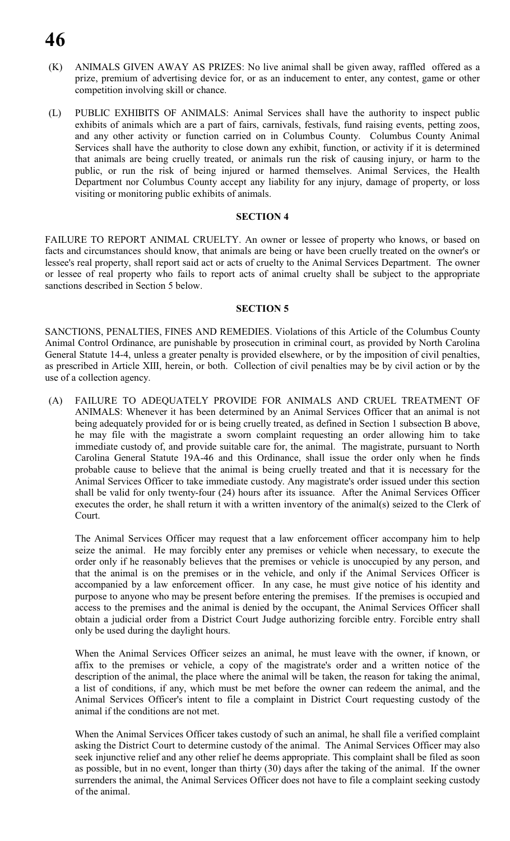# **46**

- (K) ANIMALS GIVEN AWAY AS PRIZES: No live animal shall be given away, raffled offered as a prize, premium of advertising device for, or as an inducement to enter, any contest, game or other competition involving skill or chance.
- (L) PUBLIC EXHIBITS OF ANIMALS: Animal Services shall have the authority to inspect public exhibits of animals which are a part of fairs, carnivals, festivals, fund raising events, petting zoos, and any other activity or function carried on in Columbus County. Columbus County Animal Services shall have the authority to close down any exhibit, function, or activity if it is determined that animals are being cruelly treated, or animals run the risk of causing injury, or harm to the public, or run the risk of being injured or harmed themselves. Animal Services, the Health Department nor Columbus County accept any liability for any injury, damage of property, or loss visiting or monitoring public exhibits of animals.

#### **SECTION 4**

FAILURE TO REPORT ANIMAL CRUELTY. An owner or lessee of property who knows, or based on facts and circumstances should know, that animals are being or have been cruelly treated on the owner's or lessee's real property, shall report said act or acts of cruelty to the Animal Services Department. The owner or lessee of real property who fails to report acts of animal cruelty shall be subject to the appropriate sanctions described in Section 5 below.

# **SECTION 5**

SANCTIONS, PENALTIES, FINES AND REMEDIES. Violations of this Article of the Columbus County Animal Control Ordinance, are punishable by prosecution in criminal court, as provided by North Carolina General Statute 14-4, unless a greater penalty is provided elsewhere, or by the imposition of civil penalties, as prescribed in Article XIII, herein, or both. Collection of civil penalties may be by civil action or by the use of a collection agency.

(A) FAILURE TO ADEQUATELY PROVIDE FOR ANIMALS AND CRUEL TREATMENT OF ANIMALS: Whenever it has been determined by an Animal Services Officer that an animal is not being adequately provided for or is being cruelly treated, as defined in Section 1 subsection B above, he may file with the magistrate a sworn complaint requesting an order allowing him to take immediate custody of, and provide suitable care for, the animal. The magistrate, pursuant to North Carolina General Statute 19A-46 and this Ordinance, shall issue the order only when he finds probable cause to believe that the animal is being cruelly treated and that it is necessary for the Animal Services Officer to take immediate custody. Any magistrate's order issued under this section shall be valid for only twenty-four (24) hours after its issuance. After the Animal Services Officer executes the order, he shall return it with a written inventory of the animal(s) seized to the Clerk of Court.

The Animal Services Officer may request that a law enforcement officer accompany him to help seize the animal. He may forcibly enter any premises or vehicle when necessary, to execute the order only if he reasonably believes that the premises or vehicle is unoccupied by any person, and that the animal is on the premises or in the vehicle, and only if the Animal Services Officer is accompanied by a law enforcement officer. In any case, he must give notice of his identity and purpose to anyone who may be present before entering the premises. If the premises is occupied and access to the premises and the animal is denied by the occupant, the Animal Services Officer shall obtain a judicial order from a District Court Judge authorizing forcible entry. Forcible entry shall only be used during the daylight hours.

When the Animal Services Officer seizes an animal, he must leave with the owner, if known, or affix to the premises or vehicle, a copy of the magistrate's order and a written notice of the description of the animal, the place where the animal will be taken, the reason for taking the animal, a list of conditions, if any, which must be met before the owner can redeem the animal, and the Animal Services Officer's intent to file a complaint in District Court requesting custody of the animal if the conditions are not met.

When the Animal Services Officer takes custody of such an animal, he shall file a verified complaint asking the District Court to determine custody of the animal. The Animal Services Officer may also seek injunctive relief and any other relief he deems appropriate. This complaint shall be filed as soon as possible, but in no event, longer than thirty (30) days after the taking of the animal. If the owner surrenders the animal, the Animal Services Officer does not have to file a complaint seeking custody of the animal.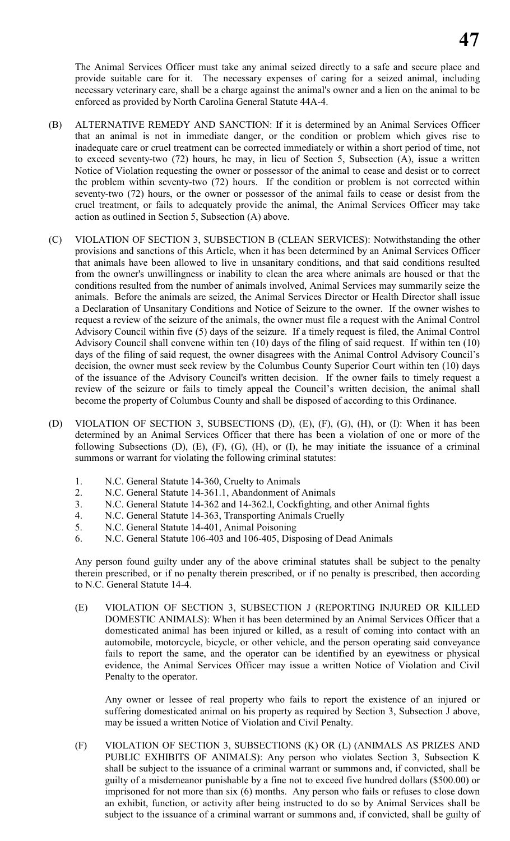The Animal Services Officer must take any animal seized directly to a safe and secure place and provide suitable care for it. The necessary expenses of caring for a seized animal, including necessary veterinary care, shall be a charge against the animal's owner and a lien on the animal to be enforced as provided by North Carolina General Statute 44A-4.

- (B) ALTERNATIVE REMEDY AND SANCTION: If it is determined by an Animal Services Officer that an animal is not in immediate danger, or the condition or problem which gives rise to inadequate care or cruel treatment can be corrected immediately or within a short period of time, not to exceed seventy-two (72) hours, he may, in lieu of Section 5, Subsection (A), issue a written Notice of Violation requesting the owner or possessor of the animal to cease and desist or to correct the problem within seventy-two (72) hours. If the condition or problem is not corrected within seventy-two (72) hours, or the owner or possessor of the animal fails to cease or desist from the cruel treatment, or fails to adequately provide the animal, the Animal Services Officer may take action as outlined in Section 5, Subsection (A) above.
- (C) VIOLATION OF SECTION 3, SUBSECTION B (CLEAN SERVICES): Notwithstanding the other provisions and sanctions of this Article, when it has been determined by an Animal Services Officer that animals have been allowed to live in unsanitary conditions, and that said conditions resulted from the owner's unwillingness or inability to clean the area where animals are housed or that the conditions resulted from the number of animals involved, Animal Services may summarily seize the animals. Before the animals are seized, the Animal Services Director or Health Director shall issue a Declaration of Unsanitary Conditions and Notice of Seizure to the owner. If the owner wishes to request a review of the seizure of the animals, the owner must file a request with the Animal Control Advisory Council within five (5) days of the seizure. If a timely request is filed, the Animal Control Advisory Council shall convene within ten (10) days of the filing of said request. If within ten (10) days of the filing of said request, the owner disagrees with the Animal Control Advisory Council's decision, the owner must seek review by the Columbus County Superior Court within ten (10) days of the issuance of the Advisory Council's written decision. If the owner fails to timely request a review of the seizure or fails to timely appeal the Council's written decision, the animal shall become the property of Columbus County and shall be disposed of according to this Ordinance.
- (D) VIOLATION OF SECTION 3, SUBSECTIONS (D), (E), (F), (G), (H), or (I): When it has been determined by an Animal Services Officer that there has been a violation of one or more of the following Subsections (D), (E), (F), (G), (H), or (I), he may initiate the issuance of a criminal summons or warrant for violating the following criminal statutes:
	- 1. N.C. General Statute 14-360, Cruelty to Animals
	- 2. N.C. General Statute 14-361.1, Abandonment of Animals
	- 3. N.C. General Statute 14-362 and 14-362.l, Cockfighting, and other Animal fights
	- 4. N.C. General Statute 14-363, Transporting Animals Cruelly
	- 5. N.C. General Statute 14-401, Animal Poisoning
	- 6. N.C. General Statute 106-403 and 106-405, Disposing of Dead Animals

Any person found guilty under any of the above criminal statutes shall be subject to the penalty therein prescribed, or if no penalty therein prescribed, or if no penalty is prescribed, then according to N.C. General Statute 14-4.

(E) VIOLATION OF SECTION 3, SUBSECTION J (REPORTING INJURED OR KILLED DOMESTIC ANIMALS): When it has been determined by an Animal Services Officer that a domesticated animal has been injured or killed, as a result of coming into contact with an automobile, motorcycle, bicycle, or other vehicle, and the person operating said conveyance fails to report the same, and the operator can be identified by an eyewitness or physical evidence, the Animal Services Officer may issue a written Notice of Violation and Civil Penalty to the operator.

Any owner or lessee of real property who fails to report the existence of an injured or suffering domesticated animal on his property as required by Section 3, Subsection J above, may be issued a written Notice of Violation and Civil Penalty.

(F) VIOLATION OF SECTION 3, SUBSECTIONS (K) OR (L) (ANIMALS AS PRIZES AND PUBLIC EXHIBITS OF ANIMALS): Any person who violates Section 3, Subsection K shall be subject to the issuance of a criminal warrant or summons and, if convicted, shall be guilty of a misdemeanor punishable by a fine not to exceed five hundred dollars (\$500.00) or imprisoned for not more than six (6) months. Any person who fails or refuses to close down an exhibit, function, or activity after being instructed to do so by Animal Services shall be subject to the issuance of a criminal warrant or summons and, if convicted, shall be guilty of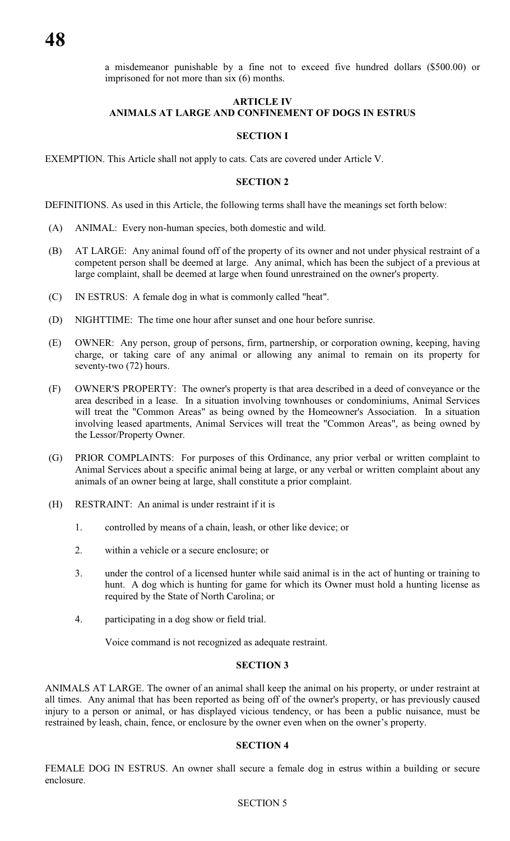a misdemeanor punishable by a fine not to exceed five hundred dollars (\$500.00) or imprisoned for not more than six (6) months.

#### **ARTICLE IV ANIMALS AT LARGE AND CONFINEMENT OF DOGS IN ESTRUS**

# **SECTION I**

EXEMPTION. This Article shall not apply to cats. Cats are covered under Article V.

#### **SECTION 2**

DEFINITIONS. As used in this Article, the following terms shall have the meanings set forth below:

- (A) ANIMAL: Every non-human species, both domestic and wild.
- (B) AT LARGE: Any animal found off of the property of its owner and not under physical restraint of a competent person shall be deemed at large. Any animal, which has been the subject of a previous at large complaint, shall be deemed at large when found unrestrained on the owner's property.
- (C) IN ESTRUS: A female dog in what is commonly called "heat".
- (D) NIGHTTIME: The time one hour after sunset and one hour before sunrise.
- (E) OWNER: Any person, group of persons, firm, partnership, or corporation owning, keeping, having charge, or taking care of any animal or allowing any animal to remain on its property for seventy-two (72) hours.
- (F) OWNER'S PROPERTY: The owner's property is that area described in a deed of conveyance or the area described in a lease. In a situation involving townhouses or condominiums, Animal Services will treat the "Common Areas" as being owned by the Homeowner's Association. In a situation involving leased apartments, Animal Services will treat the "Common Areas", as being owned by the Lessor/Property Owner.
- (G) PRIOR COMPLAINTS: For purposes of this Ordinance, any prior verbal or written complaint to Animal Services about a specific animal being at large, or any verbal or written complaint about any animals of an owner being at large, shall constitute a prior complaint.
- (H) RESTRAINT: An animal is under restraint if it is
	- 1. controlled by means of a chain, leash, or other like device; or
	- 2. within a vehicle or a secure enclosure; or
	- 3. under the control of a licensed hunter while said animal is in the act of hunting or training to hunt. A dog which is hunting for game for which its Owner must hold a hunting license as required by the State of North Carolina; or
	- 4. participating in a dog show or field trial.

Voice command is not recognized as adequate restraint.

# **SECTION 3**

ANIMALS AT LARGE. The owner of an animal shall keep the animal on his property, or under restraint at all times. Any animal that has been reported as being off of the owner's property, or has previously caused injury to a person or animal, or has displayed vicious tendency, or has been a public nuisance, must be restrained by leash, chain, fence, or enclosure by the owner even when on the owner's property.

#### **SECTION 4**

FEMALE DOG IN ESTRUS. An owner shall secure a female dog in estrus within a building or secure enclosure.

# SECTION 5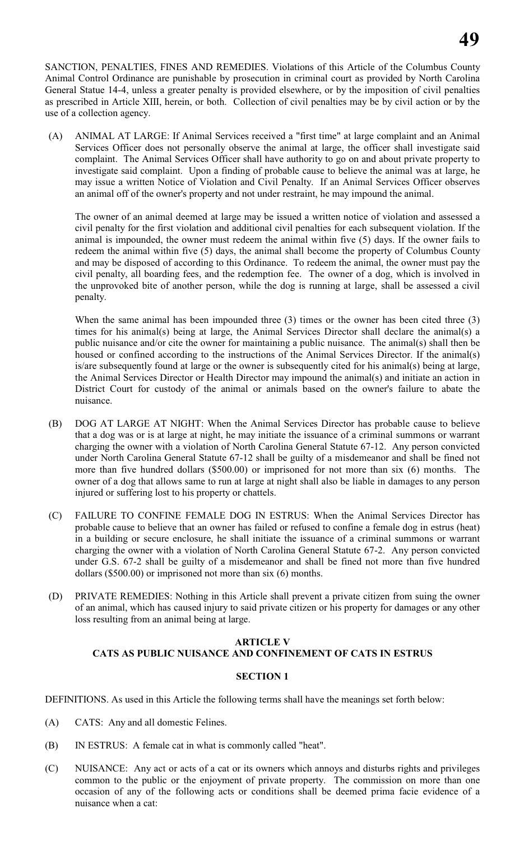SANCTION, PENALTIES, FINES AND REMEDIES. Violations of this Article of the Columbus County Animal Control Ordinance are punishable by prosecution in criminal court as provided by North Carolina General Statue 14-4, unless a greater penalty is provided elsewhere, or by the imposition of civil penalties as prescribed in Article XIII, herein, or both. Collection of civil penalties may be by civil action or by the use of a collection agency.

(A) ANIMAL AT LARGE: If Animal Services received a "first time" at large complaint and an Animal Services Officer does not personally observe the animal at large, the officer shall investigate said complaint. The Animal Services Officer shall have authority to go on and about private property to investigate said complaint. Upon a finding of probable cause to believe the animal was at large, he may issue a written Notice of Violation and Civil Penalty. If an Animal Services Officer observes an animal off of the owner's property and not under restraint, he may impound the animal.

The owner of an animal deemed at large may be issued a written notice of violation and assessed a civil penalty for the first violation and additional civil penalties for each subsequent violation. If the animal is impounded, the owner must redeem the animal within five (5) days. If the owner fails to redeem the animal within five (5) days, the animal shall become the property of Columbus County and may be disposed of according to this Ordinance. To redeem the animal, the owner must pay the civil penalty, all boarding fees, and the redemption fee. The owner of a dog, which is involved in the unprovoked bite of another person, while the dog is running at large, shall be assessed a civil penalty.

When the same animal has been impounded three (3) times or the owner has been cited three (3) times for his animal(s) being at large, the Animal Services Director shall declare the animal(s) a public nuisance and/or cite the owner for maintaining a public nuisance. The animal(s) shall then be housed or confined according to the instructions of the Animal Services Director. If the animal(s) is/are subsequently found at large or the owner is subsequently cited for his animal(s) being at large, the Animal Services Director or Health Director may impound the animal(s) and initiate an action in District Court for custody of the animal or animals based on the owner's failure to abate the nuisance.

- (B) DOG AT LARGE AT NIGHT: When the Animal Services Director has probable cause to believe that a dog was or is at large at night, he may initiate the issuance of a criminal summons or warrant charging the owner with a violation of North Carolina General Statute 67-12. Any person convicted under North Carolina General Statute 67-12 shall be guilty of a misdemeanor and shall be fined not more than five hundred dollars (\$500.00) or imprisoned for not more than six (6) months. The owner of a dog that allows same to run at large at night shall also be liable in damages to any person injured or suffering lost to his property or chattels.
- (C) FAILURE TO CONFINE FEMALE DOG IN ESTRUS: When the Animal Services Director has probable cause to believe that an owner has failed or refused to confine a female dog in estrus (heat) in a building or secure enclosure, he shall initiate the issuance of a criminal summons or warrant charging the owner with a violation of North Carolina General Statute 67-2. Any person convicted under G.S. 67-2 shall be guilty of a misdemeanor and shall be fined not more than five hundred dollars (\$500.00) or imprisoned not more than six (6) months.
- (D) PRIVATE REMEDIES: Nothing in this Article shall prevent a private citizen from suing the owner of an animal, which has caused injury to said private citizen or his property for damages or any other loss resulting from an animal being at large.

# **ARTICLE V CATS AS PUBLIC NUISANCE AND CONFINEMENT OF CATS IN ESTRUS**

# **SECTION 1**

DEFINITIONS. As used in this Article the following terms shall have the meanings set forth below:

- (A) CATS: Any and all domestic Felines.
- (B) IN ESTRUS: A female cat in what is commonly called "heat".
- (C) NUISANCE: Any act or acts of a cat or its owners which annoys and disturbs rights and privileges common to the public or the enjoyment of private property. The commission on more than one occasion of any of the following acts or conditions shall be deemed prima facie evidence of a nuisance when a cat: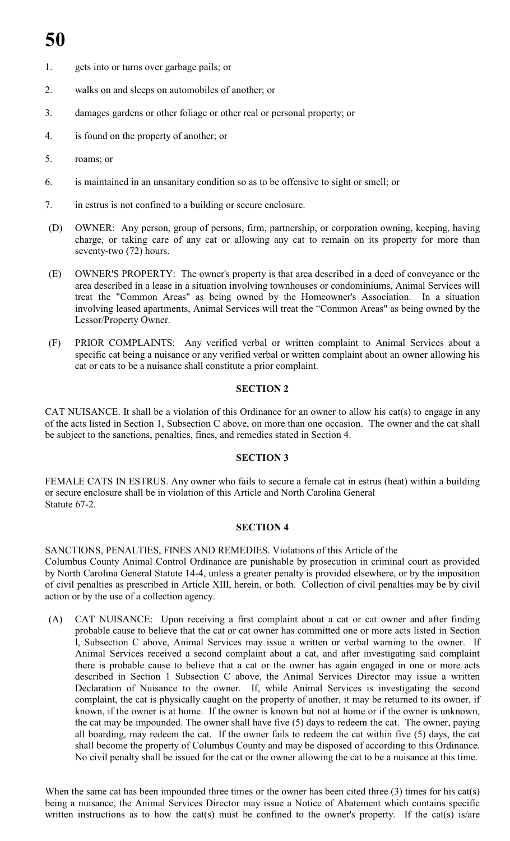- 1. gets into or turns over garbage pails; or
- 2. walks on and sleeps on automobiles of another; or
- 3. damages gardens or other foliage or other real or personal property; or
- 4. is found on the property of another; or
- 5. roams; or
- 6. is maintained in an unsanitary condition so as to be offensive to sight or smell; or
- 7. in estrus is not confined to a building or secure enclosure.
- (D) OWNER: Any person, group of persons, firm, partnership, or corporation owning, keeping, having charge, or taking care of any cat or allowing any cat to remain on its property for more than seventy-two (72) hours.
- (E) OWNER'S PROPERTY: The owner's property is that area described in a deed of conveyance or the area described in a lease in a situation involving townhouses or condominiums, Animal Services will treat the "Common Areas" as being owned by the Homeowner's Association. In a situation involving leased apartments, Animal Services will treat the "Common Areas" as being owned by the Lessor/Property Owner.
- (F) PRIOR COMPLAINTS: Any verified verbal or written complaint to Animal Services about a specific cat being a nuisance or any verified verbal or written complaint about an owner allowing his cat or cats to be a nuisance shall constitute a prior complaint.

# **SECTION 2**

CAT NUISANCE. It shall be a violation of this Ordinance for an owner to allow his cat(s) to engage in any of the acts listed in Section 1, Subsection C above, on more than one occasion. The owner and the cat shall be subject to the sanctions, penalties, fines, and remedies stated in Section 4.

# **SECTION 3**

FEMALE CATS IN ESTRUS. Any owner who fails to secure a female cat in estrus (heat) within a building or secure enclosure shall be in violation of this Article and North Carolina General Statute 67-2.

# **SECTION 4**

SANCTIONS, PENALTIES, FINES AND REMEDIES. Violations of this Article of the Columbus County Animal Control Ordinance are punishable by prosecution in criminal court as provided by North Carolina General Statute 14-4, unless a greater penalty is provided elsewhere, or by the imposition of civil penalties as prescribed in Article XIII, herein, or both. Collection of civil penalties may be by civil action or by the use of a collection agency.

(A) CAT NUISANCE: Upon receiving a first complaint about a cat or cat owner and after finding probable cause to believe that the cat or cat owner has committed one or more acts listed in Section l, Subsection C above, Animal Services may issue a written or verbal warning to the owner. If Animal Services received a second complaint about a cat, and after investigating said complaint there is probable cause to believe that a cat or the owner has again engaged in one or more acts described in Section 1 Subsection C above, the Animal Services Director may issue a written Declaration of Nuisance to the owner. If, while Animal Services is investigating the second complaint, the cat is physically caught on the property of another, it may be returned to its owner, if known, if the owner is at home. If the owner is known but not at home or if the owner is unknown, the cat may be impounded. The owner shall have five (5) days to redeem the cat. The owner, paying all boarding, may redeem the cat. If the owner fails to redeem the cat within five (5) days, the cat shall become the property of Columbus County and may be disposed of according to this Ordinance. No civil penalty shall be issued for the cat or the owner allowing the cat to be a nuisance at this time.

When the same cat has been impounded three times or the owner has been cited three (3) times for his cat(s) being a nuisance, the Animal Services Director may issue a Notice of Abatement which contains specific written instructions as to how the cat(s) must be confined to the owner's property. If the cat(s) is/are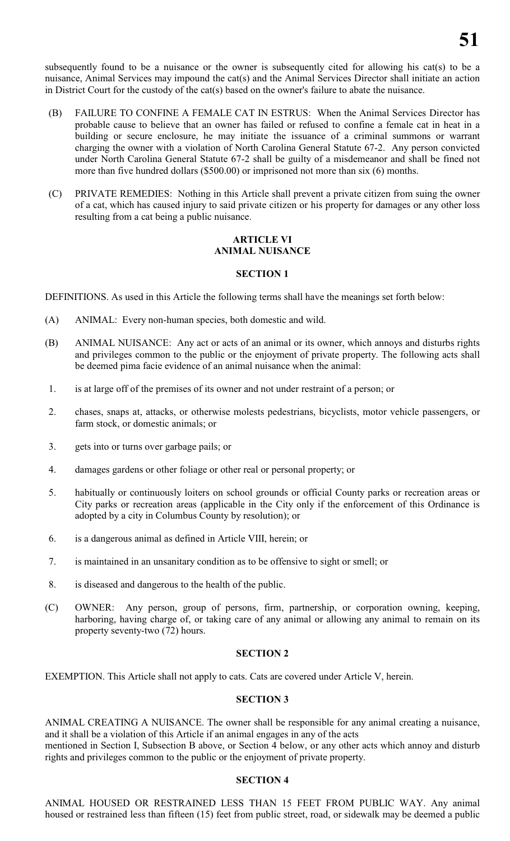subsequently found to be a nuisance or the owner is subsequently cited for allowing his cat(s) to be a nuisance, Animal Services may impound the cat(s) and the Animal Services Director shall initiate an action in District Court for the custody of the cat(s) based on the owner's failure to abate the nuisance.

- (B) FAILURE TO CONFINE A FEMALE CAT IN ESTRUS: When the Animal Services Director has probable cause to believe that an owner has failed or refused to confine a female cat in heat in a building or secure enclosure, he may initiate the issuance of a criminal summons or warrant charging the owner with a violation of North Carolina General Statute 67-2. Any person convicted under North Carolina General Statute 67-2 shall be guilty of a misdemeanor and shall be fined not more than five hundred dollars (\$500.00) or imprisoned not more than six (6) months.
- (C) PRIVATE REMEDIES: Nothing in this Article shall prevent a private citizen from suing the owner of a cat, which has caused injury to said private citizen or his property for damages or any other loss resulting from a cat being a public nuisance.

### **ARTICLE VI ANIMAL NUISANCE**

# **SECTION 1**

DEFINITIONS. As used in this Article the following terms shall have the meanings set forth below:

- (A) ANIMAL: Every non-human species, both domestic and wild.
- (B) ANIMAL NUISANCE: Any act or acts of an animal or its owner, which annoys and disturbs rights and privileges common to the public or the enjoyment of private property. The following acts shall be deemed pima facie evidence of an animal nuisance when the animal:
- 1. is at large off of the premises of its owner and not under restraint of a person; or
- 2. chases, snaps at, attacks, or otherwise molests pedestrians, bicyclists, motor vehicle passengers, or farm stock, or domestic animals; or
- 3. gets into or turns over garbage pails; or
- 4. damages gardens or other foliage or other real or personal property; or
- 5. habitually or continuously loiters on school grounds or official County parks or recreation areas or City parks or recreation areas (applicable in the City only if the enforcement of this Ordinance is adopted by a city in Columbus County by resolution); or
- 6. is a dangerous animal as defined in Article VIII, herein; or
- 7. is maintained in an unsanitary condition as to be offensive to sight or smell; or
- 8. is diseased and dangerous to the health of the public.
- (C) OWNER: Any person, group of persons, firm, partnership, or corporation owning, keeping, harboring, having charge of, or taking care of any animal or allowing any animal to remain on its property seventy-two (72) hours.

# **SECTION 2**

EXEMPTION. This Article shall not apply to cats. Cats are covered under Article V, herein.

### **SECTION 3**

ANIMAL CREATING A NUISANCE. The owner shall be responsible for any animal creating a nuisance, and it shall be a violation of this Article if an animal engages in any of the acts

mentioned in Section I, Subsection B above, or Section 4 below, or any other acts which annoy and disturb rights and privileges common to the public or the enjoyment of private property.

#### **SECTION 4**

ANIMAL HOUSED OR RESTRAINED LESS THAN 15 FEET FROM PUBLIC WAY. Any animal housed or restrained less than fifteen (15) feet from public street, road, or sidewalk may be deemed a public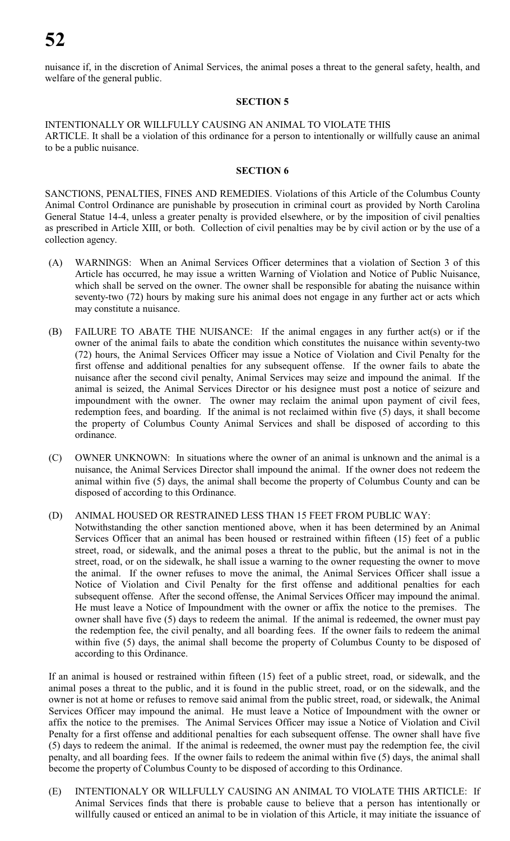nuisance if, in the discretion of Animal Services, the animal poses a threat to the general safety, health, and welfare of the general public.

# **SECTION 5**

INTENTIONALLY OR WILLFULLY CAUSING AN ANIMAL TO VIOLATE THIS ARTICLE. It shall be a violation of this ordinance for a person to intentionally or willfully cause an animal to be a public nuisance.

# **SECTION 6**

SANCTIONS, PENALTIES, FINES AND REMEDIES. Violations of this Article of the Columbus County Animal Control Ordinance are punishable by prosecution in criminal court as provided by North Carolina General Statue 14-4, unless a greater penalty is provided elsewhere, or by the imposition of civil penalties as prescribed in Article XIII, or both. Collection of civil penalties may be by civil action or by the use of a collection agency.

- (A) WARNINGS: When an Animal Services Officer determines that a violation of Section 3 of this Article has occurred, he may issue a written Warning of Violation and Notice of Public Nuisance, which shall be served on the owner. The owner shall be responsible for abating the nuisance within seventy-two (72) hours by making sure his animal does not engage in any further act or acts which may constitute a nuisance.
- (B) FAILURE TO ABATE THE NUISANCE: If the animal engages in any further act(s) or if the owner of the animal fails to abate the condition which constitutes the nuisance within seventy-two (72) hours, the Animal Services Officer may issue a Notice of Violation and Civil Penalty for the first offense and additional penalties for any subsequent offense. If the owner fails to abate the nuisance after the second civil penalty, Animal Services may seize and impound the animal. If the animal is seized, the Animal Services Director or his designee must post a notice of seizure and impoundment with the owner. The owner may reclaim the animal upon payment of civil fees, redemption fees, and boarding. If the animal is not reclaimed within five (5) days, it shall become the property of Columbus County Animal Services and shall be disposed of according to this ordinance.
- (C) OWNER UNKNOWN: In situations where the owner of an animal is unknown and the animal is a nuisance, the Animal Services Director shall impound the animal. If the owner does not redeem the animal within five (5) days, the animal shall become the property of Columbus County and can be disposed of according to this Ordinance.

(D) ANIMAL HOUSED OR RESTRAINED LESS THAN 15 FEET FROM PUBLIC WAY:

Notwithstanding the other sanction mentioned above, when it has been determined by an Animal Services Officer that an animal has been housed or restrained within fifteen (15) feet of a public street, road, or sidewalk, and the animal poses a threat to the public, but the animal is not in the street, road, or on the sidewalk, he shall issue a warning to the owner requesting the owner to move the animal. If the owner refuses to move the animal, the Animal Services Officer shall issue a Notice of Violation and Civil Penalty for the first offense and additional penalties for each subsequent offense. After the second offense, the Animal Services Officer may impound the animal. He must leave a Notice of Impoundment with the owner or affix the notice to the premises. The owner shall have five (5) days to redeem the animal. If the animal is redeemed, the owner must pay the redemption fee, the civil penalty, and all boarding fees. If the owner fails to redeem the animal within five (5) days, the animal shall become the property of Columbus County to be disposed of according to this Ordinance.

If an animal is housed or restrained within fifteen (15) feet of a public street, road, or sidewalk, and the animal poses a threat to the public, and it is found in the public street, road, or on the sidewalk, and the owner is not at home or refuses to remove said animal from the public street, road, or sidewalk, the Animal Services Officer may impound the animal. He must leave a Notice of Impoundment with the owner or affix the notice to the premises. The Animal Services Officer may issue a Notice of Violation and Civil Penalty for a first offense and additional penalties for each subsequent offense. The owner shall have five (5) days to redeem the animal. If the animal is redeemed, the owner must pay the redemption fee, the civil penalty, and all boarding fees. If the owner fails to redeem the animal within five (5) days, the animal shall become the property of Columbus County to be disposed of according to this Ordinance.

(E) INTENTIONALY OR WILLFULLY CAUSING AN ANIMAL TO VIOLATE THIS ARTICLE: If Animal Services finds that there is probable cause to believe that a person has intentionally or willfully caused or enticed an animal to be in violation of this Article, it may initiate the issuance of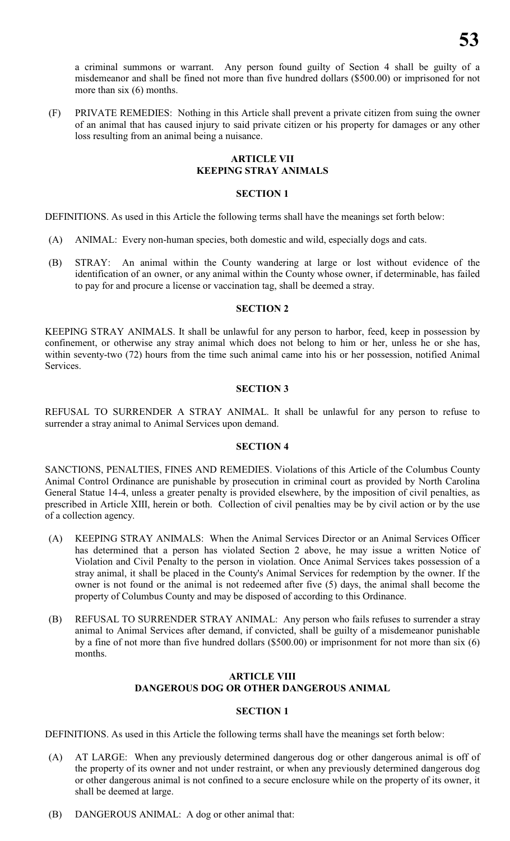a criminal summons or warrant. Any person found guilty of Section 4 shall be guilty of a misdemeanor and shall be fined not more than five hundred dollars (\$500.00) or imprisoned for not more than six (6) months.

(F) PRIVATE REMEDIES: Nothing in this Article shall prevent a private citizen from suing the owner of an animal that has caused injury to said private citizen or his property for damages or any other loss resulting from an animal being a nuisance.

# **ARTICLE VII KEEPING STRAY ANIMALS**

#### **SECTION 1**

DEFINITIONS. As used in this Article the following terms shall have the meanings set forth below:

- (A) ANIMAL: Every non-human species, both domestic and wild, especially dogs and cats.
- (B) STRAY: An animal within the County wandering at large or lost without evidence of the identification of an owner, or any animal within the County whose owner, if determinable, has failed to pay for and procure a license or vaccination tag, shall be deemed a stray.

# **SECTION 2**

KEEPING STRAY ANIMALS. It shall be unlawful for any person to harbor, feed, keep in possession by confinement, or otherwise any stray animal which does not belong to him or her, unless he or she has, within seventy-two (72) hours from the time such animal came into his or her possession, notified Animal Services.

#### **SECTION 3**

REFUSAL TO SURRENDER A STRAY ANIMAL. It shall be unlawful for any person to refuse to surrender a stray animal to Animal Services upon demand.

# **SECTION 4**

SANCTIONS, PENALTIES, FINES AND REMEDIES. Violations of this Article of the Columbus County Animal Control Ordinance are punishable by prosecution in criminal court as provided by North Carolina General Statue 14-4, unless a greater penalty is provided elsewhere, by the imposition of civil penalties, as prescribed in Article XIII, herein or both. Collection of civil penalties may be by civil action or by the use of a collection agency.

- (A) KEEPING STRAY ANIMALS: When the Animal Services Director or an Animal Services Officer has determined that a person has violated Section 2 above, he may issue a written Notice of Violation and Civil Penalty to the person in violation. Once Animal Services takes possession of a stray animal, it shall be placed in the County's Animal Services for redemption by the owner. If the owner is not found or the animal is not redeemed after five (5) days, the animal shall become the property of Columbus County and may be disposed of according to this Ordinance.
- (B) REFUSAL TO SURRENDER STRAY ANIMAL: Any person who fails refuses to surrender a stray animal to Animal Services after demand, if convicted, shall be guilty of a misdemeanor punishable by a fine of not more than five hundred dollars (\$500.00) or imprisonment for not more than six (6) months.

# **ARTICLE VIII DANGEROUS DOG OR OTHER DANGEROUS ANIMAL**

#### **SECTION 1**

DEFINITIONS. As used in this Article the following terms shall have the meanings set forth below:

- (A) AT LARGE: When any previously determined dangerous dog or other dangerous animal is off of the property of its owner and not under restraint, or when any previously determined dangerous dog or other dangerous animal is not confined to a secure enclosure while on the property of its owner, it shall be deemed at large.
- (B) DANGEROUS ANIMAL: A dog or other animal that: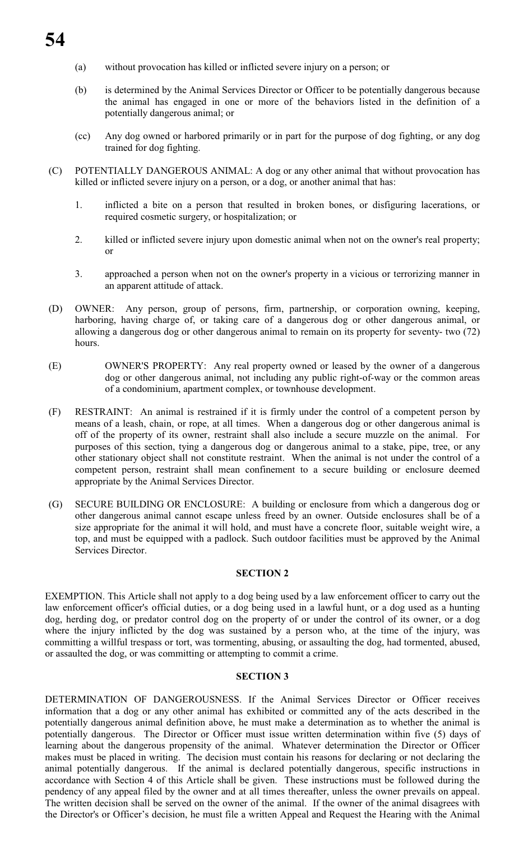- (a) without provocation has killed or inflicted severe injury on a person; or
- (b) is determined by the Animal Services Director or Officer to be potentially dangerous because the animal has engaged in one or more of the behaviors listed in the definition of a potentially dangerous animal; or
- (cc) Any dog owned or harbored primarily or in part for the purpose of dog fighting, or any dog trained for dog fighting.
- (C) POTENTIALLY DANGEROUS ANIMAL: A dog or any other animal that without provocation has killed or inflicted severe injury on a person, or a dog, or another animal that has:
	- 1. inflicted a bite on a person that resulted in broken bones, or disfiguring lacerations, or required cosmetic surgery, or hospitalization; or
	- 2. killed or inflicted severe injury upon domestic animal when not on the owner's real property; or
	- 3. approached a person when not on the owner's property in a vicious or terrorizing manner in an apparent attitude of attack.
- (D) OWNER: Any person, group of persons, firm, partnership, or corporation owning, keeping, harboring, having charge of, or taking care of a dangerous dog or other dangerous animal, or allowing a dangerous dog or other dangerous animal to remain on its property for seventy- two (72) hours.
- (E) OWNER'S PROPERTY: Any real property owned or leased by the owner of a dangerous dog or other dangerous animal, not including any public right-of-way or the common areas of a condominium, apartment complex, or townhouse development.
- (F) RESTRAINT: An animal is restrained if it is firmly under the control of a competent person by means of a leash, chain, or rope, at all times. When a dangerous dog or other dangerous animal is off of the property of its owner, restraint shall also include a secure muzzle on the animal. For purposes of this section, tying a dangerous dog or dangerous animal to a stake, pipe, tree, or any other stationary object shall not constitute restraint. When the animal is not under the control of a competent person, restraint shall mean confinement to a secure building or enclosure deemed appropriate by the Animal Services Director.
- (G) SECURE BUILDING OR ENCLOSURE: A building or enclosure from which a dangerous dog or other dangerous animal cannot escape unless freed by an owner. Outside enclosures shall be of a size appropriate for the animal it will hold, and must have a concrete floor, suitable weight wire, a top, and must be equipped with a padlock. Such outdoor facilities must be approved by the Animal Services Director.

#### **SECTION 2**

EXEMPTION. This Article shall not apply to a dog being used by a law enforcement officer to carry out the law enforcement officer's official duties, or a dog being used in a lawful hunt, or a dog used as a hunting dog, herding dog, or predator control dog on the property of or under the control of its owner, or a dog where the injury inflicted by the dog was sustained by a person who, at the time of the injury, was committing a willful trespass or tort, was tormenting, abusing, or assaulting the dog, had tormented, abused, or assaulted the dog, or was committing or attempting to commit a crime.

#### **SECTION 3**

DETERMINATION OF DANGEROUSNESS. If the Animal Services Director or Officer receives information that a dog or any other animal has exhibited or committed any of the acts described in the potentially dangerous animal definition above, he must make a determination as to whether the animal is potentially dangerous. The Director or Officer must issue written determination within five (5) days of learning about the dangerous propensity of the animal. Whatever determination the Director or Officer makes must be placed in writing. The decision must contain his reasons for declaring or not declaring the animal potentially dangerous. If the animal is declared potentially dangerous, specific instructions in accordance with Section 4 of this Article shall be given. These instructions must be followed during the pendency of any appeal filed by the owner and at all times thereafter, unless the owner prevails on appeal. The written decision shall be served on the owner of the animal. If the owner of the animal disagrees with the Director's or Officer's decision, he must file a written Appeal and Request the Hearing with the Animal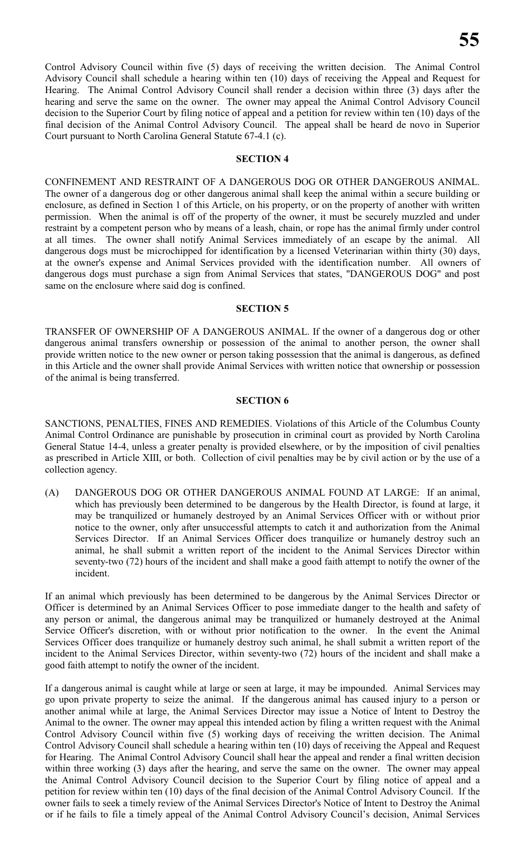Control Advisory Council within five (5) days of receiving the written decision. The Animal Control Advisory Council shall schedule a hearing within ten (10) days of receiving the Appeal and Request for Hearing. The Animal Control Advisory Council shall render a decision within three (3) days after the hearing and serve the same on the owner. The owner may appeal the Animal Control Advisory Council decision to the Superior Court by filing notice of appeal and a petition for review within ten (10) days of the final decision of the Animal Control Advisory Council. The appeal shall be heard de novo in Superior Court pursuant to North Carolina General Statute 67-4.1 (c).

#### **SECTION 4**

CONFINEMENT AND RESTRAINT OF A DANGEROUS DOG OR OTHER DANGEROUS ANIMAL. The owner of a dangerous dog or other dangerous animal shall keep the animal within a secure building or enclosure, as defined in Section 1 of this Article, on his property, or on the property of another with written permission. When the animal is off of the property of the owner, it must be securely muzzled and under restraint by a competent person who by means of a leash, chain, or rope has the animal firmly under control at all times. The owner shall notify Animal Services immediately of an escape by the animal. All dangerous dogs must be microchipped for identification by a licensed Veterinarian within thirty (30) days, at the owner's expense and Animal Services provided with the identification number. All owners of dangerous dogs must purchase a sign from Animal Services that states, "DANGEROUS DOG" and post same on the enclosure where said dog is confined.

#### **SECTION 5**

TRANSFER OF OWNERSHIP OF A DANGEROUS ANIMAL. If the owner of a dangerous dog or other dangerous animal transfers ownership or possession of the animal to another person, the owner shall provide written notice to the new owner or person taking possession that the animal is dangerous, as defined in this Article and the owner shall provide Animal Services with written notice that ownership or possession of the animal is being transferred.

#### **SECTION 6**

SANCTIONS, PENALTIES, FINES AND REMEDIES. Violations of this Article of the Columbus County Animal Control Ordinance are punishable by prosecution in criminal court as provided by North Carolina General Statue 14-4, unless a greater penalty is provided elsewhere, or by the imposition of civil penalties as prescribed in Article XIII, or both. Collection of civil penalties may be by civil action or by the use of a collection agency.

(A) DANGEROUS DOG OR OTHER DANGEROUS ANIMAL FOUND AT LARGE: If an animal, which has previously been determined to be dangerous by the Health Director, is found at large, it may be tranquilized or humanely destroyed by an Animal Services Officer with or without prior notice to the owner, only after unsuccessful attempts to catch it and authorization from the Animal Services Director. If an Animal Services Officer does tranquilize or humanely destroy such an animal, he shall submit a written report of the incident to the Animal Services Director within seventy-two (72) hours of the incident and shall make a good faith attempt to notify the owner of the incident.

If an animal which previously has been determined to be dangerous by the Animal Services Director or Officer is determined by an Animal Services Officer to pose immediate danger to the health and safety of any person or animal, the dangerous animal may be tranquilized or humanely destroyed at the Animal Service Officer's discretion, with or without prior notification to the owner. In the event the Animal Services Officer does tranquilize or humanely destroy such animal, he shall submit a written report of the incident to the Animal Services Director, within seventy-two (72) hours of the incident and shall make a good faith attempt to notify the owner of the incident.

If a dangerous animal is caught while at large or seen at large, it may be impounded. Animal Services may go upon private property to seize the animal. If the dangerous animal has caused injury to a person or another animal while at large, the Animal Services Director may issue a Notice of Intent to Destroy the Animal to the owner. The owner may appeal this intended action by filing a written request with the Animal Control Advisory Council within five (5) working days of receiving the written decision. The Animal Control Advisory Council shall schedule a hearing within ten (10) days of receiving the Appeal and Request for Hearing. The Animal Control Advisory Council shall hear the appeal and render a final written decision within three working (3) days after the hearing, and serve the same on the owner. The owner may appeal the Animal Control Advisory Council decision to the Superior Court by filing notice of appeal and a petition for review within ten (10) days of the final decision of the Animal Control Advisory Council. If the owner fails to seek a timely review of the Animal Services Director's Notice of Intent to Destroy the Animal or if he fails to file a timely appeal of the Animal Control Advisory Council's decision, Animal Services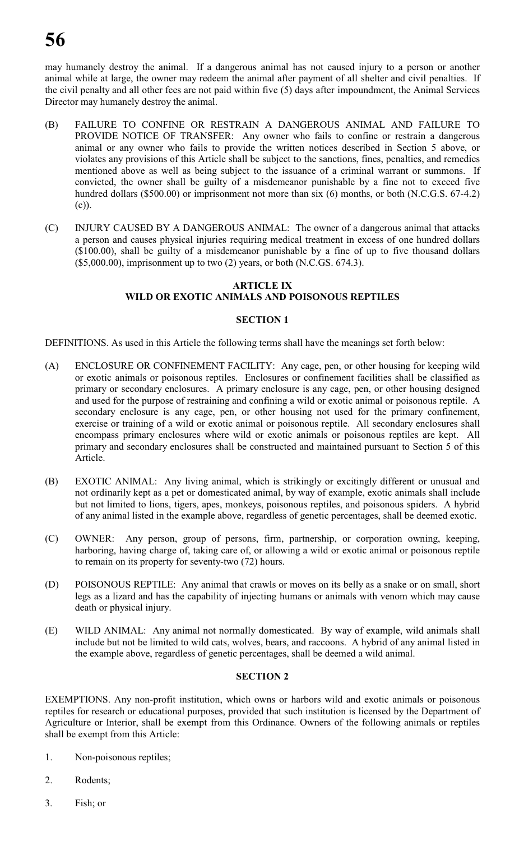may humanely destroy the animal. If a dangerous animal has not caused injury to a person or another animal while at large, the owner may redeem the animal after payment of all shelter and civil penalties. If the civil penalty and all other fees are not paid within five (5) days after impoundment, the Animal Services Director may humanely destroy the animal.

- (B) FAILURE TO CONFINE OR RESTRAIN A DANGEROUS ANIMAL AND FAILURE TO PROVIDE NOTICE OF TRANSFER: Any owner who fails to confine or restrain a dangerous animal or any owner who fails to provide the written notices described in Section 5 above, or violates any provisions of this Article shall be subject to the sanctions, fines, penalties, and remedies mentioned above as well as being subject to the issuance of a criminal warrant or summons. If convicted, the owner shall be guilty of a misdemeanor punishable by a fine not to exceed five hundred dollars (\$500.00) or imprisonment not more than six (6) months, or both (N.C.G.S. 67-4.2) (c)).
- (C) INJURY CAUSED BY A DANGEROUS ANIMAL: The owner of a dangerous animal that attacks a person and causes physical injuries requiring medical treatment in excess of one hundred dollars (\$100.00), shall be guilty of a misdemeanor punishable by a fine of up to five thousand dollars  $($5,000.00)$ , imprisonment up to two  $(2)$  years, or both (N.C.GS. 674.3).

# **ARTICLE IX WILD OR EXOTIC ANIMALS AND POISONOUS REPTILES**

# **SECTION 1**

DEFINITIONS. As used in this Article the following terms shall have the meanings set forth below:

- (A) ENCLOSURE OR CONFINEMENT FACILITY: Any cage, pen, or other housing for keeping wild or exotic animals or poisonous reptiles. Enclosures or confinement facilities shall be classified as primary or secondary enclosures. A primary enclosure is any cage, pen, or other housing designed and used for the purpose of restraining and confining a wild or exotic animal or poisonous reptile. A secondary enclosure is any cage, pen, or other housing not used for the primary confinement, exercise or training of a wild or exotic animal or poisonous reptile. All secondary enclosures shall encompass primary enclosures where wild or exotic animals or poisonous reptiles are kept. All primary and secondary enclosures shall be constructed and maintained pursuant to Section 5 of this Article.
- (B) EXOTIC ANIMAL: Any living animal, which is strikingly or excitingly different or unusual and not ordinarily kept as a pet or domesticated animal, by way of example, exotic animals shall include but not limited to lions, tigers, apes, monkeys, poisonous reptiles, and poisonous spiders. A hybrid of any animal listed in the example above, regardless of genetic percentages, shall be deemed exotic.
- (C) OWNER: Any person, group of persons, firm, partnership, or corporation owning, keeping, harboring, having charge of, taking care of, or allowing a wild or exotic animal or poisonous reptile to remain on its property for seventy-two (72) hours.
- (D) POISONOUS REPTILE: Any animal that crawls or moves on its belly as a snake or on small, short legs as a lizard and has the capability of injecting humans or animals with venom which may cause death or physical injury.
- (E) WILD ANIMAL: Any animal not normally domesticated. By way of example, wild animals shall include but not be limited to wild cats, wolves, bears, and raccoons. A hybrid of any animal listed in the example above, regardless of genetic percentages, shall be deemed a wild animal.

# **SECTION 2**

EXEMPTIONS. Any non-profit institution, which owns or harbors wild and exotic animals or poisonous reptiles for research or educational purposes, provided that such institution is licensed by the Department of Agriculture or Interior, shall be exempt from this Ordinance. Owners of the following animals or reptiles shall be exempt from this Article:

- 1. Non-poisonous reptiles;
- 2. Rodents;
- 3. Fish; or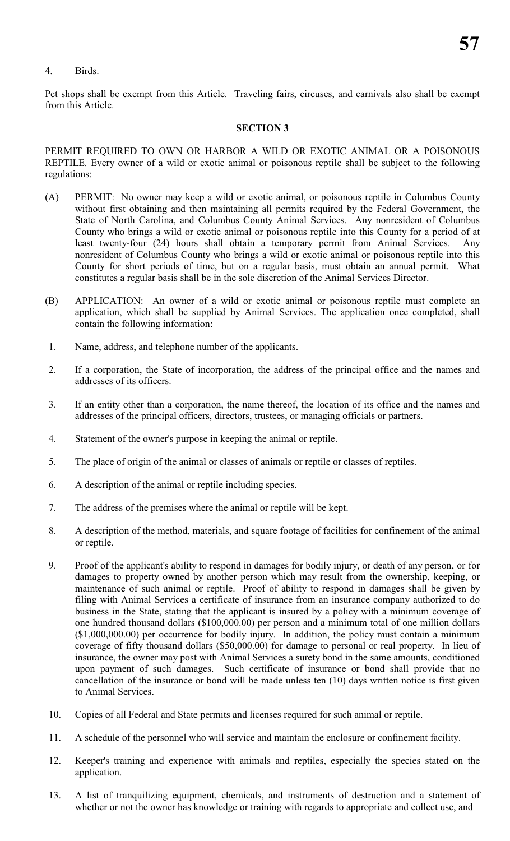# 4. Birds.

Pet shops shall be exempt from this Article. Traveling fairs, circuses, and carnivals also shall be exempt from this Article.

#### **SECTION 3**

PERMIT REQUIRED TO OWN OR HARBOR A WILD OR EXOTIC ANIMAL OR A POISONOUS REPTILE. Every owner of a wild or exotic animal or poisonous reptile shall be subject to the following regulations:

- (A) PERMIT: No owner may keep a wild or exotic animal, or poisonous reptile in Columbus County without first obtaining and then maintaining all permits required by the Federal Government, the State of North Carolina, and Columbus County Animal Services. Any nonresident of Columbus County who brings a wild or exotic animal or poisonous reptile into this County for a period of at least twenty-four (24) hours shall obtain a temporary permit from Animal Services. Any nonresident of Columbus County who brings a wild or exotic animal or poisonous reptile into this County for short periods of time, but on a regular basis, must obtain an annual permit. What constitutes a regular basis shall be in the sole discretion of the Animal Services Director.
- (B) APPLICATION: An owner of a wild or exotic animal or poisonous reptile must complete an application, which shall be supplied by Animal Services. The application once completed, shall contain the following information:
- 1. Name, address, and telephone number of the applicants.
- 2. If a corporation, the State of incorporation, the address of the principal office and the names and addresses of its officers.
- 3. If an entity other than a corporation, the name thereof, the location of its office and the names and addresses of the principal officers, directors, trustees, or managing officials or partners.
- 4. Statement of the owner's purpose in keeping the animal or reptile.
- 5. The place of origin of the animal or classes of animals or reptile or classes of reptiles.
- 6. A description of the animal or reptile including species.
- 7. The address of the premises where the animal or reptile will be kept.
- 8. A description of the method, materials, and square footage of facilities for confinement of the animal or reptile.
- 9. Proof of the applicant's ability to respond in damages for bodily injury, or death of any person, or for damages to property owned by another person which may result from the ownership, keeping, or maintenance of such animal or reptile. Proof of ability to respond in damages shall be given by filing with Animal Services a certificate of insurance from an insurance company authorized to do business in the State, stating that the applicant is insured by a policy with a minimum coverage of one hundred thousand dollars (\$100,000.00) per person and a minimum total of one million dollars (\$1,000,000.00) per occurrence for bodily injury. In addition, the policy must contain a minimum coverage of fifty thousand dollars (\$50,000.00) for damage to personal or real property. In lieu of insurance, the owner may post with Animal Services a surety bond in the same amounts, conditioned upon payment of such damages. Such certificate of insurance or bond shall provide that no cancellation of the insurance or bond will be made unless ten (10) days written notice is first given to Animal Services.
- 10. Copies of all Federal and State permits and licenses required for such animal or reptile.
- 11. A schedule of the personnel who will service and maintain the enclosure or confinement facility.
- 12. Keeper's training and experience with animals and reptiles, especially the species stated on the application.
- 13. A list of tranquilizing equipment, chemicals, and instruments of destruction and a statement of whether or not the owner has knowledge or training with regards to appropriate and collect use, and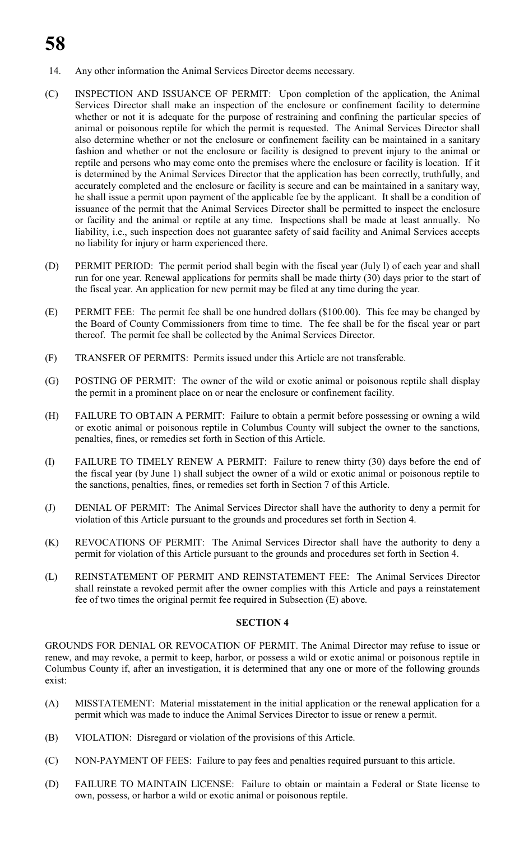# **58**

- 14. Any other information the Animal Services Director deems necessary.
- (C) INSPECTION AND ISSUANCE OF PERMIT: Upon completion of the application, the Animal Services Director shall make an inspection of the enclosure or confinement facility to determine whether or not it is adequate for the purpose of restraining and confining the particular species of animal or poisonous reptile for which the permit is requested. The Animal Services Director shall also determine whether or not the enclosure or confinement facility can be maintained in a sanitary fashion and whether or not the enclosure or facility is designed to prevent injury to the animal or reptile and persons who may come onto the premises where the enclosure or facility is location. If it is determined by the Animal Services Director that the application has been correctly, truthfully, and accurately completed and the enclosure or facility is secure and can be maintained in a sanitary way, he shall issue a permit upon payment of the applicable fee by the applicant. It shall be a condition of issuance of the permit that the Animal Services Director shall be permitted to inspect the enclosure or facility and the animal or reptile at any time. Inspections shall be made at least annually. No liability, i.e., such inspection does not guarantee safety of said facility and Animal Services accepts no liability for injury or harm experienced there.
- (D) PERMIT PERIOD: The permit period shall begin with the fiscal year (July l) of each year and shall run for one year. Renewal applications for permits shall be made thirty (30) days prior to the start of the fiscal year. An application for new permit may be filed at any time during the year.
- (E) PERMIT FEE: The permit fee shall be one hundred dollars (\$100.00). This fee may be changed by the Board of County Commissioners from time to time. The fee shall be for the fiscal year or part thereof. The permit fee shall be collected by the Animal Services Director.
- (F) TRANSFER OF PERMITS: Permits issued under this Article are not transferable.
- (G) POSTING OF PERMIT: The owner of the wild or exotic animal or poisonous reptile shall display the permit in a prominent place on or near the enclosure or confinement facility.
- (H) FAILURE TO OBTAIN A PERMIT: Failure to obtain a permit before possessing or owning a wild or exotic animal or poisonous reptile in Columbus County will subject the owner to the sanctions, penalties, fines, or remedies set forth in Section of this Article.
- (I) FAILURE TO TIMELY RENEW A PERMIT: Failure to renew thirty (30) days before the end of the fiscal year (by June 1) shall subject the owner of a wild or exotic animal or poisonous reptile to the sanctions, penalties, fines, or remedies set forth in Section 7 of this Article.
- (J) DENIAL OF PERMIT: The Animal Services Director shall have the authority to deny a permit for violation of this Article pursuant to the grounds and procedures set forth in Section 4.
- (K) REVOCATIONS OF PERMIT: The Animal Services Director shall have the authority to deny a permit for violation of this Article pursuant to the grounds and procedures set forth in Section 4.
- (L) REINSTATEMENT OF PERMIT AND REINSTATEMENT FEE: The Animal Services Director shall reinstate a revoked permit after the owner complies with this Article and pays a reinstatement fee of two times the original permit fee required in Subsection (E) above.

# **SECTION 4**

GROUNDS FOR DENIAL OR REVOCATION OF PERMIT. The Animal Director may refuse to issue or renew, and may revoke, a permit to keep, harbor, or possess a wild or exotic animal or poisonous reptile in Columbus County if, after an investigation, it is determined that any one or more of the following grounds exist:

- (A) MISSTATEMENT: Material misstatement in the initial application or the renewal application for a permit which was made to induce the Animal Services Director to issue or renew a permit.
- (B) VIOLATION: Disregard or violation of the provisions of this Article.
- (C) NON-PAYMENT OF FEES: Failure to pay fees and penalties required pursuant to this article.
- (D) FAILURE TO MAINTAIN LICENSE: Failure to obtain or maintain a Federal or State license to own, possess, or harbor a wild or exotic animal or poisonous reptile.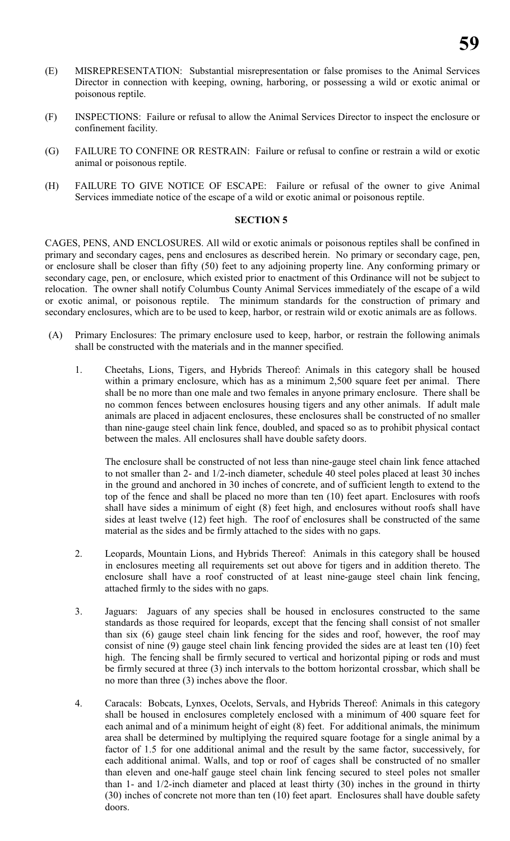- (E) MISREPRESENTATION: Substantial misrepresentation or false promises to the Animal Services Director in connection with keeping, owning, harboring, or possessing a wild or exotic animal or poisonous reptile.
- (F) INSPECTIONS: Failure or refusal to allow the Animal Services Director to inspect the enclosure or confinement facility.
- (G) FAILURE TO CONFINE OR RESTRAIN: Failure or refusal to confine or restrain a wild or exotic animal or poisonous reptile.
- (H) FAILURE TO GIVE NOTICE OF ESCAPE: Failure or refusal of the owner to give Animal Services immediate notice of the escape of a wild or exotic animal or poisonous reptile.

#### **SECTION 5**

CAGES, PENS, AND ENCLOSURES. All wild or exotic animals or poisonous reptiles shall be confined in primary and secondary cages, pens and enclosures as described herein. No primary or secondary cage, pen, or enclosure shall be closer than fifty (50) feet to any adjoining property line. Any conforming primary or secondary cage, pen, or enclosure, which existed prior to enactment of this Ordinance will not be subject to relocation. The owner shall notify Columbus County Animal Services immediately of the escape of a wild or exotic animal, or poisonous reptile. The minimum standards for the construction of primary and secondary enclosures, which are to be used to keep, harbor, or restrain wild or exotic animals are as follows.

- (A) Primary Enclosures: The primary enclosure used to keep, harbor, or restrain the following animals shall be constructed with the materials and in the manner specified.
	- 1. Cheetahs, Lions, Tigers, and Hybrids Thereof: Animals in this category shall be housed within a primary enclosure, which has as a minimum 2,500 square feet per animal. There shall be no more than one male and two females in anyone primary enclosure. There shall be no common fences between enclosures housing tigers and any other animals. If adult male animals are placed in adjacent enclosures, these enclosures shall be constructed of no smaller than nine-gauge steel chain link fence, doubled, and spaced so as to prohibit physical contact between the males. All enclosures shall have double safety doors.

The enclosure shall be constructed of not less than nine-gauge steel chain link fence attached to not smaller than 2- and 1/2-inch diameter, schedule 40 steel poles placed at least 30 inches in the ground and anchored in 30 inches of concrete, and of sufficient length to extend to the top of the fence and shall be placed no more than ten (10) feet apart. Enclosures with roofs shall have sides a minimum of eight (8) feet high, and enclosures without roofs shall have sides at least twelve (12) feet high. The roof of enclosures shall be constructed of the same material as the sides and be firmly attached to the sides with no gaps.

- 2. Leopards, Mountain Lions, and Hybrids Thereof: Animals in this category shall be housed in enclosures meeting all requirements set out above for tigers and in addition thereto. The enclosure shall have a roof constructed of at least nine-gauge steel chain link fencing, attached firmly to the sides with no gaps.
- 3. Jaguars: Jaguars of any species shall be housed in enclosures constructed to the same standards as those required for leopards, except that the fencing shall consist of not smaller than six (6) gauge steel chain link fencing for the sides and roof, however, the roof may consist of nine (9) gauge steel chain link fencing provided the sides are at least ten (10) feet high. The fencing shall be firmly secured to vertical and horizontal piping or rods and must be firmly secured at three (3) inch intervals to the bottom horizontal crossbar, which shall be no more than three (3) inches above the floor.
- 4. Caracals: Bobcats, Lynxes, Ocelots, Servals, and Hybrids Thereof: Animals in this category shall be housed in enclosures completely enclosed with a minimum of 400 square feet for each animal and of a minimum height of eight (8) feet. For additional animals, the minimum area shall be determined by multiplying the required square footage for a single animal by a factor of 1.5 for one additional animal and the result by the same factor, successively, for each additional animal. Walls, and top or roof of cages shall be constructed of no smaller than eleven and one-half gauge steel chain link fencing secured to steel poles not smaller than 1- and 1/2-inch diameter and placed at least thirty (30) inches in the ground in thirty (30) inches of concrete not more than ten (10) feet apart. Enclosures shall have double safety doors.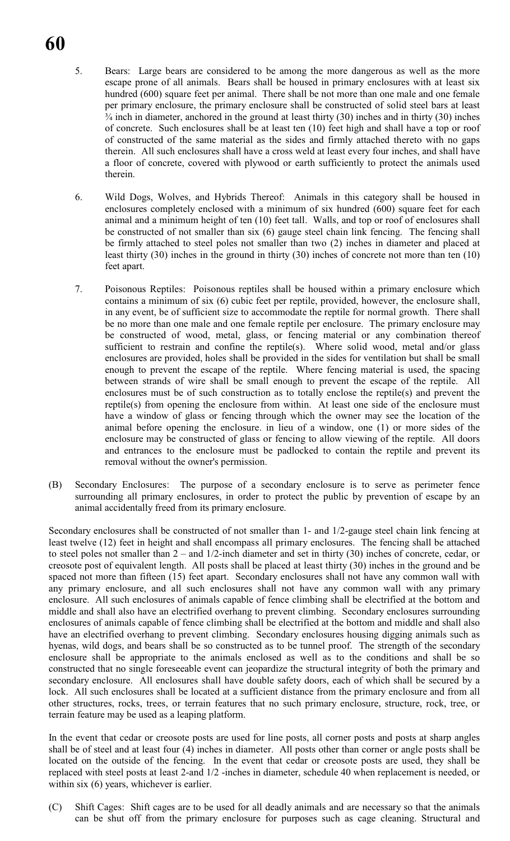- 5. Bears: Large bears are considered to be among the more dangerous as well as the more escape prone of all animals. Bears shall be housed in primary enclosures with at least six hundred (600) square feet per animal. There shall be not more than one male and one female per primary enclosure, the primary enclosure shall be constructed of solid steel bars at least  $\frac{3}{4}$  inch in diameter, anchored in the ground at least thirty (30) inches and in thirty (30) inches of concrete. Such enclosures shall be at least ten (10) feet high and shall have a top or roof of constructed of the same material as the sides and firmly attached thereto with no gaps therein. All such enclosures shall have a cross weld at least every four inches, and shall have a floor of concrete, covered with plywood or earth sufficiently to protect the animals used therein.
- 6. Wild Dogs, Wolves, and Hybrids Thereof: Animals in this category shall be housed in enclosures completely enclosed with a minimum of six hundred (600) square feet for each animal and a minimum height of ten (10) feet tall. Walls, and top or roof of enclosures shall be constructed of not smaller than six (6) gauge steel chain link fencing. The fencing shall be firmly attached to steel poles not smaller than two (2) inches in diameter and placed at least thirty (30) inches in the ground in thirty (30) inches of concrete not more than ten (10) feet apart.
- 7. Poisonous Reptiles: Poisonous reptiles shall be housed within a primary enclosure which contains a minimum of six (6) cubic feet per reptile, provided, however, the enclosure shall, in any event, be of sufficient size to accommodate the reptile for normal growth. There shall be no more than one male and one female reptile per enclosure. The primary enclosure may be constructed of wood, metal, glass, or fencing material or any combination thereof sufficient to restrain and confine the reptile(s). Where solid wood, metal and/or glass enclosures are provided, holes shall be provided in the sides for ventilation but shall be small enough to prevent the escape of the reptile. Where fencing material is used, the spacing between strands of wire shall be small enough to prevent the escape of the reptile. All enclosures must be of such construction as to totally enclose the reptile(s) and prevent the reptile(s) from opening the enclosure from within. At least one side of the enclosure must have a window of glass or fencing through which the owner may see the location of the animal before opening the enclosure. in lieu of a window, one (1) or more sides of the enclosure may be constructed of glass or fencing to allow viewing of the reptile. All doors and entrances to the enclosure must be padlocked to contain the reptile and prevent its removal without the owner's permission.
- (B) Secondary Enclosures: The purpose of a secondary enclosure is to serve as perimeter fence surrounding all primary enclosures, in order to protect the public by prevention of escape by an animal accidentally freed from its primary enclosure.

Secondary enclosures shall be constructed of not smaller than 1- and 1/2-gauge steel chain link fencing at least twelve (12) feet in height and shall encompass all primary enclosures. The fencing shall be attached to steel poles not smaller than 2 – and 1/2-inch diameter and set in thirty (30) inches of concrete, cedar, or creosote post of equivalent length. All posts shall be placed at least thirty (30) inches in the ground and be spaced not more than fifteen (15) feet apart. Secondary enclosures shall not have any common wall with any primary enclosure, and all such enclosures shall not have any common wall with any primary enclosure. All such enclosures of animals capable of fence climbing shall be electrified at the bottom and middle and shall also have an electrified overhang to prevent climbing. Secondary enclosures surrounding enclosures of animals capable of fence climbing shall be electrified at the bottom and middle and shall also have an electrified overhang to prevent climbing. Secondary enclosures housing digging animals such as hyenas, wild dogs, and bears shall be so constructed as to be tunnel proof. The strength of the secondary enclosure shall be appropriate to the animals enclosed as well as to the conditions and shall be so constructed that no single foreseeable event can jeopardize the structural integrity of both the primary and secondary enclosure. All enclosures shall have double safety doors, each of which shall be secured by a lock. All such enclosures shall be located at a sufficient distance from the primary enclosure and from all other structures, rocks, trees, or terrain features that no such primary enclosure, structure, rock, tree, or terrain feature may be used as a leaping platform.

In the event that cedar or creosote posts are used for line posts, all corner posts and posts at sharp angles shall be of steel and at least four (4) inches in diameter. All posts other than corner or angle posts shall be located on the outside of the fencing. In the event that cedar or creosote posts are used, they shall be replaced with steel posts at least 2-and 1/2 -inches in diameter, schedule 40 when replacement is needed, or within six (6) years, whichever is earlier.

(C) Shift Cages: Shift cages are to be used for all deadly animals and are necessary so that the animals can be shut off from the primary enclosure for purposes such as cage cleaning. Structural and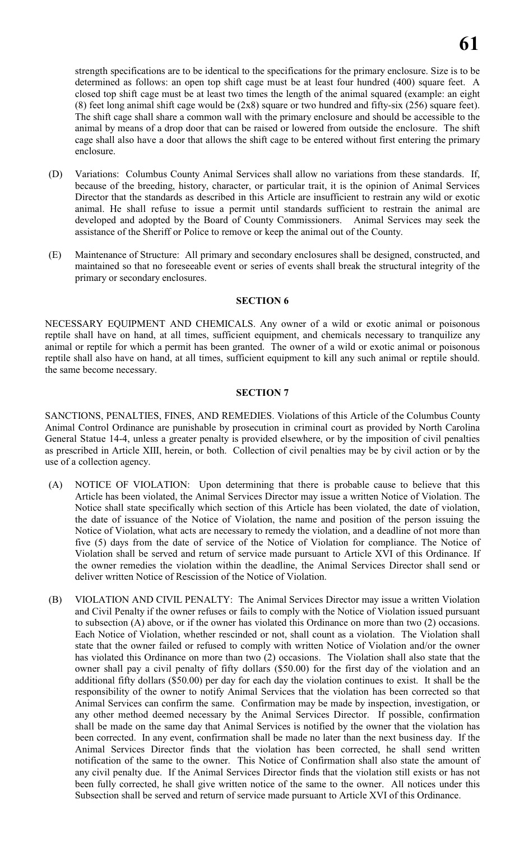strength specifications are to be identical to the specifications for the primary enclosure. Size is to be determined as follows: an open top shift cage must be at least four hundred (400) square feet. A closed top shift cage must be at least two times the length of the animal squared (example: an eight (8) feet long animal shift cage would be (2x8) square or two hundred and fifty-six (256) square feet). The shift cage shall share a common wall with the primary enclosure and should be accessible to the animal by means of a drop door that can be raised or lowered from outside the enclosure. The shift cage shall also have a door that allows the shift cage to be entered without first entering the primary enclosure.

- (D) Variations: Columbus County Animal Services shall allow no variations from these standards. If, because of the breeding, history, character, or particular trait, it is the opinion of Animal Services Director that the standards as described in this Article are insufficient to restrain any wild or exotic animal. He shall refuse to issue a permit until standards sufficient to restrain the animal are developed and adopted by the Board of County Commissioners. Animal Services may seek the assistance of the Sheriff or Police to remove or keep the animal out of the County.
- (E) Maintenance of Structure: All primary and secondary enclosures shall be designed, constructed, and maintained so that no foreseeable event or series of events shall break the structural integrity of the primary or secondary enclosures.

#### **SECTION 6**

NECESSARY EQUIPMENT AND CHEMICALS. Any owner of a wild or exotic animal or poisonous reptile shall have on hand, at all times, sufficient equipment, and chemicals necessary to tranquilize any animal or reptile for which a permit has been granted. The owner of a wild or exotic animal or poisonous reptile shall also have on hand, at all times, sufficient equipment to kill any such animal or reptile should. the same become necessary.

#### **SECTION 7**

SANCTIONS, PENALTIES, FINES, AND REMEDIES. Violations of this Article of the Columbus County Animal Control Ordinance are punishable by prosecution in criminal court as provided by North Carolina General Statue 14-4, unless a greater penalty is provided elsewhere, or by the imposition of civil penalties as prescribed in Article XIII, herein, or both. Collection of civil penalties may be by civil action or by the use of a collection agency.

- (A) NOTICE OF VIOLATION: Upon determining that there is probable cause to believe that this Article has been violated, the Animal Services Director may issue a written Notice of Violation. The Notice shall state specifically which section of this Article has been violated, the date of violation, the date of issuance of the Notice of Violation, the name and position of the person issuing the Notice of Violation, what acts are necessary to remedy the violation, and a deadline of not more than five (5) days from the date of service of the Notice of Violation for compliance. The Notice of Violation shall be served and return of service made pursuant to Article XVI of this Ordinance. If the owner remedies the violation within the deadline, the Animal Services Director shall send or deliver written Notice of Rescission of the Notice of Violation.
- (B) VIOLATION AND CIVIL PENALTY: The Animal Services Director may issue a written Violation and Civil Penalty if the owner refuses or fails to comply with the Notice of Violation issued pursuant to subsection (A) above, or if the owner has violated this Ordinance on more than two (2) occasions. Each Notice of Violation, whether rescinded or not, shall count as a violation. The Violation shall state that the owner failed or refused to comply with written Notice of Violation and/or the owner has violated this Ordinance on more than two (2) occasions. The Violation shall also state that the owner shall pay a civil penalty of fifty dollars (\$50.00) for the first day of the violation and an additional fifty dollars (\$50.00) per day for each day the violation continues to exist. It shall be the responsibility of the owner to notify Animal Services that the violation has been corrected so that Animal Services can confirm the same. Confirmation may be made by inspection, investigation, or any other method deemed necessary by the Animal Services Director. If possible, confirmation shall be made on the same day that Animal Services is notified by the owner that the violation has been corrected. In any event, confirmation shall be made no later than the next business day. If the Animal Services Director finds that the violation has been corrected, he shall send written notification of the same to the owner. This Notice of Confirmation shall also state the amount of any civil penalty due. If the Animal Services Director finds that the violation still exists or has not been fully corrected, he shall give written notice of the same to the owner. All notices under this Subsection shall be served and return of service made pursuant to Article XVI of this Ordinance.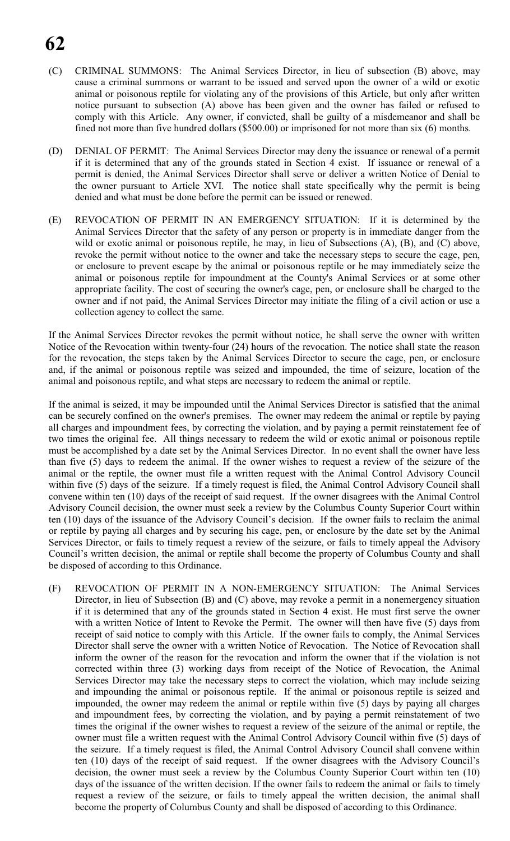- (C) CRIMINAL SUMMONS: The Animal Services Director, in lieu of subsection (B) above, may cause a criminal summons or warrant to be issued and served upon the owner of a wild or exotic animal or poisonous reptile for violating any of the provisions of this Article, but only after written notice pursuant to subsection (A) above has been given and the owner has failed or refused to comply with this Article. Any owner, if convicted, shall be guilty of a misdemeanor and shall be fined not more than five hundred dollars (\$500.00) or imprisoned for not more than six (6) months.
- (D) DENIAL OF PERMIT: The Animal Services Director may deny the issuance or renewal of a permit if it is determined that any of the grounds stated in Section 4 exist. If issuance or renewal of a permit is denied, the Animal Services Director shall serve or deliver a written Notice of Denial to the owner pursuant to Article XVI. The notice shall state specifically why the permit is being denied and what must be done before the permit can be issued or renewed.
- (E) REVOCATION OF PERMIT IN AN EMERGENCY SITUATION: If it is determined by the Animal Services Director that the safety of any person or property is in immediate danger from the wild or exotic animal or poisonous reptile, he may, in lieu of Subsections (A), (B), and (C) above, revoke the permit without notice to the owner and take the necessary steps to secure the cage, pen, or enclosure to prevent escape by the animal or poisonous reptile or he may immediately seize the animal or poisonous reptile for impoundment at the County's Animal Services or at some other appropriate facility. The cost of securing the owner's cage, pen, or enclosure shall be charged to the owner and if not paid, the Animal Services Director may initiate the filing of a civil action or use a collection agency to collect the same.

If the Animal Services Director revokes the permit without notice, he shall serve the owner with written Notice of the Revocation within twenty-four (24) hours of the revocation. The notice shall state the reason for the revocation, the steps taken by the Animal Services Director to secure the cage, pen, or enclosure and, if the animal or poisonous reptile was seized and impounded, the time of seizure, location of the animal and poisonous reptile, and what steps are necessary to redeem the animal or reptile.

If the animal is seized, it may be impounded until the Animal Services Director is satisfied that the animal can be securely confined on the owner's premises. The owner may redeem the animal or reptile by paying all charges and impoundment fees, by correcting the violation, and by paying a permit reinstatement fee of two times the original fee. All things necessary to redeem the wild or exotic animal or poisonous reptile must be accomplished by a date set by the Animal Services Director. In no event shall the owner have less than five (5) days to redeem the animal. If the owner wishes to request a review of the seizure of the animal or the reptile, the owner must file a written request with the Animal Control Advisory Council within five (5) days of the seizure. If a timely request is filed, the Animal Control Advisory Council shall convene within ten (10) days of the receipt of said request. If the owner disagrees with the Animal Control Advisory Council decision, the owner must seek a review by the Columbus County Superior Court within ten (10) days of the issuance of the Advisory Council's decision. If the owner fails to reclaim the animal or reptile by paying all charges and by securing his cage, pen, or enclosure by the date set by the Animal Services Director, or fails to timely request a review of the seizure, or fails to timely appeal the Advisory Council's written decision, the animal or reptile shall become the property of Columbus County and shall be disposed of according to this Ordinance.

(F) REVOCATION OF PERMIT IN A NON-EMERGENCY SITUATION: The Animal Services Director, in lieu of Subsection (B) and (C) above, may revoke a permit in a nonemergency situation if it is determined that any of the grounds stated in Section 4 exist. He must first serve the owner with a written Notice of Intent to Revoke the Permit. The owner will then have five (5) days from receipt of said notice to comply with this Article. If the owner fails to comply, the Animal Services Director shall serve the owner with a written Notice of Revocation. The Notice of Revocation shall inform the owner of the reason for the revocation and inform the owner that if the violation is not corrected within three (3) working days from receipt of the Notice of Revocation, the Animal Services Director may take the necessary steps to correct the violation, which may include seizing and impounding the animal or poisonous reptile. If the animal or poisonous reptile is seized and impounded, the owner may redeem the animal or reptile within five (5) days by paying all charges and impoundment fees, by correcting the violation, and by paying a permit reinstatement of two times the original if the owner wishes to request a review of the seizure of the animal or reptile, the owner must file a written request with the Animal Control Advisory Council within five (5) days of the seizure. If a timely request is filed, the Animal Control Advisory Council shall convene within ten (10) days of the receipt of said request. If the owner disagrees with the Advisory Council's decision, the owner must seek a review by the Columbus County Superior Court within ten (10) days of the issuance of the written decision. If the owner fails to redeem the animal or fails to timely request a review of the seizure, or fails to timely appeal the written decision, the animal shall become the property of Columbus County and shall be disposed of according to this Ordinance.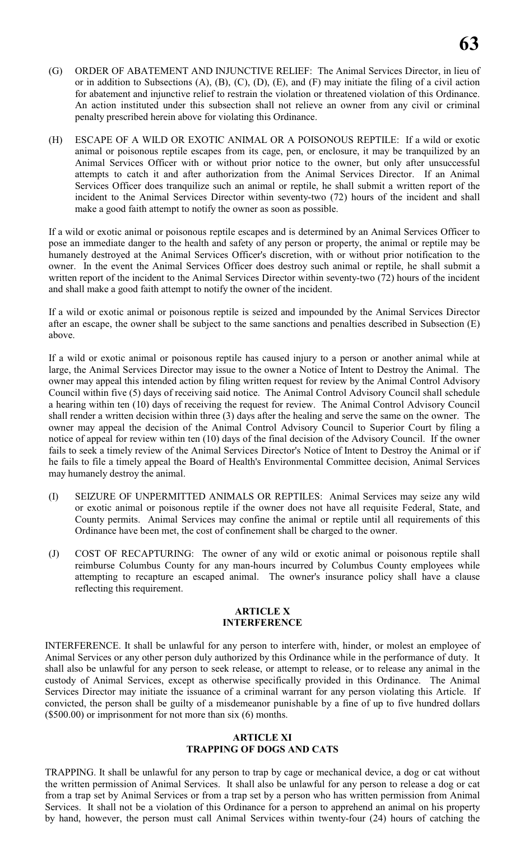- (G) ORDER OF ABATEMENT AND INJUNCTIVE RELIEF: The Animal Services Director, in lieu of or in addition to Subsections (A), (B), (C), (D), (E), and (F) may initiate the filing of a civil action for abatement and injunctive relief to restrain the violation or threatened violation of this Ordinance. An action instituted under this subsection shall not relieve an owner from any civil or criminal penalty prescribed herein above for violating this Ordinance.
- (H) ESCAPE OF A WILD OR EXOTIC ANIMAL OR A POISONOUS REPTILE: If a wild or exotic animal or poisonous reptile escapes from its cage, pen, or enclosure, it may be tranquilized by an Animal Services Officer with or without prior notice to the owner, but only after unsuccessful attempts to catch it and after authorization from the Animal Services Director. If an Animal Services Officer does tranquilize such an animal or reptile, he shall submit a written report of the incident to the Animal Services Director within seventy-two (72) hours of the incident and shall make a good faith attempt to notify the owner as soon as possible.

If a wild or exotic animal or poisonous reptile escapes and is determined by an Animal Services Officer to pose an immediate danger to the health and safety of any person or property, the animal or reptile may be humanely destroyed at the Animal Services Officer's discretion, with or without prior notification to the owner. In the event the Animal Services Officer does destroy such animal or reptile, he shall submit a written report of the incident to the Animal Services Director within seventy-two (72) hours of the incident and shall make a good faith attempt to notify the owner of the incident.

If a wild or exotic animal or poisonous reptile is seized and impounded by the Animal Services Director after an escape, the owner shall be subject to the same sanctions and penalties described in Subsection (E) above.

If a wild or exotic animal or poisonous reptile has caused injury to a person or another animal while at large, the Animal Services Director may issue to the owner a Notice of Intent to Destroy the Animal. The owner may appeal this intended action by filing written request for review by the Animal Control Advisory Council within five (5) days of receiving said notice. The Animal Control Advisory Council shall schedule a hearing within ten (10) days of receiving the request for review. The Animal Control Advisory Council shall render a written decision within three (3) days after the healing and serve the same on the owner. The owner may appeal the decision of the Animal Control Advisory Council to Superior Court by filing a notice of appeal for review within ten (10) days of the final decision of the Advisory Council. If the owner fails to seek a timely review of the Animal Services Director's Notice of Intent to Destroy the Animal or if he fails to file a timely appeal the Board of Health's Environmental Committee decision, Animal Services may humanely destroy the animal.

- (I) SEIZURE OF UNPERMITTED ANIMALS OR REPTILES: Animal Services may seize any wild or exotic animal or poisonous reptile if the owner does not have all requisite Federal, State, and County permits. Animal Services may confine the animal or reptile until all requirements of this Ordinance have been met, the cost of confinement shall be charged to the owner.
- (J) COST OF RECAPTURING: The owner of any wild or exotic animal or poisonous reptile shall reimburse Columbus County for any man-hours incurred by Columbus County employees while attempting to recapture an escaped animal. The owner's insurance policy shall have a clause reflecting this requirement.

#### **ARTICLE X INTERFERENCE**

INTERFERENCE. It shall be unlawful for any person to interfere with, hinder, or molest an employee of Animal Services or any other person duly authorized by this Ordinance while in the performance of duty. It shall also be unlawful for any person to seek release, or attempt to release, or to release any animal in the custody of Animal Services, except as otherwise specifically provided in this Ordinance. The Animal Services Director may initiate the issuance of a criminal warrant for any person violating this Article. If convicted, the person shall be guilty of a misdemeanor punishable by a fine of up to five hundred dollars (\$500.00) or imprisonment for not more than six (6) months.

# **ARTICLE XI TRAPPING OF DOGS AND CATS**

TRAPPING. It shall be unlawful for any person to trap by cage or mechanical device, a dog or cat without the written permission of Animal Services. It shall also be unlawful for any person to release a dog or cat from a trap set by Animal Services or from a trap set by a person who has written permission from Animal Services. It shall not be a violation of this Ordinance for a person to apprehend an animal on his property by hand, however, the person must call Animal Services within twenty-four (24) hours of catching the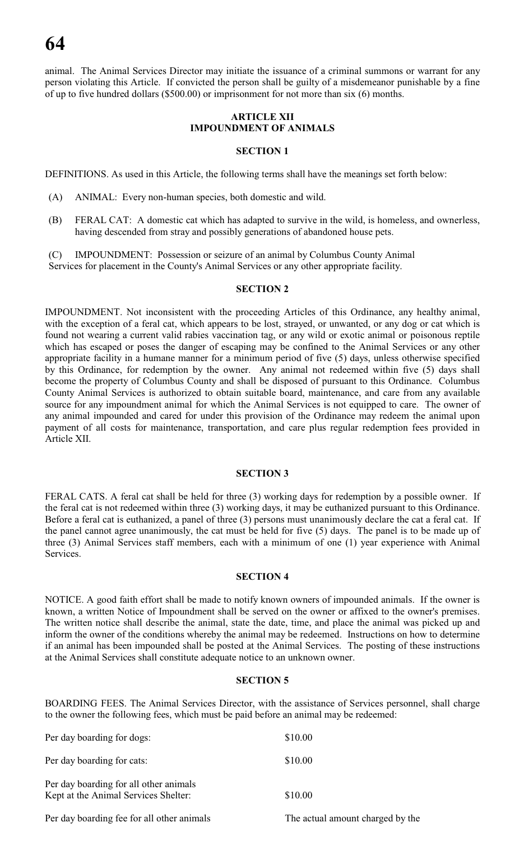animal. The Animal Services Director may initiate the issuance of a criminal summons or warrant for any person violating this Article. If convicted the person shall be guilty of a misdemeanor punishable by a fine of up to five hundred dollars (\$500.00) or imprisonment for not more than six (6) months.

# **ARTICLE XII IMPOUNDMENT OF ANIMALS**

#### **SECTION 1**

DEFINITIONS. As used in this Article, the following terms shall have the meanings set forth below:

- (A) ANIMAL: Every non-human species, both domestic and wild.
- (B) FERAL CAT: A domestic cat which has adapted to survive in the wild, is homeless, and ownerless, having descended from stray and possibly generations of abandoned house pets.

(C) IMPOUNDMENT: Possession or seizure of an animal by Columbus County Animal Services for placement in the County's Animal Services or any other appropriate facility.

#### **SECTION 2**

IMPOUNDMENT. Not inconsistent with the proceeding Articles of this Ordinance, any healthy animal, with the exception of a feral cat, which appears to be lost, strayed, or unwanted, or any dog or cat which is found not wearing a current valid rabies vaccination tag, or any wild or exotic animal or poisonous reptile which has escaped or poses the danger of escaping may be confined to the Animal Services or any other appropriate facility in a humane manner for a minimum period of five (5) days, unless otherwise specified by this Ordinance, for redemption by the owner. Any animal not redeemed within five (5) days shall become the property of Columbus County and shall be disposed of pursuant to this Ordinance. Columbus County Animal Services is authorized to obtain suitable board, maintenance, and care from any available source for any impoundment animal for which the Animal Services is not equipped to care. The owner of any animal impounded and cared for under this provision of the Ordinance may redeem the animal upon payment of all costs for maintenance, transportation, and care plus regular redemption fees provided in Article XII.

#### **SECTION 3**

FERAL CATS. A feral cat shall be held for three (3) working days for redemption by a possible owner. If the feral cat is not redeemed within three (3) working days, it may be euthanized pursuant to this Ordinance. Before a feral cat is euthanized, a panel of three (3) persons must unanimously declare the cat a feral cat. If the panel cannot agree unanimously, the cat must be held for five (5) days. The panel is to be made up of three (3) Animal Services staff members, each with a minimum of one (1) year experience with Animal Services.

#### **SECTION 4**

NOTICE. A good faith effort shall be made to notify known owners of impounded animals. If the owner is known, a written Notice of Impoundment shall be served on the owner or affixed to the owner's premises. The written notice shall describe the animal, state the date, time, and place the animal was picked up and inform the owner of the conditions whereby the animal may be redeemed. Instructions on how to determine if an animal has been impounded shall be posted at the Animal Services. The posting of these instructions at the Animal Services shall constitute adequate notice to an unknown owner.

#### **SECTION 5**

BOARDING FEES. The Animal Services Director, with the assistance of Services personnel, shall charge to the owner the following fees, which must be paid before an animal may be redeemed:

| Per day boarding for dogs:                                                     | \$10.00                          |
|--------------------------------------------------------------------------------|----------------------------------|
| Per day boarding for cats:                                                     | \$10.00                          |
| Per day boarding for all other animals<br>Kept at the Animal Services Shelter: | \$10.00                          |
| Per day boarding fee for all other animals                                     | The actual amount charged by the |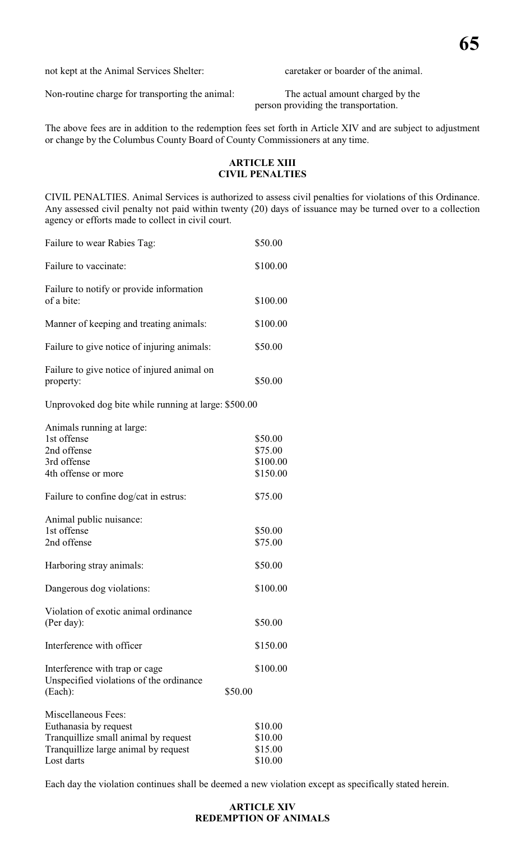not kept at the Animal Services Shelter: caretaker or boarder of the animal.

Non-routine charge for transporting the animal: The actual amount charged by the

person providing the transportation.

The above fees are in addition to the redemption fees set forth in Article XIV and are subject to adjustment or change by the Columbus County Board of County Commissioners at any time.

# **ARTICLE XIII CIVIL PENALTIES**

CIVIL PENALTIES. Animal Services is authorized to assess civil penalties for violations of this Ordinance. Any assessed civil penalty not paid within twenty (20) days of issuance may be turned over to a collection agency or efforts made to collect in civil court.

| Failure to wear Rabies Tag:                                                                                                                | \$50.00                                    |
|--------------------------------------------------------------------------------------------------------------------------------------------|--------------------------------------------|
| Failure to vaccinate:                                                                                                                      | \$100.00                                   |
| Failure to notify or provide information<br>of a bite:                                                                                     | \$100.00                                   |
| Manner of keeping and treating animals:                                                                                                    | \$100.00                                   |
| Failure to give notice of injuring animals:                                                                                                | \$50.00                                    |
| Failure to give notice of injured animal on<br>property:                                                                                   | \$50.00                                    |
| Unprovoked dog bite while running at large: \$500.00                                                                                       |                                            |
| Animals running at large:<br>1st offense<br>2nd offense<br>3rd offense<br>4th offense or more                                              | \$50.00<br>\$75.00<br>\$100.00<br>\$150.00 |
| Failure to confine dog/cat in estrus:                                                                                                      | \$75.00                                    |
| Animal public nuisance:<br>1st offense<br>2nd offense                                                                                      | \$50.00<br>\$75.00                         |
| Harboring stray animals:                                                                                                                   | \$50.00                                    |
| Dangerous dog violations:                                                                                                                  | \$100.00                                   |
| Violation of exotic animal ordinance<br>(Per day):                                                                                         | \$50.00                                    |
| Interference with officer                                                                                                                  | \$150.00                                   |
| Interference with trap or cage<br>Unspecified violations of the ordinance<br>(Each):<br>\$50.00                                            | \$100.00                                   |
| Miscellaneous Fees:<br>Euthanasia by request<br>Tranquillize small animal by request<br>Tranquillize large animal by request<br>Lost darts | \$10.00<br>\$10.00<br>\$15.00<br>\$10.00   |

Each day the violation continues shall be deemed a new violation except as specifically stated herein.

# **ARTICLE XIV REDEMPTION OF ANIMALS**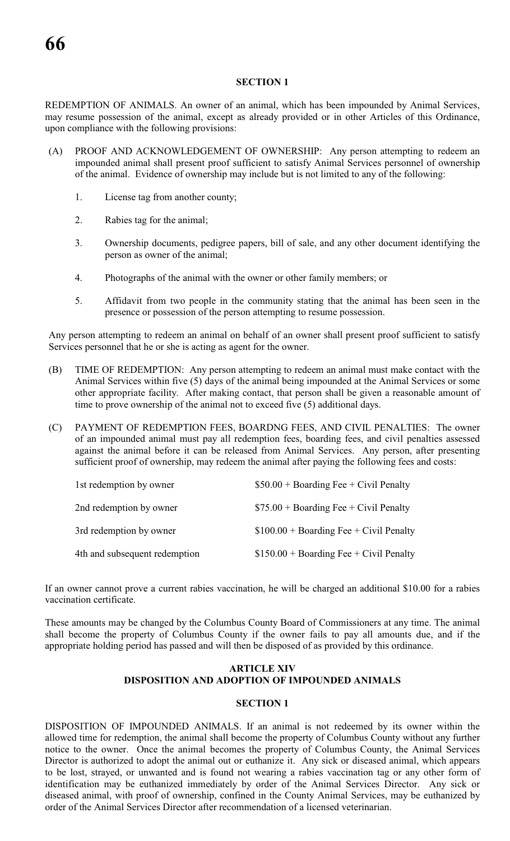#### **SECTION 1**

REDEMPTION OF ANIMALS. An owner of an animal, which has been impounded by Animal Services, may resume possession of the animal, except as already provided or in other Articles of this Ordinance, upon compliance with the following provisions:

- (A) PROOF AND ACKNOWLEDGEMENT OF OWNERSHIP: Any person attempting to redeem an impounded animal shall present proof sufficient to satisfy Animal Services personnel of ownership of the animal. Evidence of ownership may include but is not limited to any of the following:
	- 1. License tag from another county;
	- 2. Rabies tag for the animal;
	- 3. Ownership documents, pedigree papers, bill of sale, and any other document identifying the person as owner of the animal;
	- 4. Photographs of the animal with the owner or other family members; or
	- 5. Affidavit from two people in the community stating that the animal has been seen in the presence or possession of the person attempting to resume possession.

Any person attempting to redeem an animal on behalf of an owner shall present proof sufficient to satisfy Services personnel that he or she is acting as agent for the owner.

- (B) TIME OF REDEMPTION: Any person attempting to redeem an animal must make contact with the Animal Services within five (5) days of the animal being impounded at the Animal Services or some other appropriate facility. After making contact, that person shall be given a reasonable amount of time to prove ownership of the animal not to exceed five (5) additional days.
- (C) PAYMENT OF REDEMPTION FEES, BOARDNG FEES, AND CIVIL PENALTIES: The owner of an impounded animal must pay all redemption fees, boarding fees, and civil penalties assessed against the animal before it can be released from Animal Services. Any person, after presenting sufficient proof of ownership, may redeem the animal after paying the following fees and costs:

| 1st redemption by owner       | $$50.00 + Boarding Free + Civil Penalty$  |
|-------------------------------|-------------------------------------------|
| 2nd redemption by owner       | $$75.00 + Boarding Free + Civil Penalty$  |
| 3rd redemption by owner       | $$100.00 + Boarding Free + Civil Penalty$ |
| 4th and subsequent redemption | $$150.00 + Boarding Free + Civil Penalty$ |

If an owner cannot prove a current rabies vaccination, he will be charged an additional \$10.00 for a rabies vaccination certificate.

These amounts may be changed by the Columbus County Board of Commissioners at any time. The animal shall become the property of Columbus County if the owner fails to pay all amounts due, and if the appropriate holding period has passed and will then be disposed of as provided by this ordinance.

# **ARTICLE XIV DISPOSITION AND ADOPTION OF IMPOUNDED ANIMALS**

# **SECTION 1**

DISPOSITION OF IMPOUNDED ANIMALS. If an animal is not redeemed by its owner within the allowed time for redemption, the animal shall become the property of Columbus County without any further notice to the owner. Once the animal becomes the property of Columbus County, the Animal Services Director is authorized to adopt the animal out or euthanize it. Any sick or diseased animal, which appears to be lost, strayed, or unwanted and is found not wearing a rabies vaccination tag or any other form of identification may be euthanized immediately by order of the Animal Services Director. Any sick or diseased animal, with proof of ownership, confined in the County Animal Services, may be euthanized by order of the Animal Services Director after recommendation of a licensed veterinarian.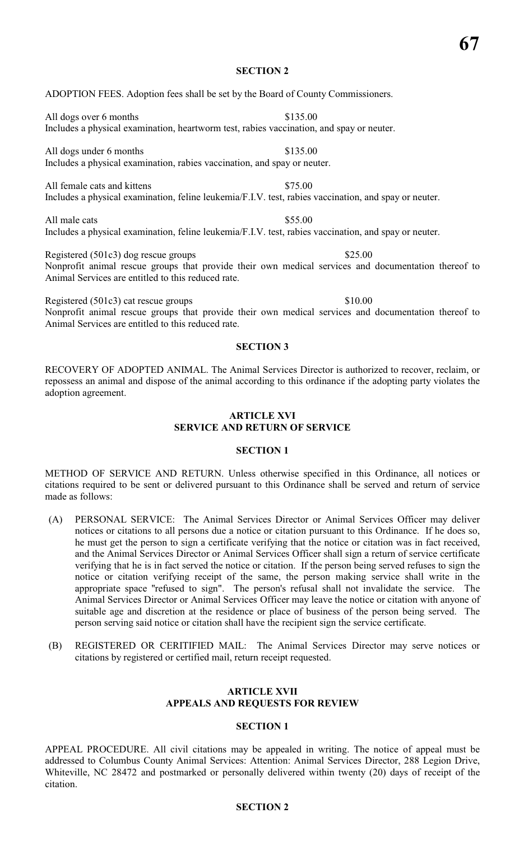# **SECTION 2**

# ADOPTION FEES. Adoption fees shall be set by the Board of County Commissioners.

All dogs over 6 months \$135.00 Includes a physical examination, heartworm test, rabies vaccination, and spay or neuter.

All dogs under 6 months \$135.00 Includes a physical examination, rabies vaccination, and spay or neuter.

All female cats and kittens \$75.00 Includes a physical examination, feline leukemia/F.I.V. test, rabies vaccination, and spay or neuter.

All male cats  $$55.00$ Includes a physical examination, feline leukemia/F.I.V. test, rabies vaccination, and spay or neuter.

Registered (501c3) dog rescue groups \$25.00 Nonprofit animal rescue groups that provide their own medical services and documentation thereof to Animal Services are entitled to this reduced rate.

Registered (501c3) cat rescue groups \$10.00

Nonprofit animal rescue groups that provide their own medical services and documentation thereof to Animal Services are entitled to this reduced rate.

#### **SECTION 3**

RECOVERY OF ADOPTED ANIMAL. The Animal Services Director is authorized to recover, reclaim, or repossess an animal and dispose of the animal according to this ordinance if the adopting party violates the adoption agreement.

### **ARTICLE XVI SERVICE AND RETURN OF SERVICE**

# **SECTION 1**

METHOD OF SERVICE AND RETURN. Unless otherwise specified in this Ordinance, all notices or citations required to be sent or delivered pursuant to this Ordinance shall be served and return of service made as follows:

- (A) PERSONAL SERVICE: The Animal Services Director or Animal Services Officer may deliver notices or citations to all persons due a notice or citation pursuant to this Ordinance. If he does so, he must get the person to sign a certificate verifying that the notice or citation was in fact received, and the Animal Services Director or Animal Services Officer shall sign a return of service certificate verifying that he is in fact served the notice or citation. If the person being served refuses to sign the notice or citation verifying receipt of the same, the person making service shall write in the appropriate space ''refused to sign". The person's refusal shall not invalidate the service. The Animal Services Director or Animal Services Officer may leave the notice or citation with anyone of suitable age and discretion at the residence or place of business of the person being served. The person serving said notice or citation shall have the recipient sign the service certificate.
- (B) REGISTERED OR CERITIFIED MAIL: The Animal Services Director may serve notices or citations by registered or certified mail, return receipt requested.

#### **ARTICLE XVII APPEALS AND REQUESTS FOR REVIEW**

# **SECTION 1**

APPEAL PROCEDURE. All civil citations may be appealed in writing. The notice of appeal must be addressed to Columbus County Animal Services: Attention: Animal Services Director, 288 Legion Drive, Whiteville, NC 28472 and postmarked or personally delivered within twenty (20) days of receipt of the citation.

# **SECTION 2**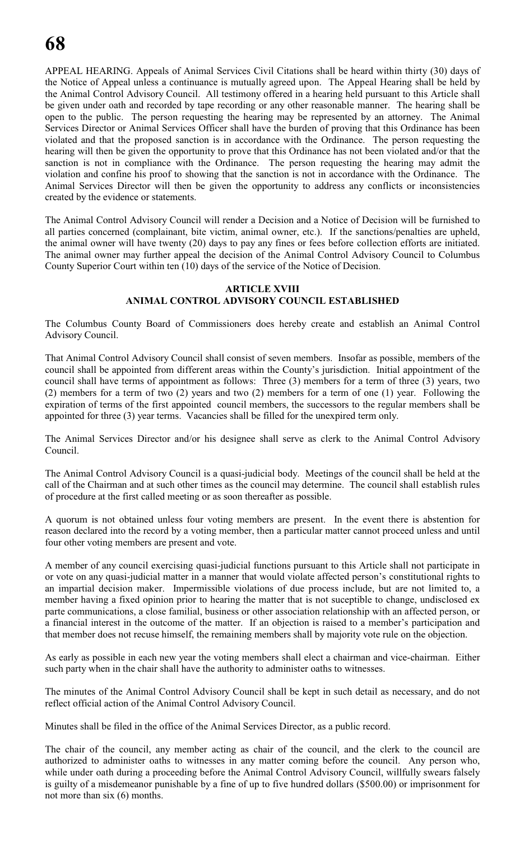APPEAL HEARING. Appeals of Animal Services Civil Citations shall be heard within thirty (30) days of the Notice of Appeal unless a continuance is mutually agreed upon. The Appeal Hearing shall be held by the Animal Control Advisory Council. All testimony offered in a hearing held pursuant to this Article shall be given under oath and recorded by tape recording or any other reasonable manner. The hearing shall be open to the public. The person requesting the hearing may be represented by an attorney. The Animal Services Director or Animal Services Officer shall have the burden of proving that this Ordinance has been violated and that the proposed sanction is in accordance with the Ordinance. The person requesting the hearing will then be given the opportunity to prove that this Ordinance has not been violated and/or that the sanction is not in compliance with the Ordinance. The person requesting the hearing may admit the violation and confine his proof to showing that the sanction is not in accordance with the Ordinance. The Animal Services Director will then be given the opportunity to address any conflicts or inconsistencies created by the evidence or statements.

The Animal Control Advisory Council will render a Decision and a Notice of Decision will be furnished to all parties concerned (complainant, bite victim, animal owner, etc.). If the sanctions/penalties are upheld, the animal owner will have twenty (20) days to pay any fines or fees before collection efforts are initiated. The animal owner may further appeal the decision of the Animal Control Advisory Council to Columbus County Superior Court within ten (10) days of the service of the Notice of Decision.

# **ARTICLE XVIII ANIMAL CONTROL ADVISORY COUNCIL ESTABLISHED**

The Columbus County Board of Commissioners does hereby create and establish an Animal Control Advisory Council.

That Animal Control Advisory Council shall consist of seven members. Insofar as possible, members of the council shall be appointed from different areas within the County's jurisdiction. Initial appointment of the council shall have terms of appointment as follows: Three (3) members for a term of three (3) years, two (2) members for a term of two (2) years and two (2) members for a term of one (1) year. Following the expiration of terms of the first appointed council members, the successors to the regular members shall be appointed for three (3) year terms. Vacancies shall be filled for the unexpired term only.

The Animal Services Director and/or his designee shall serve as clerk to the Animal Control Advisory Council.

The Animal Control Advisory Council is a quasi-judicial body. Meetings of the council shall be held at the call of the Chairman and at such other times as the council may determine. The council shall establish rules of procedure at the first called meeting or as soon thereafter as possible.

A quorum is not obtained unless four voting members are present. In the event there is abstention for reason declared into the record by a voting member, then a particular matter cannot proceed unless and until four other voting members are present and vote.

A member of any council exercising quasi-judicial functions pursuant to this Article shall not participate in or vote on any quasi-judicial matter in a manner that would violate affected person's constitutional rights to an impartial decision maker. Impermissible violations of due process include, but are not limited to, a member having a fixed opinion prior to hearing the matter that is not suceptible to change, undisclosed ex parte communications, a close familial, business or other association relationship with an affected person, or a financial interest in the outcome of the matter. If an objection is raised to a member's participation and that member does not recuse himself, the remaining members shall by majority vote rule on the objection.

As early as possible in each new year the voting members shall elect a chairman and vice-chairman. Either such party when in the chair shall have the authority to administer oaths to witnesses.

The minutes of the Animal Control Advisory Council shall be kept in such detail as necessary, and do not reflect official action of the Animal Control Advisory Council.

Minutes shall be filed in the office of the Animal Services Director, as a public record.

The chair of the council, any member acting as chair of the council, and the clerk to the council are authorized to administer oaths to witnesses in any matter coming before the council. Any person who, while under oath during a proceeding before the Animal Control Advisory Council, willfully swears falsely is guilty of a misdemeanor punishable by a fine of up to five hundred dollars (\$500.00) or imprisonment for not more than six (6) months.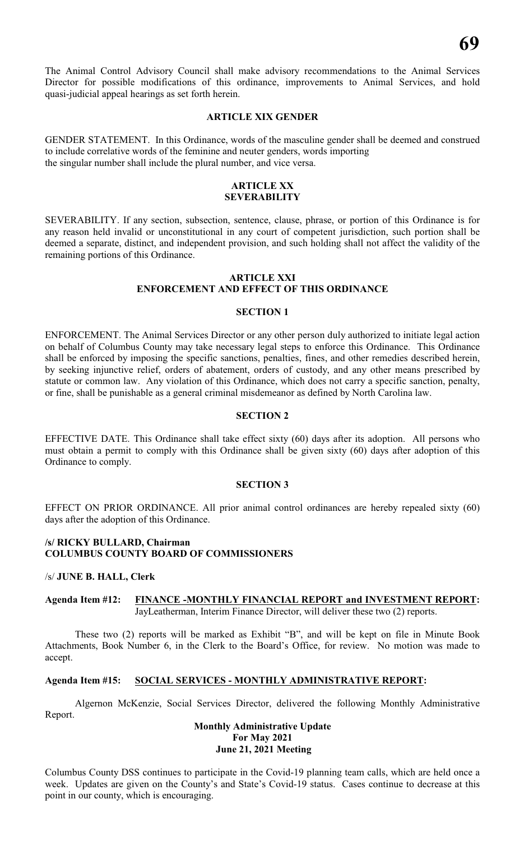The Animal Control Advisory Council shall make advisory recommendations to the Animal Services Director for possible modifications of this ordinance, improvements to Animal Services, and hold quasi-judicial appeal hearings as set forth herein.

# **ARTICLE XIX GENDER**

GENDER STATEMENT. In this Ordinance, words of the masculine gender shall be deemed and construed to include correlative words of the feminine and neuter genders, words importing the singular number shall include the plural number, and vice versa.

#### **ARTICLE XX SEVERABILITY**

SEVERABILITY. If any section, subsection, sentence, clause, phrase, or portion of this Ordinance is for any reason held invalid or unconstitutional in any court of competent jurisdiction, such portion shall be deemed a separate, distinct, and independent provision, and such holding shall not affect the validity of the remaining portions of this Ordinance.

#### **ARTICLE XXI ENFORCEMENT AND EFFECT OF THIS ORDINANCE**

#### **SECTION 1**

ENFORCEMENT. The Animal Services Director or any other person duly authorized to initiate legal action on behalf of Columbus County may take necessary legal steps to enforce this Ordinance. This Ordinance shall be enforced by imposing the specific sanctions, penalties, fines, and other remedies described herein, by seeking injunctive relief, orders of abatement, orders of custody, and any other means prescribed by statute or common law. Any violation of this Ordinance, which does not carry a specific sanction, penalty, or fine, shall be punishable as a general criminal misdemeanor as defined by North Carolina law.

#### **SECTION 2**

EFFECTIVE DATE. This Ordinance shall take effect sixty (60) days after its adoption. All persons who must obtain a permit to comply with this Ordinance shall be given sixty (60) days after adoption of this Ordinance to comply.

#### **SECTION 3**

EFFECT ON PRIOR ORDINANCE. All prior animal control ordinances are hereby repealed sixty (60) days after the adoption of this Ordinance.

# **/s/ RICKY BULLARD, Chairman COLUMBUS COUNTY BOARD OF COMMISSIONERS**

#### /s/ **JUNE B. HALL, Clerk**

#### **Agenda Item #12: FINANCE -MONTHLY FINANCIAL REPORT and INVESTMENT REPORT:** JayLeatherman, Interim Finance Director, will deliver these two (2) reports.

These two (2) reports will be marked as Exhibit "B", and will be kept on file in Minute Book Attachments, Book Number 6, in the Clerk to the Board's Office, for review. No motion was made to accept.

#### **Agenda Item #15: SOCIAL SERVICES - MONTHLY ADMINISTRATIVE REPORT:**

Algernon McKenzie, Social Services Director, delivered the following Monthly Administrative Report.

# **Monthly Administrative Update For May 2021 June 21, 2021 Meeting**

Columbus County DSS continues to participate in the Covid-19 planning team calls, which are held once a week. Updates are given on the County's and State's Covid-19 status. Cases continue to decrease at this point in our county, which is encouraging.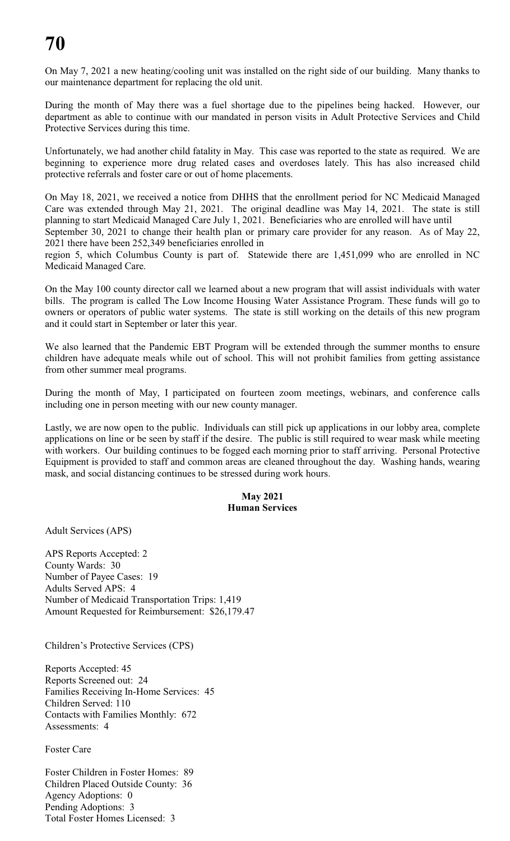# **70**

On May 7, 2021 a new heating/cooling unit was installed on the right side of our building. Many thanks to our maintenance department for replacing the old unit.

During the month of May there was a fuel shortage due to the pipelines being hacked. However, our department as able to continue with our mandated in person visits in Adult Protective Services and Child Protective Services during this time.

Unfortunately, we had another child fatality in May. This case was reported to the state as required. We are beginning to experience more drug related cases and overdoses lately. This has also increased child protective referrals and foster care or out of home placements.

On May 18, 2021, we received a notice from DHHS that the enrollment period for NC Medicaid Managed Care was extended through May 21, 2021. The original deadline was May 14, 2021. The state is still planning to start Medicaid Managed Care July 1, 2021. Beneficiaries who are enrolled will have until September 30, 2021 to change their health plan or primary care provider for any reason. As of May 22, 2021 there have been 252,349 beneficiaries enrolled in

region 5, which Columbus County is part of. Statewide there are 1,451,099 who are enrolled in NC Medicaid Managed Care.

On the May 100 county director call we learned about a new program that will assist individuals with water bills. The program is called The Low Income Housing Water Assistance Program. These funds will go to owners or operators of public water systems. The state is still working on the details of this new program and it could start in September or later this year.

We also learned that the Pandemic EBT Program will be extended through the summer months to ensure children have adequate meals while out of school. This will not prohibit families from getting assistance from other summer meal programs.

During the month of May, I participated on fourteen zoom meetings, webinars, and conference calls including one in person meeting with our new county manager.

Lastly, we are now open to the public. Individuals can still pick up applications in our lobby area, complete applications on line or be seen by staff if the desire. The public is still required to wear mask while meeting with workers. Our building continues to be fogged each morning prior to staff arriving. Personal Protective Equipment is provided to staff and common areas are cleaned throughout the day. Washing hands, wearing mask, and social distancing continues to be stressed during work hours.

# **May 2021 Human Services**

Adult Services (APS)

APS Reports Accepted: 2 County Wards: 30 Number of Payee Cases: 19 Adults Served APS: 4 Number of Medicaid Transportation Trips: 1,419 Amount Requested for Reimbursement: \$26,179.47

Children's Protective Services (CPS)

Reports Accepted: 45 Reports Screened out: 24 Families Receiving In-Home Services: 45 Children Served: 110 Contacts with Families Monthly: 672 Assessments: 4

# Foster Care

Foster Children in Foster Homes: 89 Children Placed Outside County: 36 Agency Adoptions: 0 Pending Adoptions: 3 Total Foster Homes Licensed: 3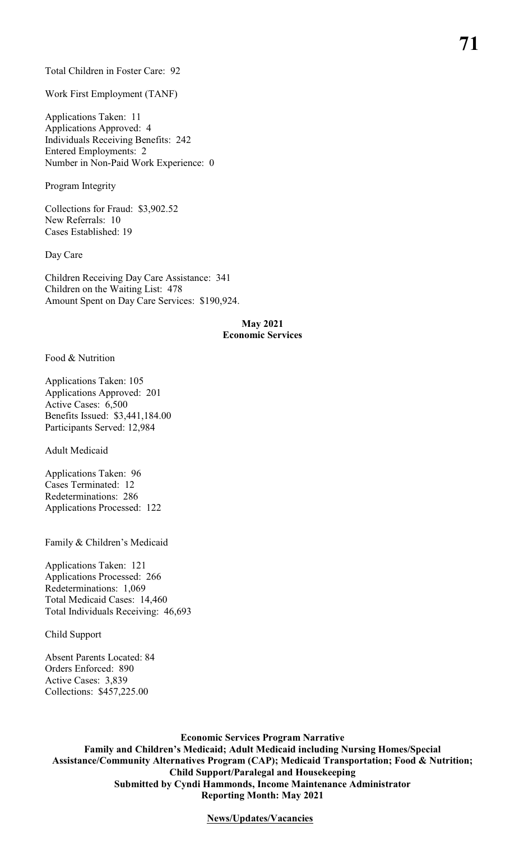#### Total Children in Foster Care: 92

Work First Employment (TANF)

Applications Taken: 11 Applications Approved: 4 Individuals Receiving Benefits: 242 Entered Employments: 2 Number in Non-Paid Work Experience: 0

Program Integrity

Collections for Fraud: \$3,902.52 New Referrals: 10 Cases Established: 19

Day Care

Children Receiving Day Care Assistance: 341 Children on the Waiting List: 478 Amount Spent on Day Care Services: \$190,924.

#### **May 2021 Economic Services**

Food & Nutrition

Applications Taken: 105 Applications Approved: 201 Active Cases: 6,500 Benefits Issued: \$3,441,184.00 Participants Served: 12,984

Adult Medicaid

Applications Taken: 96 Cases Terminated: 12 Redeterminations: 286 Applications Processed: 122

Family & Children's Medicaid

Applications Taken: 121 Applications Processed: 266 Redeterminations: 1,069 Total Medicaid Cases: 14,460 Total Individuals Receiving: 46,693

Child Support

Absent Parents Located: 84 Orders Enforced: 890 Active Cases: 3,839 Collections: \$457,225.00

**Economic Services Program Narrative Family and Children's Medicaid; Adult Medicaid including Nursing Homes/Special Assistance/Community Alternatives Program (CAP); Medicaid Transportation; Food & Nutrition; Child Support/Paralegal and Housekeeping Submitted by Cyndi Hammonds, Income Maintenance Administrator Reporting Month: May 2021**

**News/Updates/Vacancies**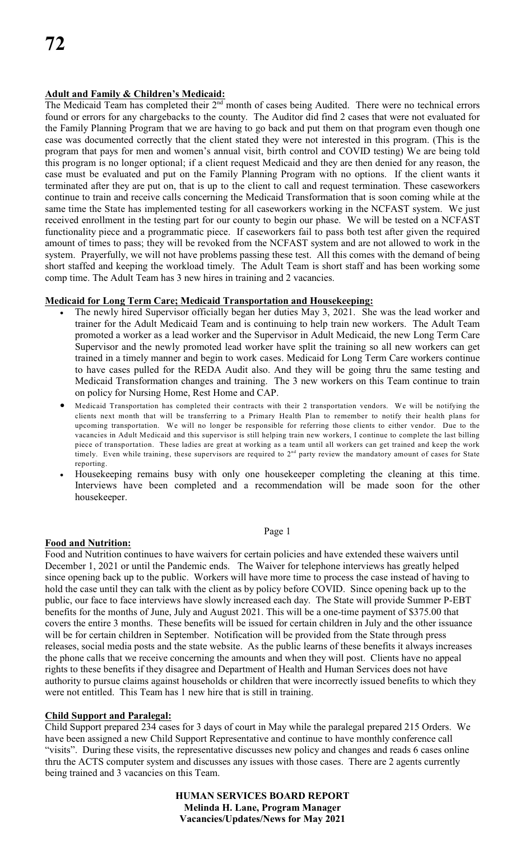# **Adult and Family & Children's Medicaid:**

The Medicaid Team has completed their  $2<sup>nd</sup>$  month of cases being Audited. There were no technical errors found or errors for any chargebacks to the county. The Auditor did find 2 cases that were not evaluated for the Family Planning Program that we are having to go back and put them on that program even though one case was documented correctly that the client stated they were not interested in this program. (This is the program that pays for men and women's annual visit, birth control and COVID testing) We are being told this program is no longer optional; if a client request Medicaid and they are then denied for any reason, the case must be evaluated and put on the Family Planning Program with no options. If the client wants it terminated after they are put on, that is up to the client to call and request termination. These caseworkers continue to train and receive calls concerning the Medicaid Transformation that is soon coming while at the same time the State has implemented testing for all caseworkers working in the NCFAST system. We just received enrollment in the testing part for our county to begin our phase. We will be tested on a NCFAST functionality piece and a programmatic piece. If caseworkers fail to pass both test after given the required amount of times to pass; they will be revoked from the NCFAST system and are not allowed to work in the system. Prayerfully, we will not have problems passing these test. All this comes with the demand of being short staffed and keeping the workload timely. The Adult Team is short staff and has been working some comp time. The Adult Team has 3 new hires in training and 2 vacancies.

# **Medicaid for Long Term Care; Medicaid Transportation and Housekeeping:**

The newly hired Supervisor officially began her duties May 3, 2021. She was the lead worker and trainer for the Adult Medicaid Team and is continuing to help train new workers. The Adult Team promoted a worker as a lead worker and the Supervisor in Adult Medicaid, the new Long Term Care Supervisor and the newly promoted lead worker have split the training so all new workers can get trained in a timely manner and begin to work cases. Medicaid for Long Term Care workers continue to have cases pulled for the REDA Audit also. And they will be going thru the same testing and Medicaid Transformation changes and training. The 3 new workers on this Team continue to train on policy for Nursing Home, Rest Home and CAP.

Medicaid Transportation has completed their contracts with their 2 transportation vendors. We will be notifying the clients next month that will be transferring to a Primary Health Plan to remember to notify their health plans for upcoming transportation. We will no longer be responsible for referring those clients to either vendor. Due to the vacancies in Adult Medicaid and this supervisor is still helping train new workers, I continue to complete the last billing piece of transportation. These ladies are great at working as a team until all workers can get trained and keep the work timely. Even while training, these supervisors are required to  $2<sup>nd</sup>$  party review the mandatory amount of cases for State reporting.

Housekeeping remains busy with only one housekeeper completing the cleaning at this time. Interviews have been completed and a recommendation will be made soon for the other housekeeper.

Page 1

# **Food and Nutrition:**

Food and Nutrition continues to have waivers for certain policies and have extended these waivers until December 1, 2021 or until the Pandemic ends. The Waiver for telephone interviews has greatly helped since opening back up to the public. Workers will have more time to process the case instead of having to hold the case until they can talk with the client as by policy before COVID. Since opening back up to the public, our face to face interviews have slowly increased each day. The State will provide Summer P-EBT benefits for the months of June, July and August 2021. This will be a one-time payment of \$375.00 that covers the entire 3 months. These benefits will be issued for certain children in July and the other issuance will be for certain children in September. Notification will be provided from the State through press releases, social media posts and the state website. As the public learns of these benefits it always increases the phone calls that we receive concerning the amounts and when they will post. Clients have no appeal rights to these benefits if they disagree and Department of Health and Human Services does not have authority to pursue claims against households or children that were incorrectly issued benefits to which they were not entitled. This Team has 1 new hire that is still in training.

# **Child Support and Paralegal:**

Child Support prepared 234 cases for 3 days of court in May while the paralegal prepared 215 Orders. We have been assigned a new Child Support Representative and continue to have monthly conference call "visits". During these visits, the representative discusses new policy and changes and reads 6 cases online thru the ACTS computer system and discusses any issues with those cases. There are 2 agents currently being trained and 3 vacancies on this Team.

> **HUMAN SERVICES BOARD REPORT Melinda H. Lane, Program Manager Vacancies/Updates/News for May 2021**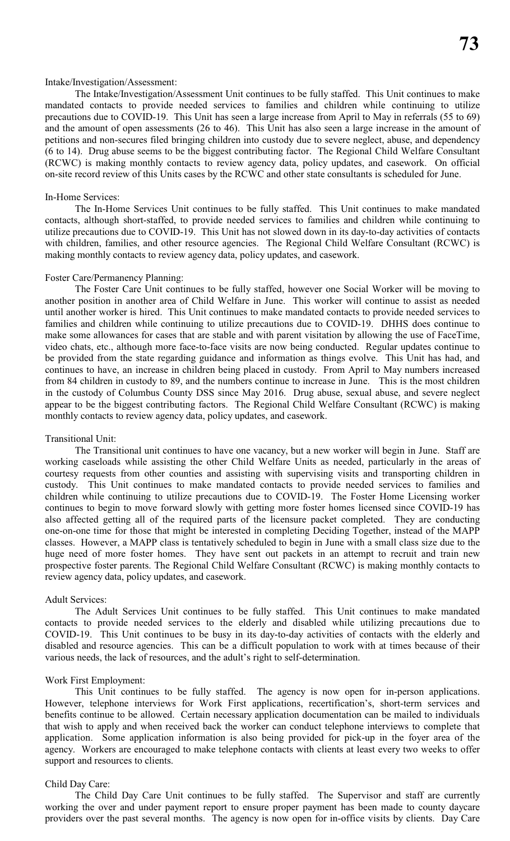#### Intake/Investigation/Assessment:

The Intake/Investigation/Assessment Unit continues to be fully staffed. This Unit continues to make mandated contacts to provide needed services to families and children while continuing to utilize precautions due to COVID-19. This Unit has seen a large increase from April to May in referrals (55 to 69) and the amount of open assessments (26 to 46). This Unit has also seen a large increase in the amount of petitions and non-secures filed bringing children into custody due to severe neglect, abuse, and dependency (6 to 14). Drug abuse seems to be the biggest contributing factor. The Regional Child Welfare Consultant (RCWC) is making monthly contacts to review agency data, policy updates, and casework. On official on-site record review of this Units cases by the RCWC and other state consultants is scheduled for June.

#### In-Home Services:

The In-Home Services Unit continues to be fully staffed. This Unit continues to make mandated contacts, although short-staffed, to provide needed services to families and children while continuing to utilize precautions due to COVID-19. This Unit has not slowed down in its day-to-day activities of contacts with children, families, and other resource agencies. The Regional Child Welfare Consultant (RCWC) is making monthly contacts to review agency data, policy updates, and casework.

#### Foster Care/Permanency Planning:

The Foster Care Unit continues to be fully staffed, however one Social Worker will be moving to another position in another area of Child Welfare in June. This worker will continue to assist as needed until another worker is hired. This Unit continues to make mandated contacts to provide needed services to families and children while continuing to utilize precautions due to COVID-19. DHHS does continue to make some allowances for cases that are stable and with parent visitation by allowing the use of FaceTime, video chats, etc., although more face-to-face visits are now being conducted. Regular updates continue to be provided from the state regarding guidance and information as things evolve. This Unit has had, and continues to have, an increase in children being placed in custody. From April to May numbers increased from 84 children in custody to 89, and the numbers continue to increase in June. This is the most children in the custody of Columbus County DSS since May 2016. Drug abuse, sexual abuse, and severe neglect appear to be the biggest contributing factors. The Regional Child Welfare Consultant (RCWC) is making monthly contacts to review agency data, policy updates, and casework.

#### Transitional Unit:

The Transitional unit continues to have one vacancy, but a new worker will begin in June. Staff are working caseloads while assisting the other Child Welfare Units as needed, particularly in the areas of courtesy requests from other counties and assisting with supervising visits and transporting children in custody. This Unit continues to make mandated contacts to provide needed services to families and children while continuing to utilize precautions due to COVID-19. The Foster Home Licensing worker continues to begin to move forward slowly with getting more foster homes licensed since COVID-19 has also affected getting all of the required parts of the licensure packet completed. They are conducting one-on-one time for those that might be interested in completing Deciding Together, instead of the MAPP classes. However, a MAPP class is tentatively scheduled to begin in June with a small class size due to the huge need of more foster homes. They have sent out packets in an attempt to recruit and train new prospective foster parents. The Regional Child Welfare Consultant (RCWC) is making monthly contacts to review agency data, policy updates, and casework.

#### Adult Services:

The Adult Services Unit continues to be fully staffed. This Unit continues to make mandated contacts to provide needed services to the elderly and disabled while utilizing precautions due to COVID-19. This Unit continues to be busy in its day-to-day activities of contacts with the elderly and disabled and resource agencies. This can be a difficult population to work with at times because of their various needs, the lack of resources, and the adult's right to self-determination.

#### Work First Employment:

This Unit continues to be fully staffed. The agency is now open for in-person applications. However, telephone interviews for Work First applications, recertification's, short-term services and benefits continue to be allowed. Certain necessary application documentation can be mailed to individuals that wish to apply and when received back the worker can conduct telephone interviews to complete that application. Some application information is also being provided for pick-up in the foyer area of the agency. Workers are encouraged to make telephone contacts with clients at least every two weeks to offer support and resources to clients.

#### Child Day Care:

The Child Day Care Unit continues to be fully staffed. The Supervisor and staff are currently working the over and under payment report to ensure proper payment has been made to county daycare providers over the past several months. The agency is now open for in-office visits by clients. Day Care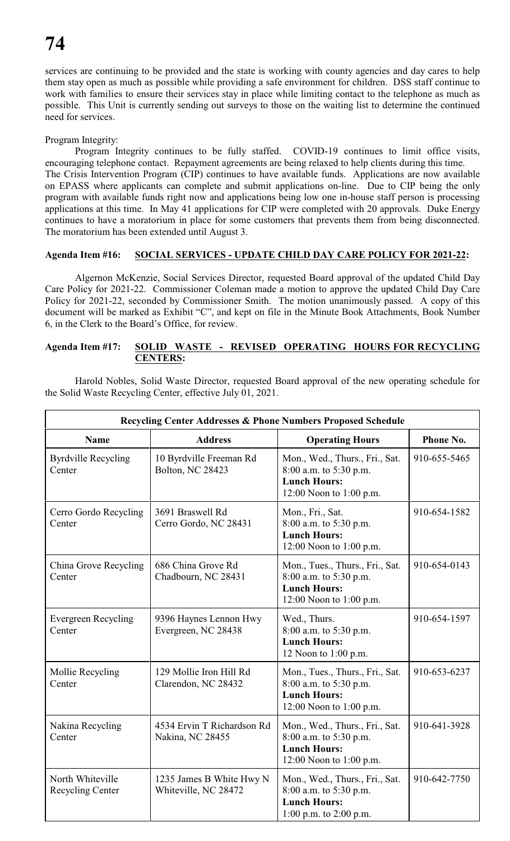services are continuing to be provided and the state is working with county agencies and day cares to help them stay open as much as possible while providing a safe environment for children. DSS staff continue to work with families to ensure their services stay in place while limiting contact to the telephone as much as possible. This Unit is currently sending out surveys to those on the waiting list to determine the continued need for services.

# Program Integrity:

Program Integrity continues to be fully staffed. COVID-19 continues to limit office visits, encouraging telephone contact. Repayment agreements are being relaxed to help clients during this time. The Crisis Intervention Program (CIP) continues to have available funds. Applications are now available on EPASS where applicants can complete and submit applications on-line. Due to CIP being the only program with available funds right now and applications being low one in-house staff person is processing applications at this time. In May 41 applications for CIP were completed with 20 approvals. Duke Energy continues to have a moratorium in place for some customers that prevents them from being disconnected. The moratorium has been extended until August 3.

# **Agenda Item #16: SOCIAL SERVICES - UPDATE CHILD DAY CARE POLICY FOR 2021-22:**

Algernon McKenzie, Social Services Director, requested Board approval of the updated Child Day Care Policy for 2021-22. Commissioner Coleman made a motion to approve the updated Child Day Care Policy for 2021-22, seconded by Commissioner Smith. The motion unanimously passed. A copy of this document will be marked as Exhibit "C", and kept on file in the Minute Book Attachments, Book Number 6, in the Clerk to the Board's Office, for review.

# **Agenda Item #17: SOLID WASTE - REVISED OPERATING HOURS FOR RECYCLING CENTERS:**

Harold Nobles, Solid Waste Director, requested Board approval of the new operating schedule for the Solid Waste Recycling Center, effective July 01, 2021.

| Recycling Center Addresses & Phone Numbers Proposed Schedule |                                                    |                                                                                                             |              |
|--------------------------------------------------------------|----------------------------------------------------|-------------------------------------------------------------------------------------------------------------|--------------|
| <b>Name</b>                                                  | <b>Address</b>                                     | <b>Operating Hours</b>                                                                                      | Phone No.    |
| <b>Byrdville Recycling</b><br>Center                         | 10 Byrdville Freeman Rd<br><b>Bolton, NC 28423</b> | Mon., Wed., Thurs., Fri., Sat.<br>8:00 a.m. to 5:30 p.m.<br><b>Lunch Hours:</b><br>12:00 Noon to 1:00 p.m.  | 910-655-5465 |
| Cerro Gordo Recycling<br>Center                              | 3691 Braswell Rd<br>Cerro Gordo, NC 28431          | Mon., Fri., Sat.<br>8:00 a.m. to 5:30 p.m.<br><b>Lunch Hours:</b><br>12:00 Noon to 1:00 p.m.                | 910-654-1582 |
| China Grove Recycling<br>Center                              | 686 China Grove Rd<br>Chadbourn, NC 28431          | Mon., Tues., Thurs., Fri., Sat.<br>8:00 a.m. to 5:30 p.m.<br><b>Lunch Hours:</b><br>12:00 Noon to 1:00 p.m. | 910-654-0143 |
| <b>Evergreen Recycling</b><br>Center                         | 9396 Haynes Lennon Hwy<br>Evergreen, NC 28438      | Wed., Thurs.<br>8:00 a.m. to 5:30 p.m.<br><b>Lunch Hours:</b><br>12 Noon to 1:00 p.m.                       | 910-654-1597 |
| Mollie Recycling<br>Center                                   | 129 Mollie Iron Hill Rd<br>Clarendon, NC 28432     | Mon., Tues., Thurs., Fri., Sat.<br>8:00 a.m. to 5:30 p.m.<br><b>Lunch Hours:</b><br>12:00 Noon to 1:00 p.m. | 910-653-6237 |
| Nakina Recycling<br>Center                                   | 4534 Ervin T Richardson Rd<br>Nakina, NC 28455     | Mon., Wed., Thurs., Fri., Sat.<br>8:00 a.m. to 5:30 p.m.<br><b>Lunch Hours:</b><br>12:00 Noon to 1:00 p.m.  | 910-641-3928 |
| North Whiteville<br><b>Recycling Center</b>                  | 1235 James B White Hwy N<br>Whiteville, NC 28472   | Mon., Wed., Thurs., Fri., Sat.<br>8:00 a.m. to 5:30 p.m.<br><b>Lunch Hours:</b><br>1:00 p.m. to 2:00 p.m.   | 910-642-7750 |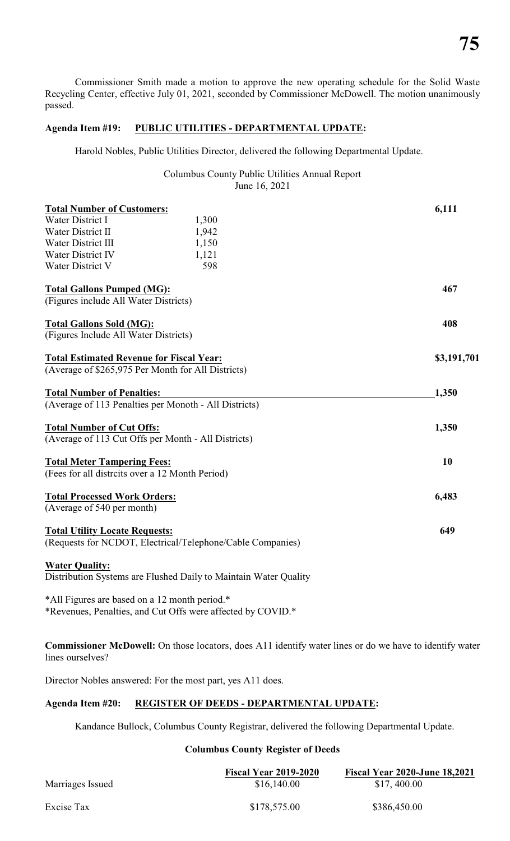Commissioner Smith made a motion to approve the new operating schedule for the Solid Waste Recycling Center, effective July 01, 2021, seconded by Commissioner McDowell. The motion unanimously passed.

# **Agenda Item #19: PUBLIC UTILITIES - DEPARTMENTAL UPDATE:**

Harold Nobles, Public Utilities Director, delivered the following Departmental Update.

Columbus County Public Utilities Annual Report June 16, 2021

| <b>Total Number of Customers:</b>                                |       | 6,111       |
|------------------------------------------------------------------|-------|-------------|
| Water District I                                                 | 1,300 |             |
| Water District II                                                | 1,942 |             |
| Water District III                                               | 1,150 |             |
| Water District IV                                                | 1,121 |             |
| Water District V                                                 | 598   |             |
| <b>Total Gallons Pumped (MG):</b>                                |       | 467         |
| (Figures include All Water Districts)                            |       |             |
| <b>Total Gallons Sold (MG):</b>                                  |       | 408         |
| (Figures Include All Water Districts)                            |       |             |
| <b>Total Estimated Revenue for Fiscal Year:</b>                  |       | \$3,191,701 |
| (Average of \$265,975 Per Month for All Districts)               |       |             |
| <b>Total Number of Penalties:</b>                                |       | 1,350       |
| (Average of 113 Penalties per Monoth - All Districts)            |       |             |
| <b>Total Number of Cut Offs:</b>                                 |       | 1,350       |
| (Average of 113 Cut Offs per Month - All Districts)              |       |             |
| <b>Total Meter Tampering Fees:</b>                               |       | 10          |
| (Fees for all distrcits over a 12 Month Period)                  |       |             |
| <b>Total Processed Work Orders:</b>                              |       | 6,483       |
| (Average of 540 per month)                                       |       |             |
| <b>Total Utility Locate Requests:</b>                            |       | 649         |
| (Requests for NCDOT, Electrical/Telephone/Cable Companies)       |       |             |
| <b>Water Quality:</b>                                            |       |             |
| Distribution Systems are Flushed Daily to Maintain Water Quality |       |             |
| *All Figures are based on a 12 month period.*                    |       |             |

\*Revenues, Penalties, and Cut Offs were affected by COVID.\*

**Commissioner McDowell:** On those locators, does A11 identify water lines or do we have to identify water lines ourselves?

Director Nobles answered: For the most part, yes A11 does.

# **Agenda Item #20: REGISTER OF DEEDS - DEPARTMENTAL UPDATE:**

Kandance Bullock, Columbus County Registrar, delivered the following Departmental Update.

# **Columbus County Register of Deeds**

|                  | <b>Fiscal Year 2019-2020</b> | <b>Fiscal Year 2020-June 18,2021</b> |
|------------------|------------------------------|--------------------------------------|
| Marriages Issued | \$16,140.00                  | \$17,400.00                          |
| Excise Tax       | \$178,575.00                 | \$386,450.00                         |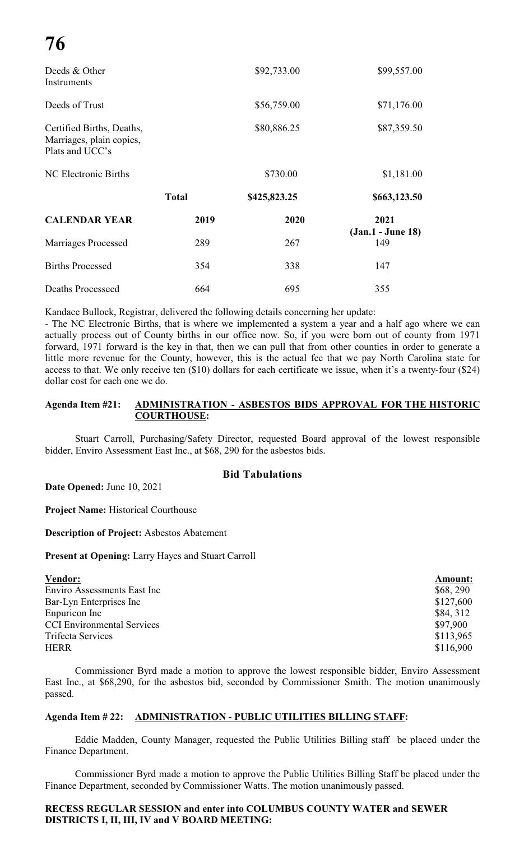| Deeds & Other<br>Instruments                                             |              | \$92,733.00  | \$99,557.00              |
|--------------------------------------------------------------------------|--------------|--------------|--------------------------|
| Deeds of Trust                                                           |              | \$56,759.00  | \$71,176.00              |
| Certified Births, Deaths,<br>Marriages, plain copies,<br>Plats and UCC's |              | \$80,886.25  | \$87,359.50              |
| NC Electronic Births                                                     |              | \$730.00     | \$1,181.00               |
|                                                                          | <b>Total</b> | \$425,823.25 | \$663,123.50             |
| <b>CALENDAR YEAR</b>                                                     | 2019         | 2020         | 2021                     |
| Marriages Processed                                                      | 289          | 267          | (Jan.1 - June 18)<br>149 |
| <b>Births Processed</b>                                                  | 354          | 338          | 147                      |
| <b>Deaths Processeed</b>                                                 | 664          | 695          | 355                      |

Kandace Bullock, Registrar, delivered the following details concerning her update:

- The NC Electronic Births, that is where we implemented a system a year and a half ago where we can actually process out of County births in our office now. So, if you were born out of county from 1971 forward, 1971 forward is the key in that, then we can pull that from other counties in order to generate a little more revenue for the County, however, this is the actual fee that we pay North Carolina state for access to that. We only receive ten (\$10) dollars for each certificate we issue, when it's a twenty-four (\$24) dollar cost for each one we do.

# **Agenda Item #21: ADMINISTRATION - ASBESTOS BIDS APPROVAL FOR THE HISTORIC COURTHOUSE:**

Stuart Carroll, Purchasing/Safety Director, requested Board approval of the lowest responsible bidder, Enviro Assessment East Inc., at \$68, 290 for the asbestos bids.

# **Bid Tabulations**

**Date Opened:** June 10, 2021

**Project Name:** Historical Courthouse

**Description of Project:** Asbestos Abatement

**Present at Opening:** Larry Hayes and Stuart Carroll

| <b>Vendor:</b>                    | Amount:   |
|-----------------------------------|-----------|
| Enviro Assessments East Inc       | \$68, 290 |
| Bar-Lyn Enterprises Inc           | \$127,600 |
| Enpuricon Inc                     | \$84, 312 |
| <b>CCI Environmental Services</b> | \$97,900  |
| Trifecta Services                 | \$113,965 |
| <b>HERR</b>                       | \$116,900 |

Commissioner Byrd made a motion to approve the lowest responsible bidder, Enviro Assessment East Inc., at \$68,290, for the asbestos bid, seconded by Commissioner Smith. The motion unanimously passed.

# **Agenda Item # 22: ADMINISTRATION - PUBLIC UTILITIES BILLING STAFF:**

Eddie Madden, County Manager, requested the Public Utilities Billing staff be placed under the Finance Department.

Commissioner Byrd made a motion to approve the Public Utilities Billing Staff be placed under the Finance Department, seconded by Commissioner Watts. The motion unanimously passed.

# **RECESS REGULAR SESSION and enter into COLUMBUS COUNTY WATER and SEWER DISTRICTS I, II, III, IV and V BOARD MEETING:**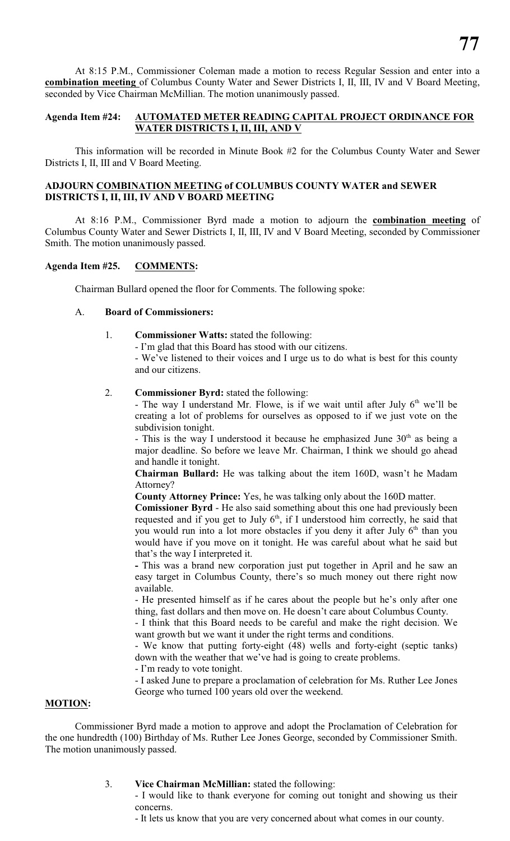At 8:15 P.M., Commissioner Coleman made a motion to recess Regular Session and enter into a **combination meeting** of Columbus County Water and Sewer Districts I, II, III, IV and V Board Meeting, seconded by Vice Chairman McMillian. The motion unanimously passed.

# **Agenda Item #24: AUTOMATED METER READING CAPITAL PROJECT ORDINANCE FOR WATER DISTRICTS I, II, III, AND V**

This information will be recorded in Minute Book #2 for the Columbus County Water and Sewer Districts I, II, III and V Board Meeting.

# **ADJOURN COMBINATION MEETING of COLUMBUS COUNTY WATER and SEWER DISTRICTS I, II, III, IV AND V BOARD MEETING**

At 8:16 P.M., Commissioner Byrd made a motion to adjourn the **combination meeting** of Columbus County Water and Sewer Districts I, II, III, IV and V Board Meeting, seconded by Commissioner Smith. The motion unanimously passed.

# **Agenda Item #25. COMMENTS:**

Chairman Bullard opened the floor for Comments. The following spoke:

### A. **Board of Commissioners:**

- 1. **Commissioner Watts:** stated the following:
	- I'm glad that this Board has stood with our citizens.

- We've listened to their voices and I urge us to do what is best for this county and our citizens.

#### 2. **Commissioner Byrd:** stated the following:

- The way I understand Mr. Flowe, is if we wait until after July  $6<sup>th</sup>$  we'll be creating a lot of problems for ourselves as opposed to if we just vote on the subdivision tonight.

- This is the way I understood it because he emphasized June  $30<sup>th</sup>$  as being a major deadline. So before we leave Mr. Chairman, I think we should go ahead and handle it tonight.

**Chairman Bullard:** He was talking about the item 160D, wasn't he Madam Attorney?

**County Attorney Prince:** Yes, he was talking only about the 160D matter.

**Comissioner Byrd** - He also said something about this one had previously been requested and if you get to July 6<sup>th</sup>, if I understood him correctly, he said that you would run into a lot more obstacles if you deny it after July 6<sup>th</sup> than you would have if you move on it tonight. He was careful about what he said but that's the way I interpreted it.

**-** This was a brand new corporation just put together in April and he saw an easy target in Columbus County, there's so much money out there right now available.

- He presented himself as if he cares about the people but he's only after one thing, fast dollars and then move on. He doesn't care about Columbus County.

- I think that this Board needs to be careful and make the right decision. We want growth but we want it under the right terms and conditions.

- We know that putting forty-eight (48) wells and forty-eight (septic tanks) down with the weather that we've had is going to create problems.

- I'm ready to vote tonight.

- I asked June to prepare a proclamation of celebration for Ms. Ruther Lee Jones George who turned 100 years old over the weekend.

# **MOTION:**

Commissioner Byrd made a motion to approve and adopt the Proclamation of Celebration for the one hundredth (100) Birthday of Ms. Ruther Lee Jones George, seconded by Commissioner Smith. The motion unanimously passed.

#### 3. **Vice Chairman McMillian:** stated the following:

- I would like to thank everyone for coming out tonight and showing us their concerns.

- It lets us know that you are very concerned about what comes in our county.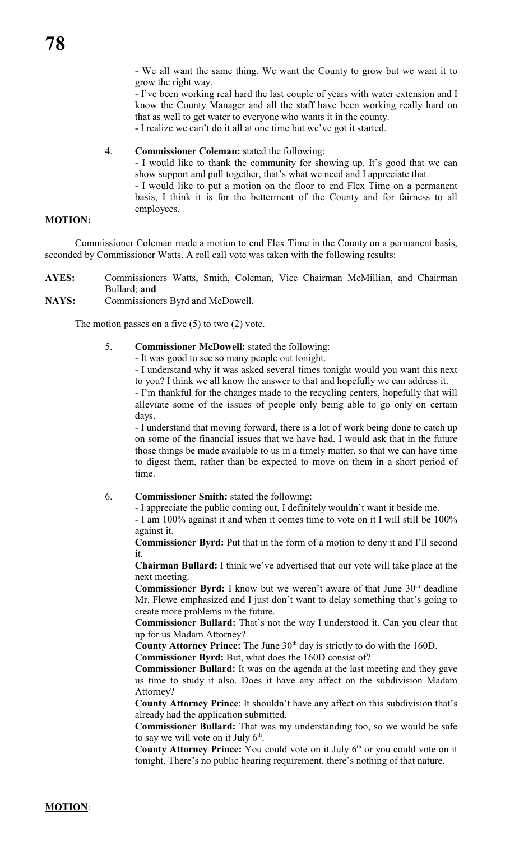- We all want the same thing. We want the County to grow but we want it to grow the right way.

- I've been working real hard the last couple of years with water extension and I know the County Manager and all the staff have been working really hard on that as well to get water to everyone who wants it in the county.

- I realize we can't do it all at one time but we've got it started.

#### 4. **Commissioner Coleman:** stated the following:

- I would like to thank the community for showing up. It's good that we can show support and pull together, that's what we need and I appreciate that.

- I would like to put a motion on the floor to end Flex Time on a permanent basis, I think it is for the betterment of the County and for fairness to all employees.

# **MOTION:**

Commissioner Coleman made a motion to end Flex Time in the County on a permanent basis, seconded by Commissioner Watts. A roll call vote was taken with the following results:

- **AYES:** Commissioners Watts, Smith, Coleman, Vice Chairman McMillian, and Chairman Bullard; **and**
- **NAYS:** Commissioners Byrd and McDowell.

The motion passes on a five  $(5)$  to two  $(2)$  vote.

- 5. **Commissioner McDowell:** stated the following:
	- It was good to see so many people out tonight.

- I understand why it was asked several times tonight would you want this next to you? I think we all know the answer to that and hopefully we can address it.

- I'm thankful for the changes made to the recycling centers, hopefully that will alleviate some of the issues of people only being able to go only on certain days.

- I understand that moving forward, there is a lot of work being done to catch up on some of the financial issues that we have had. I would ask that in the future those things be made available to us in a timely matter, so that we can have time to digest them, rather than be expected to move on them in a short period of time.

#### 6. **Commissioner Smith:** stated the following:

- I appreciate the public coming out, I definitely wouldn't want it beside me.

- I am 100% against it and when it comes time to vote on it I will still be 100% against it.

**Commissioner Byrd:** Put that in the form of a motion to deny it and I'll second it.

**Chairman Bullard:** I think we've advertised that our vote will take place at the next meeting.

**Commissioner Byrd:** I know but we weren't aware of that June 30<sup>th</sup> deadline Mr. Flowe emphasized and I just don't want to delay something that's going to create more problems in the future.

**Commissioner Bullard:** That's not the way I understood it. Can you clear that up for us Madam Attorney?

**County Attorney Prince:** The June  $30<sup>th</sup>$  day is strictly to do with the 160D.

**Commissioner Byrd:** But, what does the 160D consist of?

**Commissioner Bullard:** It was on the agenda at the last meeting and they gave us time to study it also. Does it have any affect on the subdivision Madam Attorney?

**County Attorney Prince**: It shouldn't have any affect on this subdivision that's already had the application submitted.

**Commissioner Bullard:** That was my understanding too, so we would be safe to say we will vote on it July  $6<sup>th</sup>$ .

**County Attorney Prince:** You could vote on it July 6<sup>th</sup> or you could vote on it tonight. There's no public hearing requirement, there's nothing of that nature.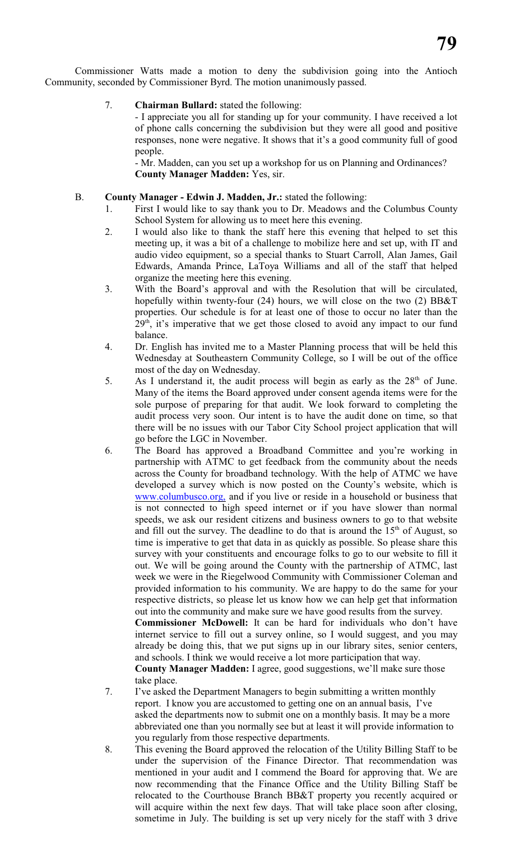Commissioner Watts made a motion to deny the subdivision going into the Antioch Community, seconded by Commissioner Byrd. The motion unanimously passed.

# 7. **Chairman Bullard:** stated the following:

- I appreciate you all for standing up for your community. I have received a lot of phone calls concerning the subdivision but they were all good and positive responses, none were negative. It shows that it's a good community full of good people.

- Mr. Madden, can you set up a workshop for us on Planning and Ordinances? **County Manager Madden:** Yes, sir.

### B. **County Manager - Edwin J. Madden, Jr.:** stated the following:

- 1. First I would like to say thank you to Dr. Meadows and the Columbus County School System for allowing us to meet here this evening.
- 2. I would also like to thank the staff here this evening that helped to set this meeting up, it was a bit of a challenge to mobilize here and set up, with IT and audio video equipment, so a special thanks to Stuart Carroll, Alan James, Gail Edwards, Amanda Prince, LaToya Williams and all of the staff that helped organize the meeting here this evening.
- 3. With the Board's approval and with the Resolution that will be circulated, hopefully within twenty-four (24) hours, we will close on the two (2) BB&T properties. Our schedule is for at least one of those to occur no later than the  $29<sup>th</sup>$ , it's imperative that we get those closed to avoid any impact to our fund balance.
- 4. Dr. English has invited me to a Master Planning process that will be held this Wednesday at Southeastern Community College, so I will be out of the office most of the day on Wednesday.
- 5. As I understand it, the audit process will begin as early as the  $28<sup>th</sup>$  of June. Many of the items the Board approved under consent agenda items were for the sole purpose of preparing for that audit. We look forward to completing the audit process very soon. Our intent is to have the audit done on time, so that there will be no issues with our Tabor City School project application that will go before the LGC in November.
- 6. The Board has approved a Broadband Committee and you're working in partnership with ATMC to get feedback from the community about the needs across the County for broadband technology. With the help of ATMC we have developed a survey which is now posted on the County's website, which is [www.columbusco.org,](http://www.columbusco.org,) and if you live or reside in a household or business that is not connected to high speed internet or if you have slower than normal speeds, we ask our resident citizens and business owners to go to that website and fill out the survey. The deadline to do that is around the  $15<sup>th</sup>$  of August, so time is imperative to get that data in as quickly as possible. So please share this survey with your constituents and encourage folks to go to our website to fill it out. We will be going around the County with the partnership of ATMC, last week we were in the Riegelwood Community with Commissioner Coleman and provided information to his community. We are happy to do the same for your respective districts, so please let us know how we can help get that information out into the community and make sure we have good results from the survey. **Commissioner McDowell:** It can be hard for individuals who don't have internet service to fill out a survey online, so I would suggest, and you may already be doing this, that we put signs up in our library sites, senior centers, and schools. I think we would receive a lot more participation that way. **County Manager Madden:** I agree, good suggestions, we'll make sure those take place.
- 7. I've asked the Department Managers to begin submitting a written monthly report. I know you are accustomed to getting one on an annual basis, I've asked the departments now to submit one on a monthly basis. It may be a more abbreviated one than you normally see but at least it will provide information to you regularly from those respective departments.
- 8. This evening the Board approved the relocation of the Utility Billing Staff to be under the supervision of the Finance Director. That recommendation was mentioned in your audit and I commend the Board for approving that. We are now recommending that the Finance Office and the Utility Billing Staff be relocated to the Courthouse Branch BB&T property you recently acquired or will acquire within the next few days. That will take place soon after closing, sometime in July. The building is set up very nicely for the staff with 3 drive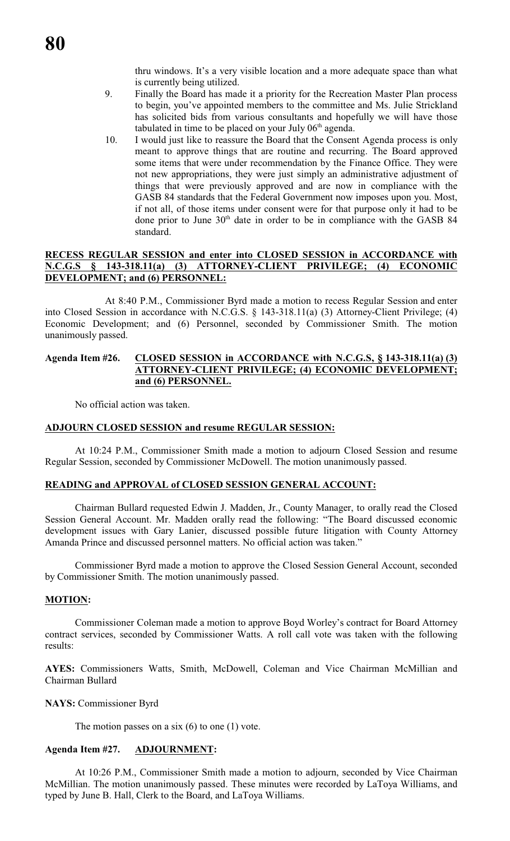thru windows. It's a very visible location and a more adequate space than what is currently being utilized.

- 9. Finally the Board has made it a priority for the Recreation Master Plan process to begin, you've appointed members to the committee and Ms. Julie Strickland has solicited bids from various consultants and hopefully we will have those tabulated in time to be placed on your July  $06<sup>th</sup>$  agenda.
- 10. I would just like to reassure the Board that the Consent Agenda process is only meant to approve things that are routine and recurring. The Board approved some items that were under recommendation by the Finance Office. They were not new appropriations, they were just simply an administrative adjustment of things that were previously approved and are now in compliance with the GASB 84 standards that the Federal Government now imposes upon you. Most, if not all, of those items under consent were for that purpose only it had to be done prior to June 30<sup>th</sup> date in order to be in compliance with the GASB 84 standard.

### **RECESS REGULAR SESSION and enter into CLOSED SESSION in ACCORDANCE with N.C.G.S § 143-318.11(a) (3) ATTORNEY-CLIENT PRIVILEGE; (4) ECONOMIC DEVELOPMENT; and (6) PERSONNEL:**

At 8:40 P.M., Commissioner Byrd made a motion to recess Regular Session and enter into Closed Session in accordance with N.C.G.S. § 143-318.11(a) (3) Attorney-Client Privilege; (4) Economic Development; and (6) Personnel, seconded by Commissioner Smith. The motion unanimously passed.

### **Agenda Item #26. CLOSED SESSION in ACCORDANCE with N.C.G.S, § 143-318.11(a) (3) ATTORNEY-CLIENT PRIVILEGE; (4) ECONOMIC DEVELOPMENT; and (6) PERSONNEL.**

No official action was taken.

#### **ADJOURN CLOSED SESSION and resume REGULAR SESSION:**

At 10:24 P.M., Commissioner Smith made a motion to adjourn Closed Session and resume Regular Session, seconded by Commissioner McDowell. The motion unanimously passed.

#### **READING and APPROVAL of CLOSED SESSION GENERAL ACCOUNT:**

Chairman Bullard requested Edwin J. Madden, Jr., County Manager, to orally read the Closed Session General Account. Mr. Madden orally read the following: "The Board discussed economic development issues with Gary Lanier, discussed possible future litigation with County Attorney Amanda Prince and discussed personnel matters. No official action was taken."

Commissioner Byrd made a motion to approve the Closed Session General Account, seconded by Commissioner Smith. The motion unanimously passed.

#### **MOTION:**

Commissioner Coleman made a motion to approve Boyd Worley's contract for Board Attorney contract services, seconded by Commissioner Watts. A roll call vote was taken with the following results:

**AYES:** Commissioners Watts, Smith, McDowell, Coleman and Vice Chairman McMillian and Chairman Bullard

#### **NAYS:** Commissioner Byrd

The motion passes on a six  $(6)$  to one  $(1)$  vote.

#### **Agenda Item #27. ADJOURNMENT:**

At 10:26 P.M., Commissioner Smith made a motion to adjourn, seconded by Vice Chairman McMillian. The motion unanimously passed. These minutes were recorded by LaToya Williams, and typed by June B. Hall, Clerk to the Board, and LaToya Williams.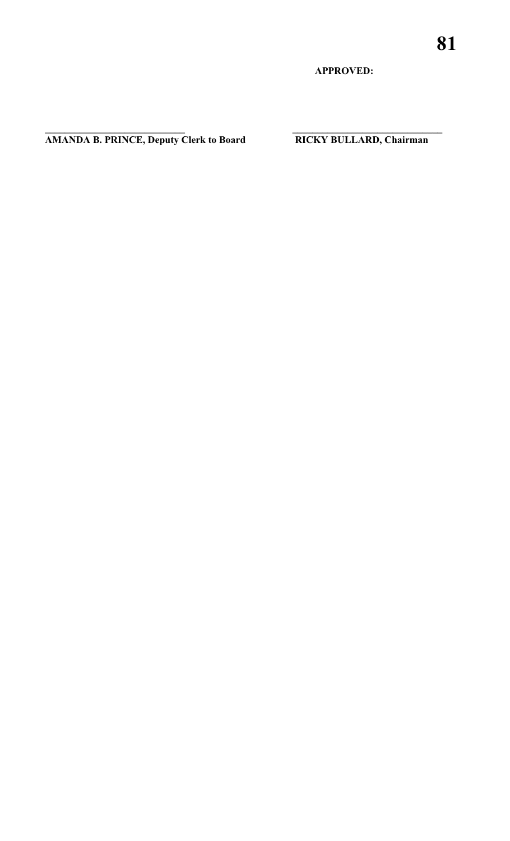**APPROVED:**

**AMANDA B. PRINCE, Deputy Clerk to Board RICKY BULLARD, Chairman**

**\_\_\_\_\_\_\_\_\_\_\_\_\_\_\_\_\_\_\_\_\_\_\_\_\_\_\_\_ \_\_\_\_\_\_\_\_\_\_\_\_\_\_\_\_\_\_\_\_\_\_\_\_\_\_\_\_\_\_**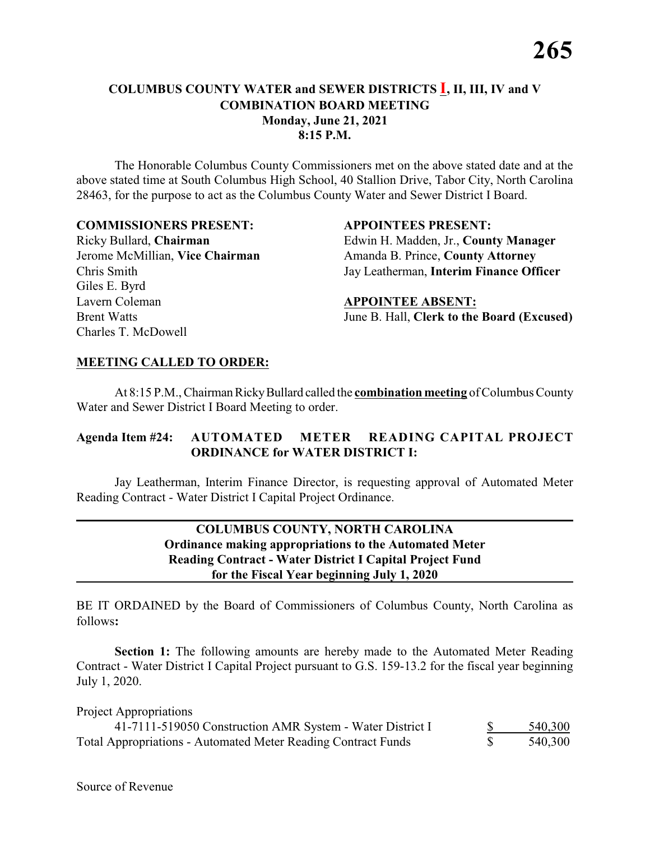# **COLUMBUS COUNTY WATER and SEWER DISTRICTS I, II, III, IV and V COMBINATION BOARD MEETING Monday, June 21, 2021 8:15 P.M.**

The Honorable Columbus County Commissioners met on the above stated date and at the above stated time at South Columbus High School, 40 Stallion Drive, Tabor City, North Carolina 28463, for the purpose to act as the Columbus County Water and Sewer District I Board.

#### **COMMISSIONERS PRESENT: APPOINTEES PRESENT:**

Giles E. Byrd Lavern Coleman **APPOINTEE ABSENT:** Charles T. McDowell

Ricky Bullard, **Chairman** Edwin H. Madden, Jr., **County Manager** Jerome McMillian, Vice Chairman **Amanda B. Prince, County Attorney** Chris Smith Jay Leatherman, **Interim Finance Officer**

Brent Watts **Iune B. Hall, Clerk to the Board (Excused)** 

### **MEETING CALLED TO ORDER:**

At 8:15 P.M., Chairman Ricky Bullard called the **combination meeting** of Columbus County Water and Sewer District I Board Meeting to order.

# **Agenda Item #24: AUTOMATED METER READING CAPITAL PROJECT ORDINANCE for WATER DISTRICT I:**

Jay Leatherman, Interim Finance Director, is requesting approval of Automated Meter Reading Contract - Water District I Capital Project Ordinance.

# **COLUMBUS COUNTY, NORTH CAROLINA Ordinance making appropriations to the Automated Meter Reading Contract - Water District I Capital Project Fund for the Fiscal Year beginning July 1, 2020**

BE IT ORDAINED by the Board of Commissioners of Columbus County, North Carolina as follows**:**

**Section 1:** The following amounts are hereby made to the Automated Meter Reading Contract - Water District I Capital Project pursuant to G.S. 159-13.2 for the fiscal year beginning July 1, 2020.

Project Appropriations

| 41-7111-519050 Construction AMR System - Water District I            | 540,300 |
|----------------------------------------------------------------------|---------|
| <b>Total Appropriations - Automated Meter Reading Contract Funds</b> | 540,300 |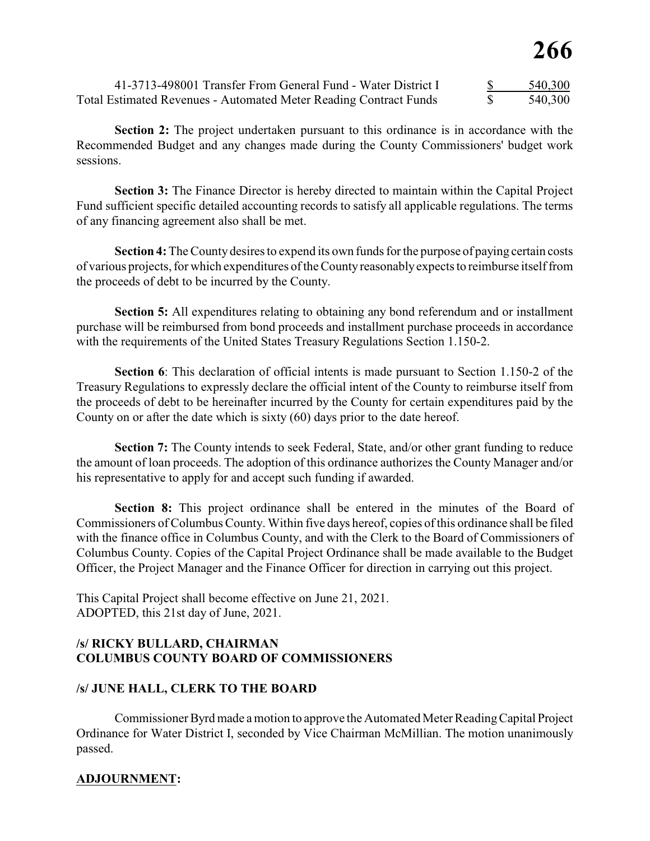| 41-3713-498001 Transfer From General Fund - Water District I             | 540,300 |
|--------------------------------------------------------------------------|---------|
| <b>Total Estimated Revenues - Automated Meter Reading Contract Funds</b> | 540,300 |

**Section 2:** The project undertaken pursuant to this ordinance is in accordance with the Recommended Budget and any changes made during the County Commissioners' budget work sessions.

**Section 3:** The Finance Director is hereby directed to maintain within the Capital Project Fund sufficient specific detailed accounting records to satisfy all applicable regulations. The terms of any financing agreement also shall be met.

**Section 4:** The County desires to expend its own funds for the purpose of paying certain costs of various projects, for which expenditures of the County reasonably expects to reimburse itself from the proceeds of debt to be incurred by the County.

**Section 5:** All expenditures relating to obtaining any bond referendum and or installment purchase will be reimbursed from bond proceeds and installment purchase proceeds in accordance with the requirements of the United States Treasury Regulations Section 1.150-2.

**Section 6**: This declaration of official intents is made pursuant to Section 1.150-2 of the Treasury Regulations to expressly declare the official intent of the County to reimburse itself from the proceeds of debt to be hereinafter incurred by the County for certain expenditures paid by the County on or after the date which is sixty (60) days prior to the date hereof.

**Section 7:** The County intends to seek Federal, State, and/or other grant funding to reduce the amount of loan proceeds. The adoption of this ordinance authorizes the County Manager and/or his representative to apply for and accept such funding if awarded.

**Section 8:** This project ordinance shall be entered in the minutes of the Board of Commissioners of Columbus County. Within five days hereof, copies of this ordinance shall be filed with the finance office in Columbus County, and with the Clerk to the Board of Commissioners of Columbus County. Copies of the Capital Project Ordinance shall be made available to the Budget Officer, the Project Manager and the Finance Officer for direction in carrying out this project.

This Capital Project shall become effective on June 21, 2021. ADOPTED, this 21st day of June, 2021.

# **/s/ RICKY BULLARD, CHAIRMAN COLUMBUS COUNTY BOARD OF COMMISSIONERS**

# **/s/ JUNE HALL, CLERK TO THE BOARD**

Commissioner Byrd made a motion to approve the Automated Meter Reading Capital Project Ordinance for Water District I, seconded by Vice Chairman McMillian. The motion unanimously passed.

# **ADJOURNMENT:**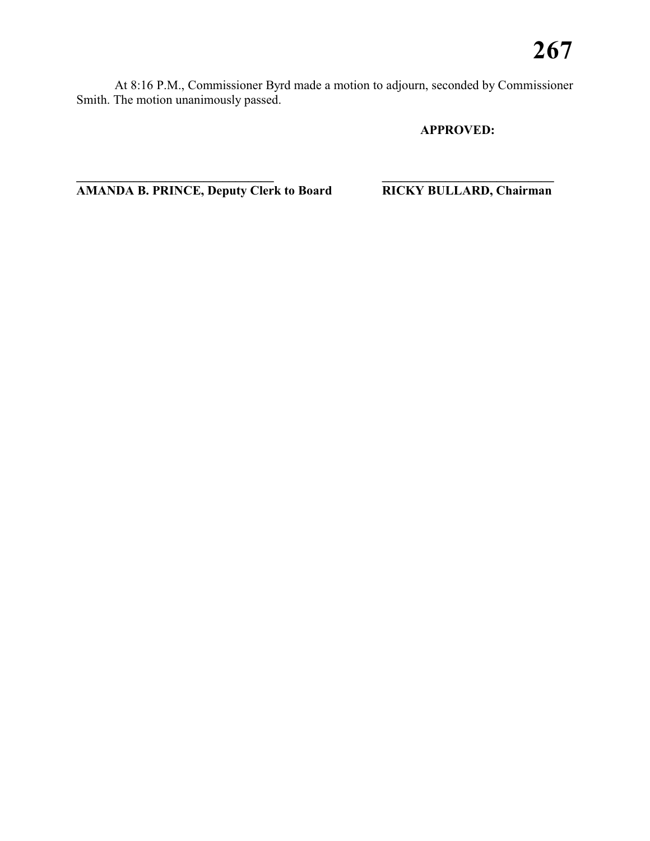At 8:16 P.M., Commissioner Byrd made a motion to adjourn, seconded by Commissioner Smith. The motion unanimously passed.

**\_\_\_\_\_\_\_\_\_\_\_\_\_\_\_\_\_\_\_\_\_\_\_\_\_\_\_\_\_\_\_ \_\_\_\_\_\_\_\_\_\_\_\_\_\_\_\_\_\_\_\_\_\_\_\_\_\_\_**

# **APPROVED:**

**AMANDA B. PRINCE, Deputy Clerk to Board RICKY BULLARD, Chairman**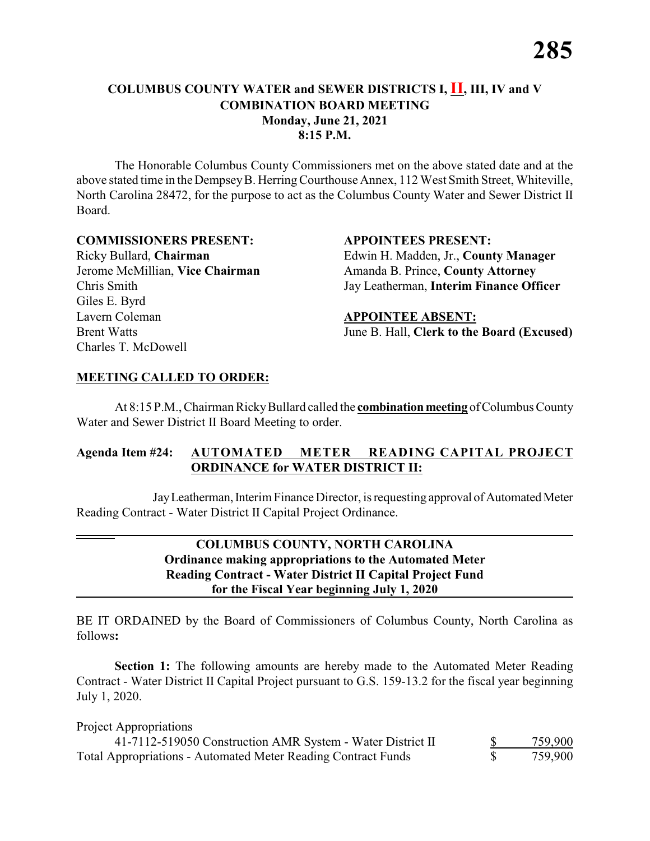# **COLUMBUS COUNTY WATER and SEWER DISTRICTS I, II, III, IV and V COMBINATION BOARD MEETING Monday, June 21, 2021 8:15 P.M.**

The Honorable Columbus County Commissioners met on the above stated date and at the above stated time in theDempsey B. Herring Courthouse Annex, 112 West Smith Street, Whiteville, North Carolina 28472, for the purpose to act as the Columbus County Water and Sewer District II Board.

### **COMMISSIONERS PRESENT: APPOINTEES PRESENT:**

Giles E. Byrd Lavern Coleman **APPOINTEE ABSENT:** Charles T. McDowell

Ricky Bullard, **Chairman** Edwin H. Madden, Jr., **County Manager** Jerome McMillian, **Vice Chairman** Amanda B. Prince, **County Attorney** Chris Smith Jay Leatherman, **Interim Finance Officer**

# Brent Watts **Iune B. Hall, Clerk to the Board (Excused)**

# **MEETING CALLED TO ORDER:**

At 8:15 P.M., Chairman Ricky Bullard called the **combination meeting** of Columbus County Water and Sewer District II Board Meeting to order.

# **Agenda Item #24: AUTOMATED METER READING CAPITAL PROJECT ORDINANCE for WATER DISTRICT II:**

Jay Leatherman, Interim Finance Director, is requesting approval of Automated Meter Reading Contract - Water District II Capital Project Ordinance.

# **COLUMBUS COUNTY, NORTH CAROLINA Ordinance making appropriations to the Automated Meter Reading Contract - Water District II Capital Project Fund for the Fiscal Year beginning July 1, 2020**

BE IT ORDAINED by the Board of Commissioners of Columbus County, North Carolina as follows**:**

**Section 1:** The following amounts are hereby made to the Automated Meter Reading Contract - Water District II Capital Project pursuant to G.S. 159-13.2 for the fiscal year beginning July 1, 2020.

### Project Appropriations

| 41-7112-519050 Construction AMR System - Water District II           | 759,900 |
|----------------------------------------------------------------------|---------|
| <b>Total Appropriations - Automated Meter Reading Contract Funds</b> | 759,900 |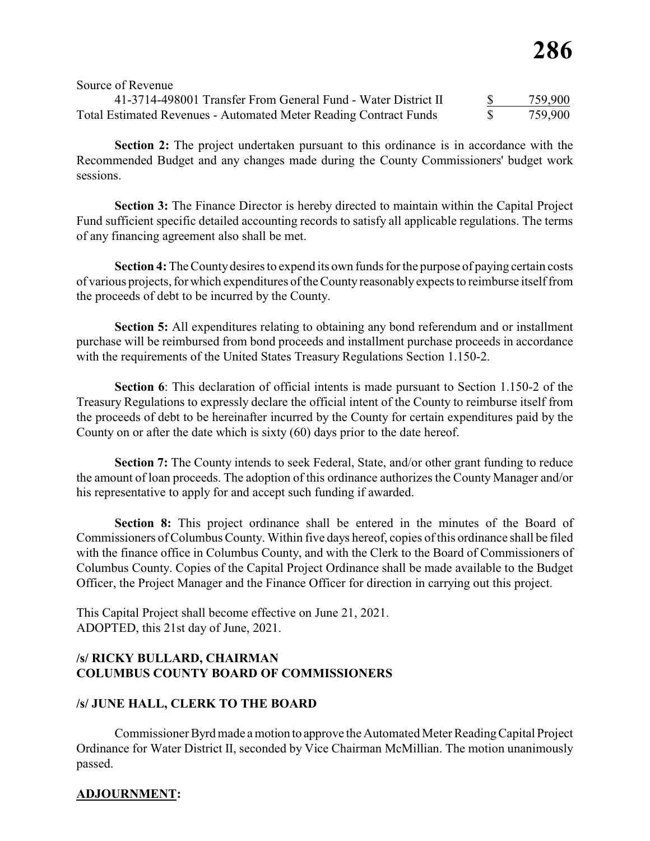| 41-3714-498001 Transfer From General Fund - Water District II            | 759,900 |
|--------------------------------------------------------------------------|---------|
| <b>Total Estimated Revenues - Automated Meter Reading Contract Funds</b> | 759,900 |

**Section 2:** The project undertaken pursuant to this ordinance is in accordance with the Recommended Budget and any changes made during the County Commissioners' budget work sessions.

**Section 3:** The Finance Director is hereby directed to maintain within the Capital Project Fund sufficient specific detailed accounting records to satisfy all applicable regulations. The terms of any financing agreement also shall be met.

**Section 4:** The County desires to expend its own funds for the purpose of paying certain costs of various projects, for which expenditures of the County reasonably expects to reimburse itself from the proceeds of debt to be incurred by the County.

**Section 5:** All expenditures relating to obtaining any bond referendum and or installment purchase will be reimbursed from bond proceeds and installment purchase proceeds in accordance with the requirements of the United States Treasury Regulations Section 1.150-2.

**Section 6**: This declaration of official intents is made pursuant to Section 1.150-2 of the Treasury Regulations to expressly declare the official intent of the County to reimburse itself from the proceeds of debt to be hereinafter incurred by the County for certain expenditures paid by the County on or after the date which is sixty (60) days prior to the date hereof.

**Section 7:** The County intends to seek Federal, State, and/or other grant funding to reduce the amount of loan proceeds. The adoption of this ordinance authorizes the County Manager and/or his representative to apply for and accept such funding if awarded.

**Section 8:** This project ordinance shall be entered in the minutes of the Board of Commissioners of Columbus County. Within five days hereof, copies of this ordinance shall be filed with the finance office in Columbus County, and with the Clerk to the Board of Commissioners of Columbus County. Copies of the Capital Project Ordinance shall be made available to the Budget Officer, the Project Manager and the Finance Officer for direction in carrying out this project.

This Capital Project shall become effective on June 21, 2021. ADOPTED, this 21st day of June, 2021.

# **/s/ RICKY BULLARD, CHAIRMAN COLUMBUS COUNTY BOARD OF COMMISSIONERS**

# **/s/ JUNE HALL, CLERK TO THE BOARD**

Commissioner Byrd made a motion to approve the Automated Meter Reading Capital Project Ordinance for Water District II, seconded by Vice Chairman McMillian. The motion unanimously passed.

# **ADJOURNMENT:**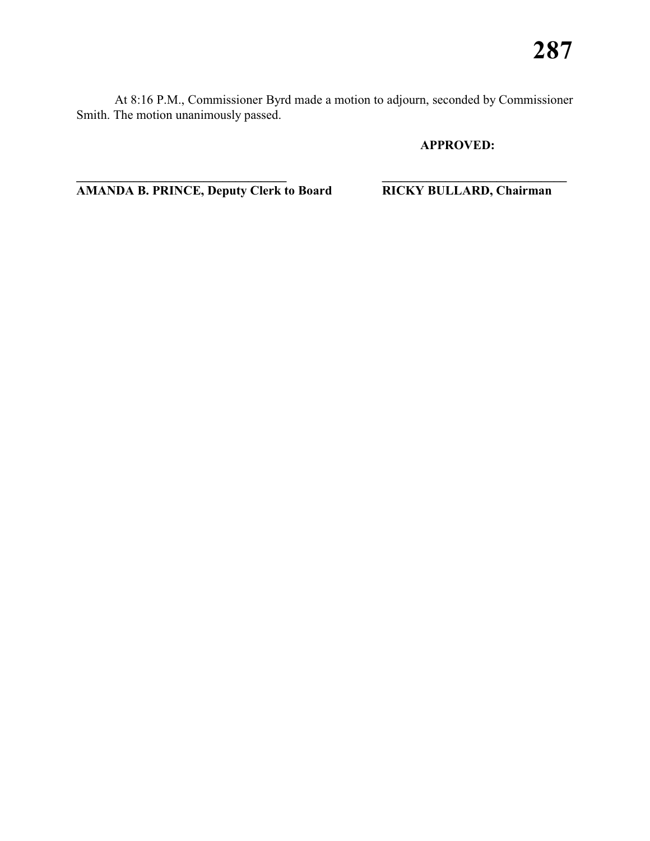At 8:16 P.M., Commissioner Byrd made a motion to adjourn, seconded by Commissioner Smith. The motion unanimously passed.

**\_\_\_\_\_\_\_\_\_\_\_\_\_\_\_\_\_\_\_\_\_\_\_\_\_\_\_\_\_\_\_\_\_ \_\_\_\_\_\_\_\_\_\_\_\_\_\_\_\_\_\_\_\_\_\_\_\_\_\_\_\_\_** 

# **APPROVED:**

**AMANDA B. PRINCE, Deputy Clerk to Board RICKY BULLARD, Chairman**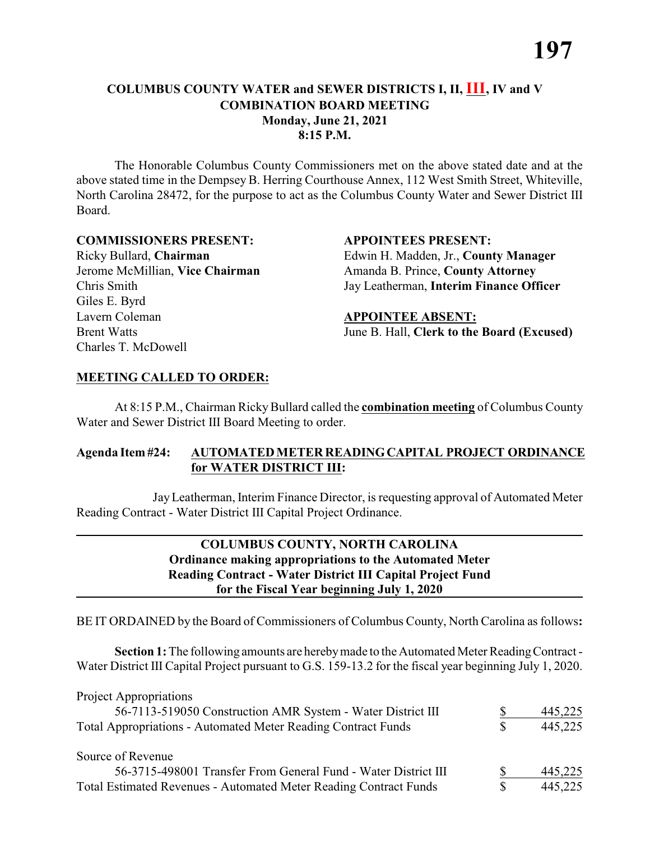# **COLUMBUS COUNTY WATER and SEWER DISTRICTS I, II, III, IV and V COMBINATION BOARD MEETING Monday, June 21, 2021 8:15 P.M.**

The Honorable Columbus County Commissioners met on the above stated date and at the above stated time in the Dempsey B. Herring Courthouse Annex, 112 West Smith Street, Whiteville, North Carolina 28472, for the purpose to act as the Columbus County Water and Sewer District III Board.

### **COMMISSIONERS PRESENT: APPOINTEES PRESENT:**

Chris Smith Jay Leatherman, **Interim Finance Officer** Giles E. Byrd Lavern Coleman **APPOINTEE ABSENT:** Charles T. McDowell

# Ricky Bullard, **Chairman** Edwin H. Madden, Jr., **County Manager** Jerome McMillian, **Vice Chairman** Amanda B. Prince, **County Attorney**

Brent Watts **Iune B. Hall, Clerk to the Board (Excused)** 

# **MEETING CALLED TO ORDER:**

At 8:15 P.M., Chairman Ricky Bullard called the **combination meeting** of Columbus County Water and Sewer District III Board Meeting to order.

# **Agenda Item #24: AUTOMATED METER READING CAPITAL PROJECT ORDINANCE for WATER DISTRICT III:**

Jay Leatherman, Interim Finance Director, is requesting approval of Automated Meter Reading Contract - Water District III Capital Project Ordinance.

# **COLUMBUS COUNTY, NORTH CAROLINA Ordinance making appropriations to the Automated Meter Reading Contract - Water District III Capital Project Fund for the Fiscal Year beginning July 1, 2020**

BE IT ORDAINED by the Board of Commissioners of Columbus County, North Carolina as follows**:**

**Section 1:** The following amounts are hereby made to the Automated Meter Reading Contract - Water District III Capital Project pursuant to G.S. 159-13.2 for the fiscal year beginning July 1, 2020.

| <b>Project Appropriations</b>                                            |   |         |
|--------------------------------------------------------------------------|---|---------|
| 56-7113-519050 Construction AMR System - Water District III              |   | 445,225 |
| Total Appropriations - Automated Meter Reading Contract Funds            | S | 445,225 |
| Source of Revenue                                                        |   |         |
| 56-3715-498001 Transfer From General Fund - Water District III           |   | 445,225 |
| <b>Total Estimated Revenues - Automated Meter Reading Contract Funds</b> | S | 445,225 |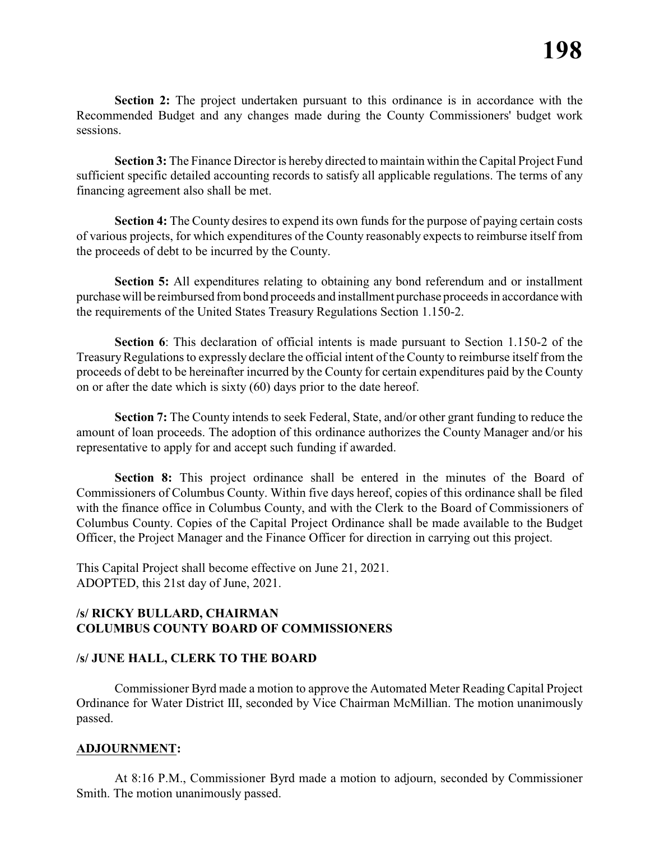**Section 2:** The project undertaken pursuant to this ordinance is in accordance with the Recommended Budget and any changes made during the County Commissioners' budget work sessions.

**Section 3:** The Finance Director is hereby directed to maintain within the Capital Project Fund sufficient specific detailed accounting records to satisfy all applicable regulations. The terms of any financing agreement also shall be met.

**Section 4:** The County desires to expend its own funds for the purpose of paying certain costs of various projects, for which expenditures of the County reasonably expects to reimburse itself from the proceeds of debt to be incurred by the County.

**Section 5:** All expenditures relating to obtaining any bond referendum and or installment purchase will be reimbursed from bond proceeds and installment purchase proceeds in accordance with the requirements of the United States Treasury Regulations Section 1.150-2.

**Section 6**: This declaration of official intents is made pursuant to Section 1.150-2 of the Treasury Regulations to expressly declare the official intent of the County to reimburse itself from the proceeds of debt to be hereinafter incurred by the County for certain expenditures paid by the County on or after the date which is sixty (60) days prior to the date hereof.

**Section 7:** The County intends to seek Federal, State, and/or other grant funding to reduce the amount of loan proceeds. The adoption of this ordinance authorizes the County Manager and/or his representative to apply for and accept such funding if awarded.

**Section 8:** This project ordinance shall be entered in the minutes of the Board of Commissioners of Columbus County. Within five days hereof, copies of this ordinance shall be filed with the finance office in Columbus County, and with the Clerk to the Board of Commissioners of Columbus County. Copies of the Capital Project Ordinance shall be made available to the Budget Officer, the Project Manager and the Finance Officer for direction in carrying out this project.

This Capital Project shall become effective on June 21, 2021. ADOPTED, this 21st day of June, 2021.

### **/s/ RICKY BULLARD, CHAIRMAN COLUMBUS COUNTY BOARD OF COMMISSIONERS**

# **/s/ JUNE HALL, CLERK TO THE BOARD**

Commissioner Byrd made a motion to approve the Automated Meter Reading Capital Project Ordinance for Water District III, seconded by Vice Chairman McMillian. The motion unanimously passed.

#### **ADJOURNMENT:**

At 8:16 P.M., Commissioner Byrd made a motion to adjourn, seconded by Commissioner Smith. The motion unanimously passed.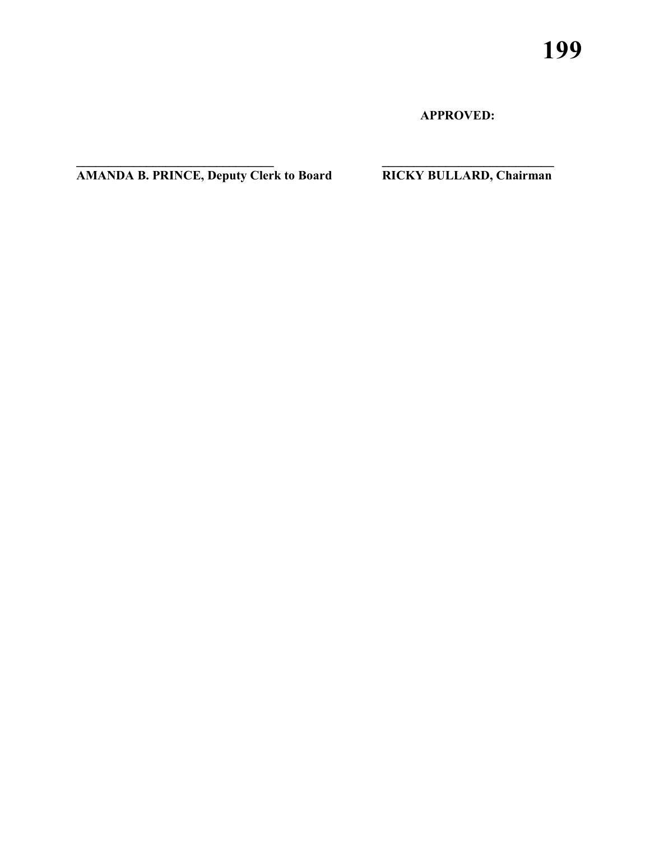**APPROVED:**

**AMANDA B. PRINCE, Deputy Clerk to Board RICKY BULLARD, Chairman**

**\_\_\_\_\_\_\_\_\_\_\_\_\_\_\_\_\_\_\_\_\_\_\_\_\_\_\_\_\_\_\_ \_\_\_\_\_\_\_\_\_\_\_\_\_\_\_\_\_\_\_\_\_\_\_\_\_\_\_**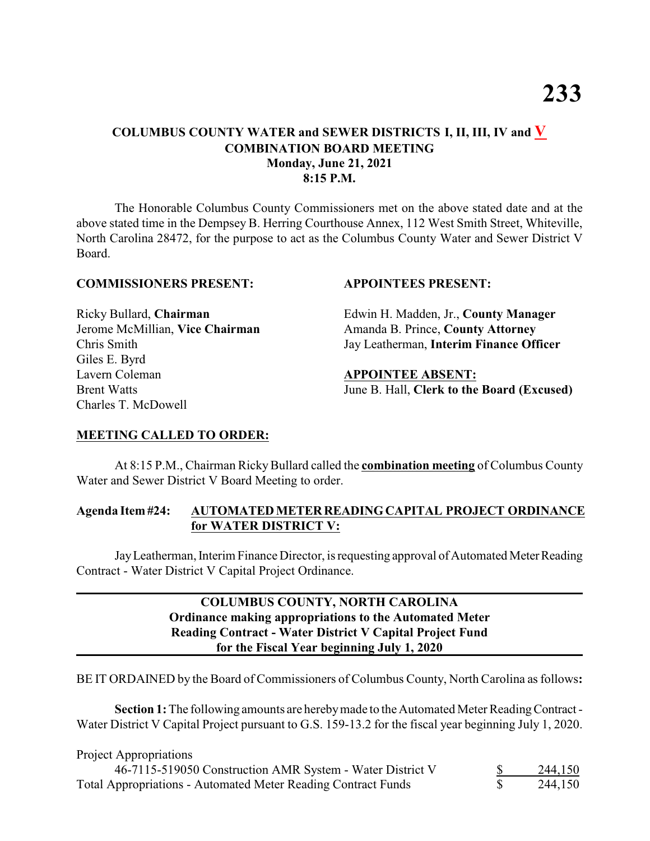# **COLUMBUS COUNTY WATER and SEWER DISTRICTS I, II, III, IV and V COMBINATION BOARD MEETING Monday, June 21, 2021 8:15 P.M.**

The Honorable Columbus County Commissioners met on the above stated date and at the above stated time in the Dempsey B. Herring Courthouse Annex, 112 West Smith Street, Whiteville, North Carolina 28472, for the purpose to act as the Columbus County Water and Sewer District V Board.

#### **COMMISSIONERS PRESENT: APPOINTEES PRESENT:**

Giles E. Byrd Lavern Coleman **APPOINTEE ABSENT:** Charles T. McDowell

Ricky Bullard, **Chairman** Edwin H. Madden, Jr., **County Manager** Jerome McMillian, **Vice Chairman** Amanda B. Prince, **County Attorney** Chris Smith Jay Leatherman, **Interim Finance Officer**

Brent Watts **Iune B. Hall, Clerk to the Board (Excused)** 

#### **MEETING CALLED TO ORDER:**

At 8:15 P.M., Chairman Ricky Bullard called the **combination meeting** of Columbus County Water and Sewer District V Board Meeting to order.

#### **Agenda Item #24: AUTOMATED METER READING CAPITAL PROJECT ORDINANCE for WATER DISTRICT V:**

Jay Leatherman, Interim Finance Director, is requesting approval of Automated Meter Reading Contract - Water District V Capital Project Ordinance.

# **COLUMBUS COUNTY, NORTH CAROLINA Ordinance making appropriations to the Automated Meter Reading Contract - Water District V Capital Project Fund for the Fiscal Year beginning July 1, 2020**

BE IT ORDAINED by the Board of Commissioners of Columbus County, North Carolina as follows**:**

**Section 1:** The following amounts are hereby made to the Automated Meter Reading Contract - Water District V Capital Project pursuant to G.S. 159-13.2 for the fiscal year beginning July 1, 2020.

| Project Appropriations                                               |         |
|----------------------------------------------------------------------|---------|
| 46-7115-519050 Construction AMR System - Water District V            | 244,150 |
| <b>Total Appropriations - Automated Meter Reading Contract Funds</b> | 244,150 |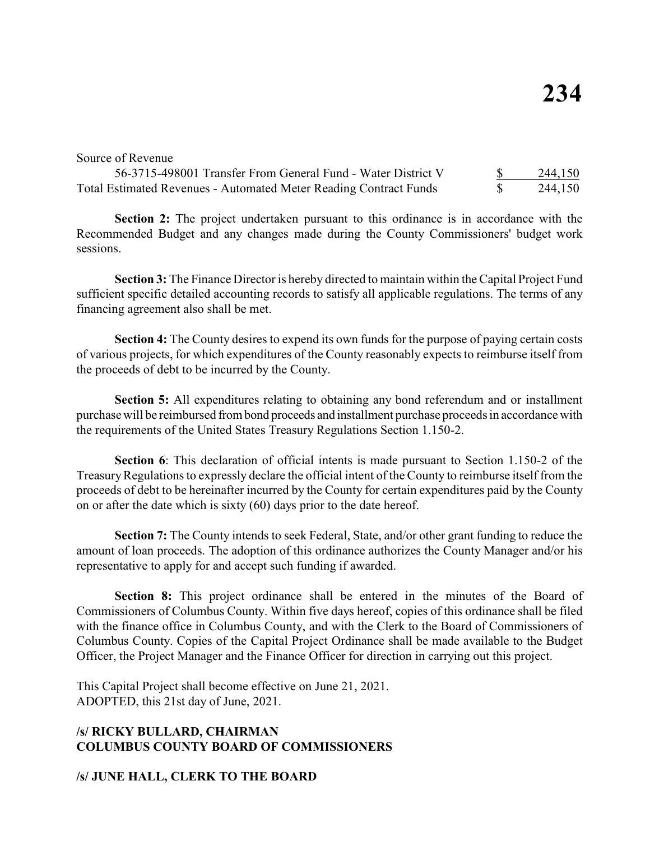#### Source of Revenue

| 56-3715-498001 Transfer From General Fund - Water District V             | 244,150 |
|--------------------------------------------------------------------------|---------|
| <b>Total Estimated Revenues - Automated Meter Reading Contract Funds</b> | 244,150 |

**Section 2:** The project undertaken pursuant to this ordinance is in accordance with the Recommended Budget and any changes made during the County Commissioners' budget work sessions.

**Section 3:** The Finance Director is hereby directed to maintain within the Capital Project Fund sufficient specific detailed accounting records to satisfy all applicable regulations. The terms of any financing agreement also shall be met.

**Section 4:** The County desires to expend its own funds for the purpose of paying certain costs of various projects, for which expenditures of the County reasonably expects to reimburse itself from the proceeds of debt to be incurred by the County.

**Section 5:** All expenditures relating to obtaining any bond referendum and or installment purchase will be reimbursed from bond proceeds and installment purchase proceeds in accordance with the requirements of the United States Treasury Regulations Section 1.150-2.

**Section 6**: This declaration of official intents is made pursuant to Section 1.150-2 of the Treasury Regulations to expressly declare the official intent of the County to reimburse itself from the proceeds of debt to be hereinafter incurred by the County for certain expenditures paid by the County on or after the date which is sixty (60) days prior to the date hereof.

**Section 7:** The County intends to seek Federal, State, and/or other grant funding to reduce the amount of loan proceeds. The adoption of this ordinance authorizes the County Manager and/or his representative to apply for and accept such funding if awarded.

**Section 8:** This project ordinance shall be entered in the minutes of the Board of Commissioners of Columbus County. Within five days hereof, copies of this ordinance shall be filed with the finance office in Columbus County, and with the Clerk to the Board of Commissioners of Columbus County. Copies of the Capital Project Ordinance shall be made available to the Budget Officer, the Project Manager and the Finance Officer for direction in carrying out this project.

This Capital Project shall become effective on June 21, 2021. ADOPTED, this 21st day of June, 2021.

# **/s/ RICKY BULLARD, CHAIRMAN COLUMBUS COUNTY BOARD OF COMMISSIONERS**

**/s/ JUNE HALL, CLERK TO THE BOARD**